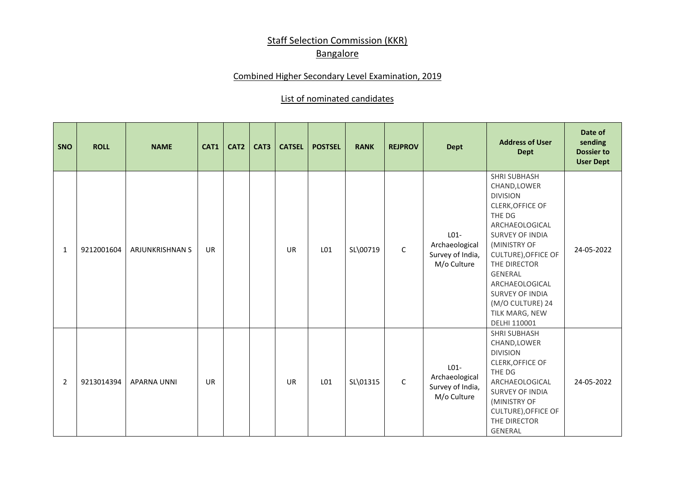## **Staff Selection Commission (KKR) Bangalore**

## Combined Higher Secondary Level Examination, 2019

## List of nominated candidates

| SNO | <b>ROLL</b> | <b>NAME</b>            | CAT1      | CAT <sub>2</sub> | CAT3 | <b>CATSEL</b> | <b>POSTSEL</b> | <b>RANK</b> | <b>REJPROV</b> | <b>Dept</b>                                                          | <b>Address of User</b><br><b>Dept</b>                                                                                                                                                                                                                                                                       | Date of<br>sending<br><b>Dossier to</b><br><b>User Dept</b> |
|-----|-------------|------------------------|-----------|------------------|------|---------------|----------------|-------------|----------------|----------------------------------------------------------------------|-------------------------------------------------------------------------------------------------------------------------------------------------------------------------------------------------------------------------------------------------------------------------------------------------------------|-------------------------------------------------------------|
| 1   | 9212001604  | <b>ARJUNKRISHNAN S</b> | <b>UR</b> |                  |      | <b>UR</b>     | L01            | SL\00719    | $\mathsf C$    | L <sub>01</sub><br>Archaeological<br>Survey of India,<br>M/o Culture | <b>SHRI SUBHASH</b><br>CHAND, LOWER<br><b>DIVISION</b><br><b>CLERK, OFFICE OF</b><br>THE DG<br>ARCHAEOLOGICAL<br>SURVEY OF INDIA<br>(MINISTRY OF<br><b>CULTURE), OFFICE OF</b><br>THE DIRECTOR<br>GENERAL<br>ARCHAEOLOGICAL<br><b>SURVEY OF INDIA</b><br>(M/O CULTURE) 24<br>TILK MARG, NEW<br>DELHI 110001 | 24-05-2022                                                  |
| 2   | 9213014394  | <b>APARNA UNNI</b>     | <b>UR</b> |                  |      | <b>UR</b>     | L01            | SL\01315    | $\mathsf{C}$   | L <sub>01</sub><br>Archaeological<br>Survey of India,<br>M/o Culture | <b>SHRI SUBHASH</b><br>CHAND, LOWER<br><b>DIVISION</b><br>CLERK, OFFICE OF<br>THE DG<br>ARCHAEOLOGICAL<br><b>SURVEY OF INDIA</b><br>(MINISTRY OF<br><b>CULTURE), OFFICE OF</b><br>THE DIRECTOR<br>GENERAL                                                                                                   | 24-05-2022                                                  |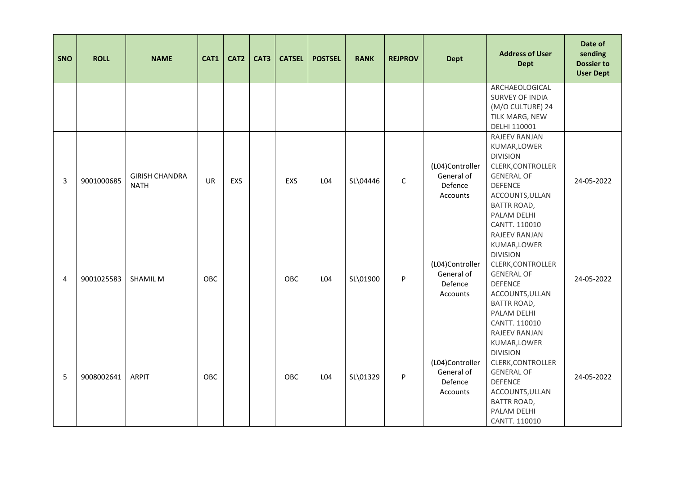| SNO            | <b>ROLL</b> | <b>NAME</b>                          | CAT1       | CAT <sub>2</sub> | CAT3 | <b>CATSEL</b> | <b>POSTSEL</b> | <b>RANK</b> | <b>REJPROV</b> | <b>Dept</b>                                          | <b>Address of User</b><br><b>Dept</b>                                                                                                                                                 | Date of<br>sending<br><b>Dossier to</b><br><b>User Dept</b> |
|----------------|-------------|--------------------------------------|------------|------------------|------|---------------|----------------|-------------|----------------|------------------------------------------------------|---------------------------------------------------------------------------------------------------------------------------------------------------------------------------------------|-------------------------------------------------------------|
|                |             |                                      |            |                  |      |               |                |             |                |                                                      | ARCHAEOLOGICAL<br>SURVEY OF INDIA<br>(M/O CULTURE) 24<br>TILK MARG, NEW<br>DELHI 110001                                                                                               |                                                             |
| 3              | 9001000685  | <b>GIRISH CHANDRA</b><br><b>NATH</b> | <b>UR</b>  | EXS              |      | EXS           | L04            | SL\04446    | $\mathsf{C}$   | (L04)Controller<br>General of<br>Defence<br>Accounts | RAJEEV RANJAN<br>KUMAR, LOWER<br><b>DIVISION</b><br>CLERK, CONTROLLER<br><b>GENERAL OF</b><br><b>DEFENCE</b><br>ACCOUNTS, ULLAN<br><b>BATTR ROAD,</b><br>PALAM DELHI<br>CANTT. 110010 | 24-05-2022                                                  |
| $\overline{4}$ | 9001025583  | <b>SHAMIL M</b>                      | <b>OBC</b> |                  |      | OBC           | L04            | SL\01900    | P              | (L04)Controller<br>General of<br>Defence<br>Accounts | RAJEEV RANJAN<br>KUMAR, LOWER<br><b>DIVISION</b><br>CLERK, CONTROLLER<br><b>GENERAL OF</b><br><b>DEFENCE</b><br>ACCOUNTS, ULLAN<br>BATTR ROAD,<br>PALAM DELHI<br>CANTT. 110010        | 24-05-2022                                                  |
| 5              | 9008002641  | <b>ARPIT</b>                         | OBC        |                  |      | OBC           | L04            | SL\01329    | P              | (L04)Controller<br>General of<br>Defence<br>Accounts | RAJEEV RANJAN<br>KUMAR, LOWER<br><b>DIVISION</b><br>CLERK, CONTROLLER<br><b>GENERAL OF</b><br><b>DEFENCE</b><br>ACCOUNTS, ULLAN<br><b>BATTR ROAD,</b><br>PALAM DELHI<br>CANTT. 110010 | 24-05-2022                                                  |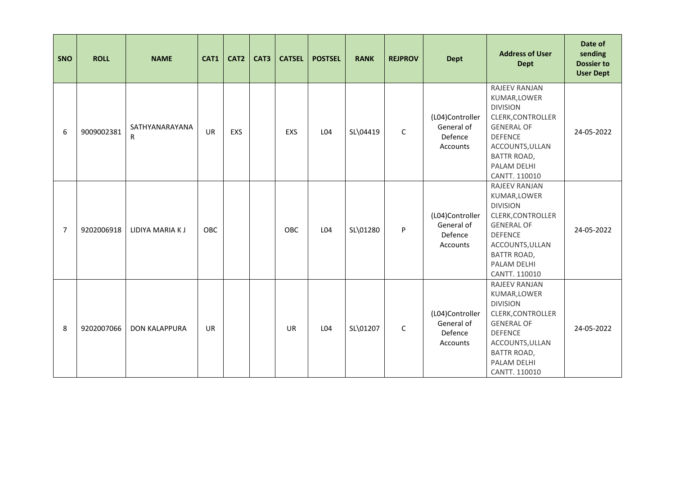| SNO            | <b>ROLL</b> | <b>NAME</b>          | CAT1       | CAT2 | CAT3 | <b>CATSEL</b> | <b>POSTSEL</b> | <b>RANK</b> | <b>REJPROV</b> | <b>Dept</b>                                          | <b>Address of User</b><br><b>Dept</b>                                                                                                                                                        | Date of<br>sending<br><b>Dossier to</b><br><b>User Dept</b> |
|----------------|-------------|----------------------|------------|------|------|---------------|----------------|-------------|----------------|------------------------------------------------------|----------------------------------------------------------------------------------------------------------------------------------------------------------------------------------------------|-------------------------------------------------------------|
| 6              | 9009002381  | SATHYANARAYANA<br>R  | <b>UR</b>  | EXS  |      | EXS           | L04            | SL\04419    | $\mathsf C$    | (L04)Controller<br>General of<br>Defence<br>Accounts | RAJEEV RANJAN<br>KUMAR, LOWER<br><b>DIVISION</b><br>CLERK, CONTROLLER<br><b>GENERAL OF</b><br><b>DEFENCE</b><br>ACCOUNTS, ULLAN<br><b>BATTR ROAD,</b><br>PALAM DELHI<br>CANTT. 110010        | 24-05-2022                                                  |
| $\overline{7}$ | 9202006918  | LIDIYA MARIA K J     | <b>OBC</b> |      |      | <b>OBC</b>    | L04            | SL\01280    | P              | (L04)Controller<br>General of<br>Defence<br>Accounts | RAJEEV RANJAN<br>KUMAR, LOWER<br><b>DIVISION</b><br>CLERK, CONTROLLER<br><b>GENERAL OF</b><br><b>DEFENCE</b><br>ACCOUNTS, ULLAN<br><b>BATTR ROAD,</b><br>PALAM DELHI<br>CANTT. 110010        | 24-05-2022                                                  |
| 8              | 9202007066  | <b>DON KALAPPURA</b> | UR         |      |      | <b>UR</b>     | L04            | SL\01207    | C              | (L04)Controller<br>General of<br>Defence<br>Accounts | <b>RAJEEV RANJAN</b><br>KUMAR, LOWER<br><b>DIVISION</b><br>CLERK, CONTROLLER<br><b>GENERAL OF</b><br><b>DEFENCE</b><br>ACCOUNTS, ULLAN<br><b>BATTR ROAD,</b><br>PALAM DELHI<br>CANTT. 110010 | 24-05-2022                                                  |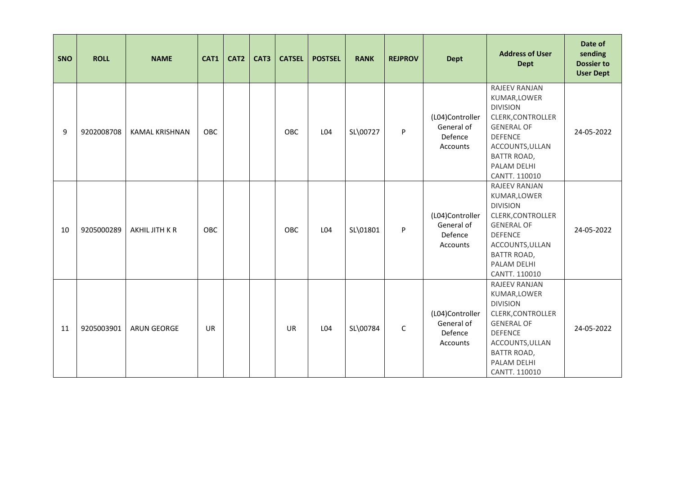| SNO | <b>ROLL</b> | <b>NAME</b>        | CAT1       | CAT2 | CAT3 | <b>CATSEL</b> | <b>POSTSEL</b> | <b>RANK</b> | <b>REJPROV</b> | <b>Dept</b>                                          | <b>Address of User</b><br><b>Dept</b>                                                                                                                                                 | Date of<br>sending<br><b>Dossier to</b><br><b>User Dept</b> |
|-----|-------------|--------------------|------------|------|------|---------------|----------------|-------------|----------------|------------------------------------------------------|---------------------------------------------------------------------------------------------------------------------------------------------------------------------------------------|-------------------------------------------------------------|
| 9   | 9202008708  | KAMAL KRISHNAN     | <b>OBC</b> |      |      | OBC           | L04            | SL\00727    | P              | (L04)Controller<br>General of<br>Defence<br>Accounts | RAJEEV RANJAN<br>KUMAR, LOWER<br><b>DIVISION</b><br>CLERK, CONTROLLER<br><b>GENERAL OF</b><br><b>DEFENCE</b><br>ACCOUNTS, ULLAN<br><b>BATTR ROAD,</b><br>PALAM DELHI<br>CANTT. 110010 | 24-05-2022                                                  |
| 10  | 9205000289  | AKHIL JITH K R     | OBC        |      |      | <b>OBC</b>    | L04            | SL\01801    | P              | (L04)Controller<br>General of<br>Defence<br>Accounts | RAJEEV RANJAN<br>KUMAR, LOWER<br><b>DIVISION</b><br>CLERK, CONTROLLER<br><b>GENERAL OF</b><br><b>DEFENCE</b><br>ACCOUNTS, ULLAN<br><b>BATTR ROAD,</b><br>PALAM DELHI<br>CANTT. 110010 | 24-05-2022                                                  |
| 11  | 9205003901  | <b>ARUN GEORGE</b> | <b>UR</b>  |      |      | <b>UR</b>     | L04            | SL\00784    | $\mathsf C$    | (L04)Controller<br>General of<br>Defence<br>Accounts | RAJEEV RANJAN<br>KUMAR, LOWER<br><b>DIVISION</b><br>CLERK, CONTROLLER<br><b>GENERAL OF</b><br><b>DEFENCE</b><br>ACCOUNTS, ULLAN<br><b>BATTR ROAD,</b><br>PALAM DELHI<br>CANTT. 110010 | 24-05-2022                                                  |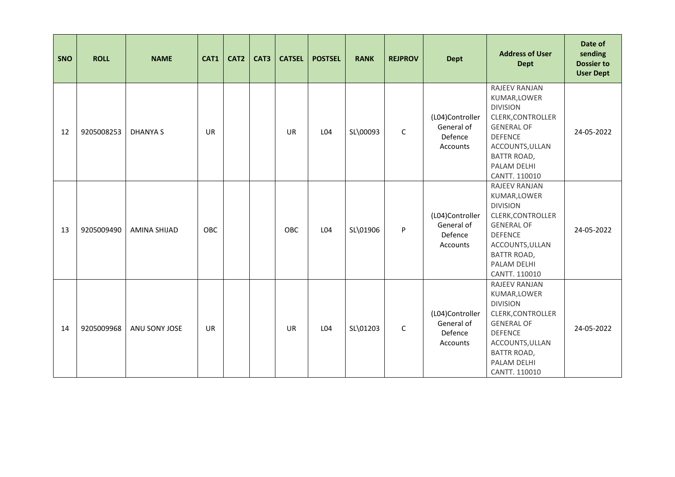| SNO | <b>ROLL</b> | <b>NAME</b>         | CAT1       | CAT2 | CAT3 | <b>CATSEL</b> | <b>POSTSEL</b> | <b>RANK</b> | <b>REJPROV</b> | <b>Dept</b>                                          | <b>Address of User</b><br><b>Dept</b>                                                                                                                                                 | Date of<br>sending<br><b>Dossier to</b><br><b>User Dept</b> |
|-----|-------------|---------------------|------------|------|------|---------------|----------------|-------------|----------------|------------------------------------------------------|---------------------------------------------------------------------------------------------------------------------------------------------------------------------------------------|-------------------------------------------------------------|
| 12  | 9205008253  | <b>DHANYA S</b>     | UR         |      |      | UR            | L04            | SL\00093    | $\mathsf C$    | (L04)Controller<br>General of<br>Defence<br>Accounts | RAJEEV RANJAN<br>KUMAR, LOWER<br><b>DIVISION</b><br>CLERK, CONTROLLER<br><b>GENERAL OF</b><br><b>DEFENCE</b><br>ACCOUNTS, ULLAN<br><b>BATTR ROAD,</b><br>PALAM DELHI<br>CANTT. 110010 | 24-05-2022                                                  |
| 13  | 9205009490  | <b>AMINA SHIJAD</b> | <b>OBC</b> |      |      | <b>OBC</b>    | L04            | SL\01906    | P              | (L04)Controller<br>General of<br>Defence<br>Accounts | RAJEEV RANJAN<br>KUMAR, LOWER<br><b>DIVISION</b><br>CLERK, CONTROLLER<br><b>GENERAL OF</b><br><b>DEFENCE</b><br>ACCOUNTS, ULLAN<br><b>BATTR ROAD,</b><br>PALAM DELHI<br>CANTT. 110010 | 24-05-2022                                                  |
| 14  | 9205009968  | ANU SONY JOSE       | UR         |      |      | <b>UR</b>     | L04            | SL\01203    | $\mathsf C$    | (L04)Controller<br>General of<br>Defence<br>Accounts | RAJEEV RANJAN<br>KUMAR, LOWER<br><b>DIVISION</b><br>CLERK, CONTROLLER<br><b>GENERAL OF</b><br><b>DEFENCE</b><br>ACCOUNTS, ULLAN<br><b>BATTR ROAD,</b><br>PALAM DELHI<br>CANTT. 110010 | 24-05-2022                                                  |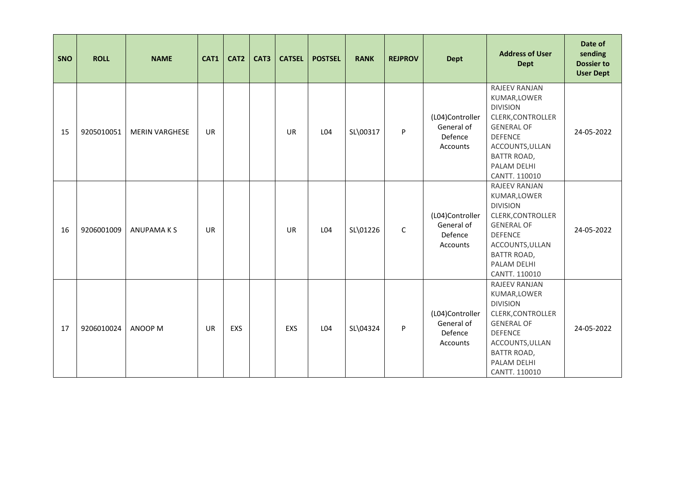| SNO | <b>ROLL</b> | <b>NAME</b>           | CAT1      | CAT2 | CAT3 | <b>CATSEL</b> | <b>POSTSEL</b> | <b>RANK</b> | <b>REJPROV</b> | <b>Dept</b>                                          | <b>Address of User</b><br><b>Dept</b>                                                                                                                                                 | Date of<br>sending<br><b>Dossier to</b><br><b>User Dept</b> |
|-----|-------------|-----------------------|-----------|------|------|---------------|----------------|-------------|----------------|------------------------------------------------------|---------------------------------------------------------------------------------------------------------------------------------------------------------------------------------------|-------------------------------------------------------------|
| 15  | 9205010051  | <b>MERIN VARGHESE</b> | <b>UR</b> |      |      | <b>UR</b>     | L04            | SL\00317    | P              | (L04)Controller<br>General of<br>Defence<br>Accounts | RAJEEV RANJAN<br>KUMAR, LOWER<br><b>DIVISION</b><br>CLERK, CONTROLLER<br><b>GENERAL OF</b><br><b>DEFENCE</b><br>ACCOUNTS, ULLAN<br><b>BATTR ROAD,</b><br>PALAM DELHI<br>CANTT. 110010 | 24-05-2022                                                  |
| 16  | 9206001009  | <b>ANUPAMAKS</b>      | <b>UR</b> |      |      | <b>UR</b>     | L04            | SL\01226    | $\mathsf C$    | (L04)Controller<br>General of<br>Defence<br>Accounts | RAJEEV RANJAN<br>KUMAR, LOWER<br><b>DIVISION</b><br>CLERK, CONTROLLER<br><b>GENERAL OF</b><br><b>DEFENCE</b><br>ACCOUNTS, ULLAN<br><b>BATTR ROAD,</b><br>PALAM DELHI<br>CANTT. 110010 | 24-05-2022                                                  |
| 17  | 9206010024  | ANOOP M               | <b>UR</b> | EXS  |      | EXS           | L04            | SL\04324    | P              | (L04)Controller<br>General of<br>Defence<br>Accounts | RAJEEV RANJAN<br>KUMAR, LOWER<br><b>DIVISION</b><br>CLERK, CONTROLLER<br><b>GENERAL OF</b><br><b>DEFENCE</b><br>ACCOUNTS, ULLAN<br><b>BATTR ROAD,</b><br>PALAM DELHI<br>CANTT. 110010 | 24-05-2022                                                  |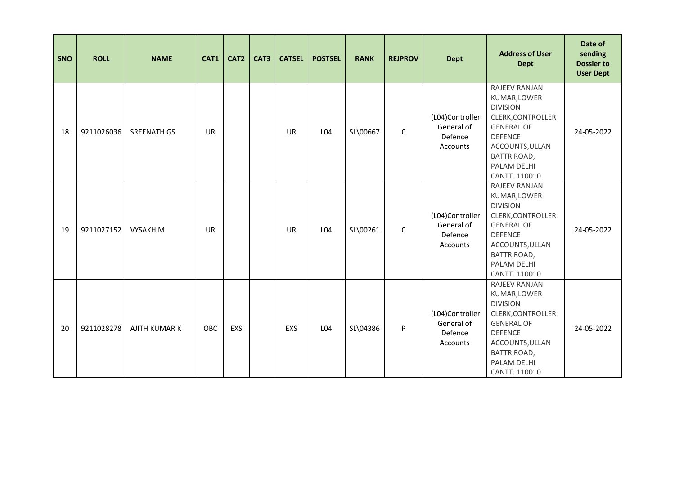| SNO | <b>ROLL</b> | <b>NAME</b>        | CAT1       | CAT2 | CAT3 | <b>CATSEL</b> | <b>POSTSEL</b> | <b>RANK</b> | <b>REJPROV</b> | <b>Dept</b>                                          | <b>Address of User</b><br><b>Dept</b>                                                                                                                                                 | Date of<br>sending<br><b>Dossier to</b><br><b>User Dept</b> |
|-----|-------------|--------------------|------------|------|------|---------------|----------------|-------------|----------------|------------------------------------------------------|---------------------------------------------------------------------------------------------------------------------------------------------------------------------------------------|-------------------------------------------------------------|
| 18  | 9211026036  | <b>SREENATH GS</b> | <b>UR</b>  |      |      | <b>UR</b>     | L04            | SL\00667    | $\mathsf C$    | (L04)Controller<br>General of<br>Defence<br>Accounts | RAJEEV RANJAN<br>KUMAR, LOWER<br><b>DIVISION</b><br>CLERK, CONTROLLER<br><b>GENERAL OF</b><br><b>DEFENCE</b><br>ACCOUNTS, ULLAN<br><b>BATTR ROAD,</b><br>PALAM DELHI<br>CANTT. 110010 | 24-05-2022                                                  |
| 19  | 9211027152  | <b>VYSAKH M</b>    | <b>UR</b>  |      |      | <b>UR</b>     | L04            | SL\00261    | $\mathsf{C}$   | (L04)Controller<br>General of<br>Defence<br>Accounts | RAJEEV RANJAN<br>KUMAR, LOWER<br><b>DIVISION</b><br>CLERK, CONTROLLER<br><b>GENERAL OF</b><br><b>DEFENCE</b><br>ACCOUNTS, ULLAN<br><b>BATTR ROAD,</b><br>PALAM DELHI<br>CANTT. 110010 | 24-05-2022                                                  |
| 20  | 9211028278  | AJITH KUMAR K      | <b>OBC</b> | EXS  |      | EXS           | L04            | SL\04386    | P              | (L04)Controller<br>General of<br>Defence<br>Accounts | RAJEEV RANJAN<br>KUMAR, LOWER<br><b>DIVISION</b><br>CLERK, CONTROLLER<br><b>GENERAL OF</b><br><b>DEFENCE</b><br>ACCOUNTS, ULLAN<br><b>BATTR ROAD,</b><br>PALAM DELHI<br>CANTT. 110010 | 24-05-2022                                                  |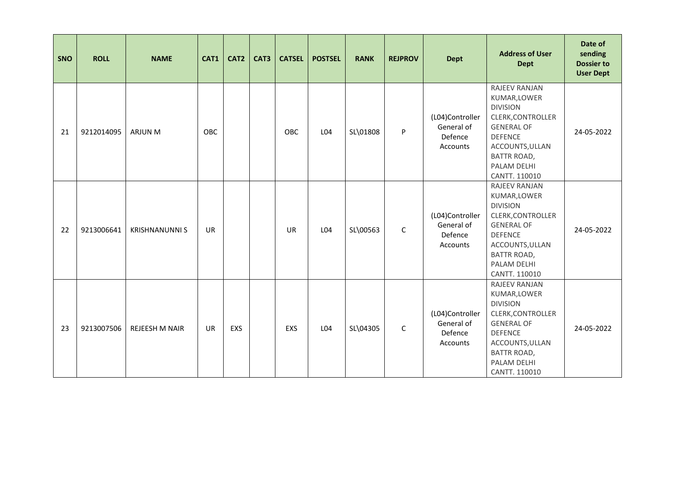| SNO | <b>ROLL</b> | <b>NAME</b>           | CAT1      | CAT2 | CAT3 | <b>CATSEL</b> | <b>POSTSEL</b> | <b>RANK</b> | <b>REJPROV</b> | <b>Dept</b>                                          | <b>Address of User</b><br><b>Dept</b>                                                                                                                                                 | Date of<br>sending<br><b>Dossier to</b><br><b>User Dept</b> |
|-----|-------------|-----------------------|-----------|------|------|---------------|----------------|-------------|----------------|------------------------------------------------------|---------------------------------------------------------------------------------------------------------------------------------------------------------------------------------------|-------------------------------------------------------------|
| 21  | 9212014095  | ARJUN M               | OBC       |      |      | OBC           | L04            | SL\01808    | P              | (L04)Controller<br>General of<br>Defence<br>Accounts | RAJEEV RANJAN<br>KUMAR, LOWER<br><b>DIVISION</b><br>CLERK, CONTROLLER<br><b>GENERAL OF</b><br><b>DEFENCE</b><br>ACCOUNTS, ULLAN<br><b>BATTR ROAD,</b><br>PALAM DELHI<br>CANTT. 110010 | 24-05-2022                                                  |
| 22  | 9213006641  | <b>KRISHNANUNNI S</b> | <b>UR</b> |      |      | <b>UR</b>     | L04            | SL\00563    | $\mathsf C$    | (L04)Controller<br>General of<br>Defence<br>Accounts | RAJEEV RANJAN<br>KUMAR, LOWER<br><b>DIVISION</b><br>CLERK, CONTROLLER<br><b>GENERAL OF</b><br><b>DEFENCE</b><br>ACCOUNTS, ULLAN<br><b>BATTR ROAD,</b><br>PALAM DELHI<br>CANTT. 110010 | 24-05-2022                                                  |
| 23  | 9213007506  | REJEESH M NAIR        | <b>UR</b> | EXS  |      | EXS           | L04            | SL\04305    | $\mathsf C$    | (L04)Controller<br>General of<br>Defence<br>Accounts | RAJEEV RANJAN<br>KUMAR, LOWER<br><b>DIVISION</b><br>CLERK, CONTROLLER<br><b>GENERAL OF</b><br><b>DEFENCE</b><br>ACCOUNTS, ULLAN<br><b>BATTR ROAD,</b><br>PALAM DELHI<br>CANTT. 110010 | 24-05-2022                                                  |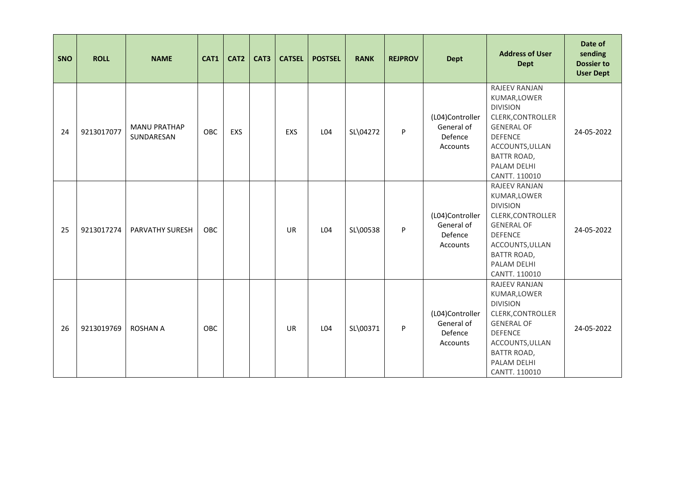| SNO | <b>ROLL</b> | <b>NAME</b>                       | CAT1       | CAT2 | CAT3 | <b>CATSEL</b> | <b>POSTSEL</b> | <b>RANK</b> | <b>REJPROV</b> | <b>Dept</b>                                          | <b>Address of User</b><br><b>Dept</b>                                                                                                                                                 | Date of<br>sending<br><b>Dossier to</b><br><b>User Dept</b> |
|-----|-------------|-----------------------------------|------------|------|------|---------------|----------------|-------------|----------------|------------------------------------------------------|---------------------------------------------------------------------------------------------------------------------------------------------------------------------------------------|-------------------------------------------------------------|
| 24  | 9213017077  | <b>MANU PRATHAP</b><br>SUNDARESAN | <b>OBC</b> | EXS  |      | EXS           | L04            | SL\04272    | P              | (L04)Controller<br>General of<br>Defence<br>Accounts | RAJEEV RANJAN<br>KUMAR, LOWER<br><b>DIVISION</b><br>CLERK, CONTROLLER<br><b>GENERAL OF</b><br><b>DEFENCE</b><br>ACCOUNTS, ULLAN<br><b>BATTR ROAD,</b><br>PALAM DELHI<br>CANTT. 110010 | 24-05-2022                                                  |
| 25  | 9213017274  | <b>PARVATHY SURESH</b>            | <b>OBC</b> |      |      | <b>UR</b>     | L04            | SL\00538    | P              | (L04)Controller<br>General of<br>Defence<br>Accounts | RAJEEV RANJAN<br>KUMAR, LOWER<br><b>DIVISION</b><br>CLERK, CONTROLLER<br><b>GENERAL OF</b><br><b>DEFENCE</b><br>ACCOUNTS, ULLAN<br><b>BATTR ROAD,</b><br>PALAM DELHI<br>CANTT. 110010 | 24-05-2022                                                  |
| 26  | 9213019769  | <b>ROSHAN A</b>                   | <b>OBC</b> |      |      | <b>UR</b>     | L04            | SL\00371    | P              | (L04)Controller<br>General of<br>Defence<br>Accounts | RAJEEV RANJAN<br>KUMAR, LOWER<br><b>DIVISION</b><br>CLERK, CONTROLLER<br><b>GENERAL OF</b><br><b>DEFENCE</b><br>ACCOUNTS, ULLAN<br><b>BATTR ROAD,</b><br>PALAM DELHI<br>CANTT. 110010 | 24-05-2022                                                  |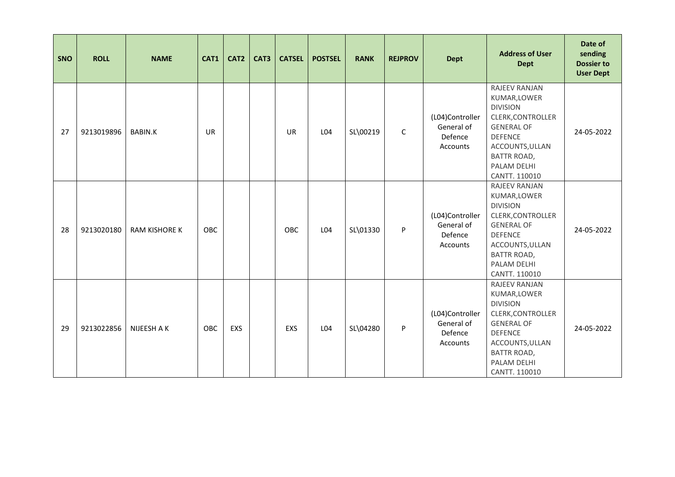| SNO | <b>ROLL</b> | <b>NAME</b>          | CAT1       | CAT2 | CAT3 | <b>CATSEL</b> | <b>POSTSEL</b> | <b>RANK</b> | <b>REJPROV</b> | <b>Dept</b>                                          | <b>Address of User</b><br><b>Dept</b>                                                                                                                                                 | Date of<br>sending<br><b>Dossier to</b><br><b>User Dept</b> |
|-----|-------------|----------------------|------------|------|------|---------------|----------------|-------------|----------------|------------------------------------------------------|---------------------------------------------------------------------------------------------------------------------------------------------------------------------------------------|-------------------------------------------------------------|
| 27  | 9213019896  | <b>BABIN.K</b>       | <b>UR</b>  |      |      | <b>UR</b>     | L04            | SL\00219    | $\mathsf C$    | (L04)Controller<br>General of<br>Defence<br>Accounts | RAJEEV RANJAN<br>KUMAR, LOWER<br><b>DIVISION</b><br>CLERK, CONTROLLER<br><b>GENERAL OF</b><br><b>DEFENCE</b><br>ACCOUNTS, ULLAN<br><b>BATTR ROAD,</b><br>PALAM DELHI<br>CANTT. 110010 | 24-05-2022                                                  |
| 28  | 9213020180  | <b>RAM KISHORE K</b> | <b>OBC</b> |      |      | <b>OBC</b>    | L04            | SL\01330    | P              | (L04)Controller<br>General of<br>Defence<br>Accounts | RAJEEV RANJAN<br>KUMAR, LOWER<br><b>DIVISION</b><br>CLERK, CONTROLLER<br><b>GENERAL OF</b><br><b>DEFENCE</b><br>ACCOUNTS, ULLAN<br><b>BATTR ROAD,</b><br>PALAM DELHI<br>CANTT. 110010 | 24-05-2022                                                  |
| 29  | 9213022856  | NIJEESH A K          | OBC        | EXS  |      | EXS           | L04            | SL\04280    | P              | (L04)Controller<br>General of<br>Defence<br>Accounts | RAJEEV RANJAN<br>KUMAR, LOWER<br><b>DIVISION</b><br>CLERK, CONTROLLER<br><b>GENERAL OF</b><br><b>DEFENCE</b><br>ACCOUNTS, ULLAN<br><b>BATTR ROAD,</b><br>PALAM DELHI<br>CANTT. 110010 | 24-05-2022                                                  |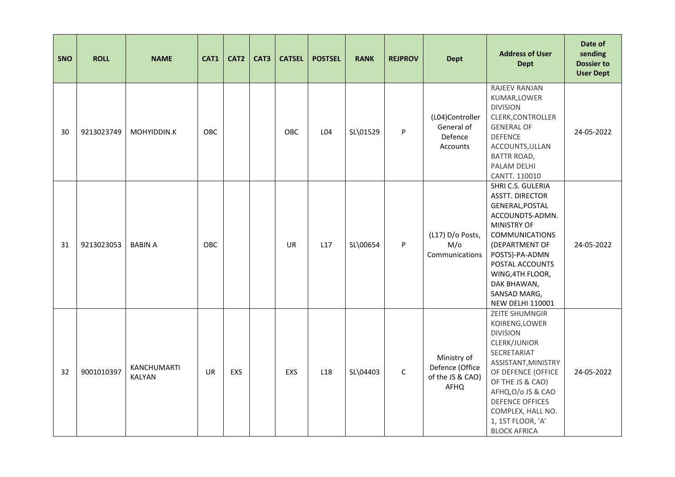| SNO | <b>ROLL</b> | <b>NAME</b>                  | CAT1      | CAT2 | CAT3 | <b>CATSEL</b> | <b>POSTSEL</b>  | <b>RANK</b> | <b>REJPROV</b> | <b>Dept</b>                                                | <b>Address of User</b><br><b>Dept</b>                                                                                                                                                                                                                                 | Date of<br>sending<br><b>Dossier to</b><br><b>User Dept</b> |
|-----|-------------|------------------------------|-----------|------|------|---------------|-----------------|-------------|----------------|------------------------------------------------------------|-----------------------------------------------------------------------------------------------------------------------------------------------------------------------------------------------------------------------------------------------------------------------|-------------------------------------------------------------|
| 30  | 9213023749  | MOHYIDDIN.K                  | OBC       |      |      | OBC           | L04             | SL\01529    | P              | (L04)Controller<br>General of<br>Defence<br>Accounts       | RAJEEV RANJAN<br>KUMAR, LOWER<br><b>DIVISION</b><br>CLERK, CONTROLLER<br><b>GENERAL OF</b><br><b>DEFENCE</b><br>ACCOUNTS, ULLAN<br><b>BATTR ROAD,</b><br>PALAM DELHI<br>CANTT. 110010                                                                                 | 24-05-2022                                                  |
| 31  | 9213023053  | <b>BABIN A</b>               | OBC       |      |      | UR            | L17             | SL\00654    | P              | (L17) D/o Posts,<br>M/O<br>Communications                  | SHRI C.S. GULERIA<br><b>ASSTT. DIRECTOR</b><br>GENERAL, POSTAL<br>ACCOUNDTS-ADMN.<br><b>MINISTRY OF</b><br><b>COMMUNICATIONS</b><br>(DEPARTMENT OF<br>POSTS)-PA-ADMN<br>POSTAL ACCOUNTS<br>WING, 4TH FLOOR,<br>DAK BHAWAN,<br>SANSAD MARG,<br><b>NEW DELHI 110001</b> | 24-05-2022                                                  |
| 32  | 9001010397  | KANCHUMARTI<br><b>KALYAN</b> | <b>UR</b> | EXS  |      | EXS           | L <sub>18</sub> | SL\04403    | $\mathsf C$    | Ministry of<br>Defence (Office<br>of the JS & CAO)<br>AFHQ | ZEITE SHUMNGIR<br>KOIRENG, LOWER<br><b>DIVISION</b><br>CLERK/JUNIOR<br>SECRETARIAT<br>ASSISTANT, MINISTRY<br>OF DEFENCE (OFFICE<br>OF THE JS & CAO)<br>AFHQ, O/o JS & CAO<br><b>DEFENCE OFFICES</b><br>COMPLEX, HALL NO.<br>1, 1ST FLOOR, 'A'<br><b>BLOCK AFRICA</b>  | 24-05-2022                                                  |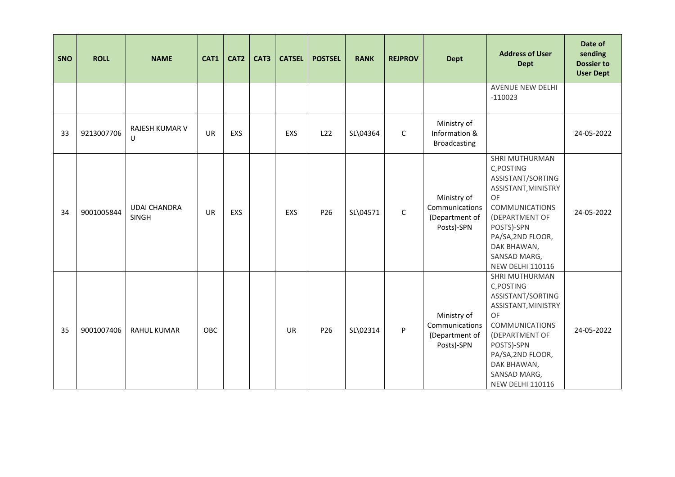| SNO | <b>ROLL</b> | <b>NAME</b>                         | CAT1       | CAT <sub>2</sub> | CAT3 | <b>CATSEL</b> | <b>POSTSEL</b> | <b>RANK</b> | <b>REJPROV</b> | <b>Dept</b>                                                   | <b>Address of User</b><br><b>Dept</b>                                                                                                                                                                                         | Date of<br>sending<br><b>Dossier to</b><br><b>User Dept</b> |
|-----|-------------|-------------------------------------|------------|------------------|------|---------------|----------------|-------------|----------------|---------------------------------------------------------------|-------------------------------------------------------------------------------------------------------------------------------------------------------------------------------------------------------------------------------|-------------------------------------------------------------|
|     |             |                                     |            |                  |      |               |                |             |                |                                                               | <b>AVENUE NEW DELHI</b><br>$-110023$                                                                                                                                                                                          |                                                             |
| 33  | 9213007706  | <b>RAJESH KUMAR V</b><br>U          | <b>UR</b>  | EXS              |      | EXS           | L22            | SL\04364    | $\mathsf C$    | Ministry of<br>Information &<br><b>Broadcasting</b>           |                                                                                                                                                                                                                               | 24-05-2022                                                  |
| 34  | 9001005844  | <b>UDAI CHANDRA</b><br><b>SINGH</b> | <b>UR</b>  | EXS              |      | <b>EXS</b>    | P26            | SL\04571    | $\mathsf C$    | Ministry of<br>Communications<br>(Department of<br>Posts)-SPN | <b>SHRI MUTHURMAN</b><br>C, POSTING<br>ASSISTANT/SORTING<br>ASSISTANT, MINISTRY<br>OF<br><b>COMMUNICATIONS</b><br>(DEPARTMENT OF<br>POSTS)-SPN<br>PA/SA, 2ND FLOOR,<br>DAK BHAWAN,<br>SANSAD MARG,<br><b>NEW DELHI 110116</b> | 24-05-2022                                                  |
| 35  | 9001007406  | <b>RAHUL KUMAR</b>                  | <b>OBC</b> |                  |      | <b>UR</b>     | P26            | SL\02314    | P              | Ministry of<br>Communications<br>(Department of<br>Posts)-SPN | SHRI MUTHURMAN<br>C, POSTING<br>ASSISTANT/SORTING<br>ASSISTANT, MINISTRY<br>OF<br><b>COMMUNICATIONS</b><br>(DEPARTMENT OF<br>POSTS)-SPN<br>PA/SA, 2ND FLOOR,<br>DAK BHAWAN,<br>SANSAD MARG,<br><b>NEW DELHI 110116</b>        | 24-05-2022                                                  |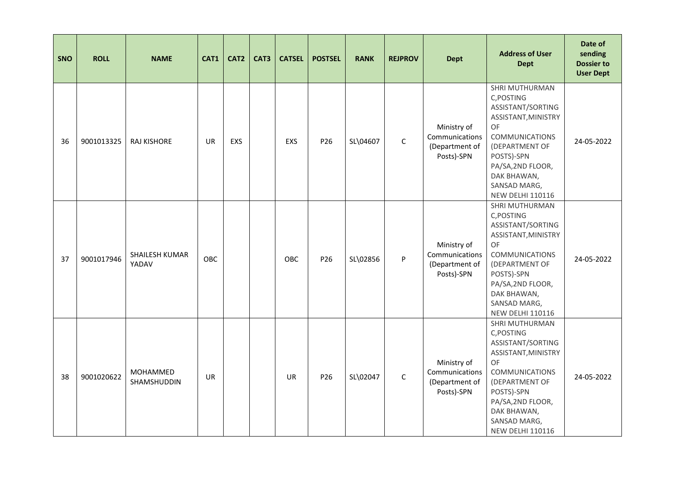| <b>SNO</b> | <b>ROLL</b> | <b>NAME</b>                    | CAT1       | CAT <sub>2</sub> | CAT3 | <b>CATSEL</b> | <b>POSTSEL</b>  | <b>RANK</b> | <b>REJPROV</b> | <b>Dept</b>                                                   | <b>Address of User</b><br><b>Dept</b>                                                                                                                                                                                         | Date of<br>sending<br><b>Dossier to</b><br><b>User Dept</b> |
|------------|-------------|--------------------------------|------------|------------------|------|---------------|-----------------|-------------|----------------|---------------------------------------------------------------|-------------------------------------------------------------------------------------------------------------------------------------------------------------------------------------------------------------------------------|-------------------------------------------------------------|
| 36         | 9001013325  | <b>RAJ KISHORE</b>             | UR         | <b>EXS</b>       |      | EXS           | P26             | SL\04607    | $\mathsf C$    | Ministry of<br>Communications<br>(Department of<br>Posts)-SPN | SHRI MUTHURMAN<br>C, POSTING<br>ASSISTANT/SORTING<br>ASSISTANT, MINISTRY<br>OF<br><b>COMMUNICATIONS</b><br>(DEPARTMENT OF<br>POSTS)-SPN<br>PA/SA, 2ND FLOOR,<br>DAK BHAWAN,<br>SANSAD MARG,<br><b>NEW DELHI 110116</b>        | 24-05-2022                                                  |
| 37         | 9001017946  | <b>SHAILESH KUMAR</b><br>YADAV | <b>OBC</b> |                  |      | <b>OBC</b>    | P <sub>26</sub> | SL\02856    | P              | Ministry of<br>Communications<br>(Department of<br>Posts)-SPN | SHRI MUTHURMAN<br>C, POSTING<br>ASSISTANT/SORTING<br>ASSISTANT, MINISTRY<br><b>OF</b><br><b>COMMUNICATIONS</b><br>(DEPARTMENT OF<br>POSTS)-SPN<br>PA/SA, 2ND FLOOR,<br>DAK BHAWAN,<br>SANSAD MARG,<br><b>NEW DELHI 110116</b> | 24-05-2022                                                  |
| 38         | 9001020622  | MOHAMMED<br>SHAMSHUDDIN        | <b>UR</b>  |                  |      | <b>UR</b>     | P26             | SL\02047    | $\mathsf{C}$   | Ministry of<br>Communications<br>(Department of<br>Posts)-SPN | SHRI MUTHURMAN<br>C, POSTING<br>ASSISTANT/SORTING<br>ASSISTANT, MINISTRY<br>OF<br><b>COMMUNICATIONS</b><br>(DEPARTMENT OF<br>POSTS)-SPN<br>PA/SA, 2ND FLOOR,<br>DAK BHAWAN,<br>SANSAD MARG,<br><b>NEW DELHI 110116</b>        | 24-05-2022                                                  |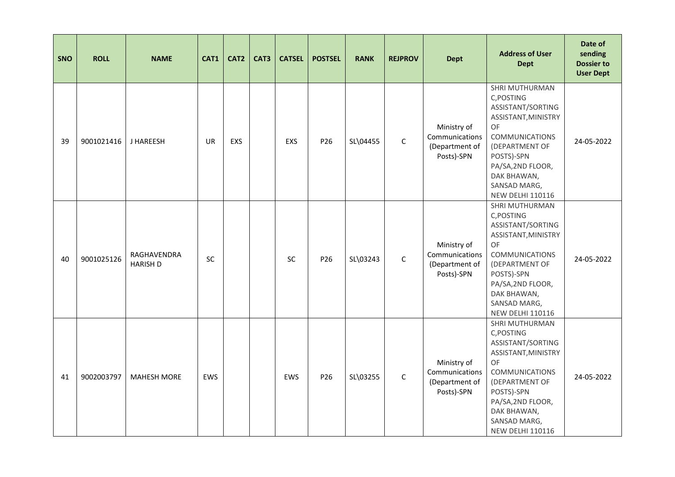| <b>SNO</b> | <b>ROLL</b> | <b>NAME</b>                    | CAT1 | CAT <sub>2</sub> | CAT3 | <b>CATSEL</b> | <b>POSTSEL</b>  | <b>RANK</b> | <b>REJPROV</b> | <b>Dept</b>                                                   | <b>Address of User</b><br><b>Dept</b>                                                                                                                                                                                  | Date of<br>sending<br><b>Dossier to</b><br><b>User Dept</b> |
|------------|-------------|--------------------------------|------|------------------|------|---------------|-----------------|-------------|----------------|---------------------------------------------------------------|------------------------------------------------------------------------------------------------------------------------------------------------------------------------------------------------------------------------|-------------------------------------------------------------|
| 39         | 9001021416  | J HAREESH                      | UR   | EXS              |      | EXS           | P26             | SL\04455    | $\mathsf C$    | Ministry of<br>Communications<br>(Department of<br>Posts)-SPN | SHRI MUTHURMAN<br>C, POSTING<br>ASSISTANT/SORTING<br>ASSISTANT, MINISTRY<br>OF<br><b>COMMUNICATIONS</b><br>(DEPARTMENT OF<br>POSTS)-SPN<br>PA/SA, 2ND FLOOR,<br>DAK BHAWAN,<br>SANSAD MARG,<br><b>NEW DELHI 110116</b> | 24-05-2022                                                  |
| 40         | 9001025126  | RAGHAVENDRA<br><b>HARISH D</b> | SC   |                  |      | <b>SC</b>     | P <sub>26</sub> | SL\03243    | $\mathsf C$    | Ministry of<br>Communications<br>(Department of<br>Posts)-SPN | SHRI MUTHURMAN<br>C, POSTING<br>ASSISTANT/SORTING<br>ASSISTANT, MINISTRY<br>OF<br><b>COMMUNICATIONS</b><br>(DEPARTMENT OF<br>POSTS)-SPN<br>PA/SA, 2ND FLOOR,<br>DAK BHAWAN,<br>SANSAD MARG,<br><b>NEW DELHI 110116</b> | 24-05-2022                                                  |
| 41         | 9002003797  | <b>MAHESH MORE</b>             | EWS  |                  |      | EWS           | P26             | SL\03255    | $\mathsf{C}$   | Ministry of<br>Communications<br>(Department of<br>Posts)-SPN | SHRI MUTHURMAN<br>C, POSTING<br>ASSISTANT/SORTING<br>ASSISTANT, MINISTRY<br>OF<br><b>COMMUNICATIONS</b><br>(DEPARTMENT OF<br>POSTS)-SPN<br>PA/SA, 2ND FLOOR,<br>DAK BHAWAN,<br>SANSAD MARG,<br><b>NEW DELHI 110116</b> | 24-05-2022                                                  |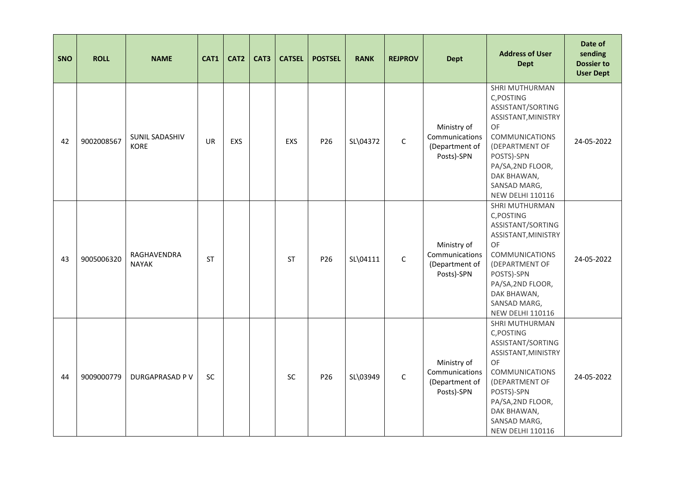| <b>SNO</b> | <b>ROLL</b> | <b>NAME</b>                   | CAT1      | CAT <sub>2</sub> | CAT3 | <b>CATSEL</b> | <b>POSTSEL</b>  | <b>RANK</b> | <b>REJPROV</b> | <b>Dept</b>                                                   | <b>Address of User</b><br><b>Dept</b>                                                                                                                                                                                         | Date of<br>sending<br><b>Dossier to</b><br><b>User Dept</b> |
|------------|-------------|-------------------------------|-----------|------------------|------|---------------|-----------------|-------------|----------------|---------------------------------------------------------------|-------------------------------------------------------------------------------------------------------------------------------------------------------------------------------------------------------------------------------|-------------------------------------------------------------|
| 42         | 9002008567  | SUNIL SADASHIV<br><b>KORE</b> | <b>UR</b> | EXS              |      | EXS           | P26             | SL\04372    | $\mathsf C$    | Ministry of<br>Communications<br>(Department of<br>Posts)-SPN | SHRI MUTHURMAN<br>C, POSTING<br>ASSISTANT/SORTING<br>ASSISTANT, MINISTRY<br>OF<br><b>COMMUNICATIONS</b><br>(DEPARTMENT OF<br>POSTS)-SPN<br>PA/SA, 2ND FLOOR,<br>DAK BHAWAN,<br>SANSAD MARG,<br><b>NEW DELHI 110116</b>        | 24-05-2022                                                  |
| 43         | 9005006320  | RAGHAVENDRA<br><b>NAYAK</b>   | <b>ST</b> |                  |      | <b>ST</b>     | P <sub>26</sub> | SL\04111    | $\mathsf C$    | Ministry of<br>Communications<br>(Department of<br>Posts)-SPN | SHRI MUTHURMAN<br>C, POSTING<br>ASSISTANT/SORTING<br>ASSISTANT, MINISTRY<br><b>OF</b><br><b>COMMUNICATIONS</b><br>(DEPARTMENT OF<br>POSTS)-SPN<br>PA/SA, 2ND FLOOR,<br>DAK BHAWAN,<br>SANSAD MARG,<br><b>NEW DELHI 110116</b> | 24-05-2022                                                  |
| 44         | 9009000779  | <b>DURGAPRASAD PV</b>         | SC        |                  |      | <b>SC</b>     | P26             | SL\03949    | $\mathsf{C}$   | Ministry of<br>Communications<br>(Department of<br>Posts)-SPN | SHRI MUTHURMAN<br>C, POSTING<br>ASSISTANT/SORTING<br>ASSISTANT, MINISTRY<br>OF<br><b>COMMUNICATIONS</b><br>(DEPARTMENT OF<br>POSTS)-SPN<br>PA/SA, 2ND FLOOR,<br>DAK BHAWAN,<br>SANSAD MARG,<br><b>NEW DELHI 110116</b>        | 24-05-2022                                                  |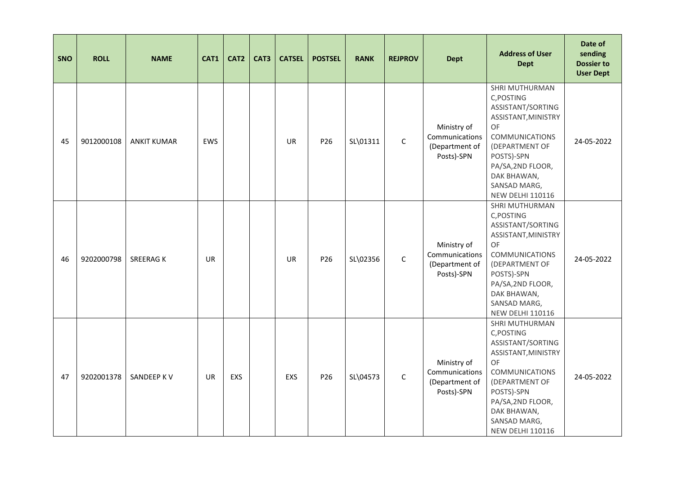| SNO | <b>ROLL</b> | <b>NAME</b>        | CAT1      | CAT <sub>2</sub> | CAT3 | <b>CATSEL</b> | <b>POSTSEL</b> | <b>RANK</b> | <b>REJPROV</b> | <b>Dept</b>                                                   | <b>Address of User</b><br><b>Dept</b>                                                                                                                                                                                  | Date of<br>sending<br><b>Dossier to</b><br><b>User Dept</b> |
|-----|-------------|--------------------|-----------|------------------|------|---------------|----------------|-------------|----------------|---------------------------------------------------------------|------------------------------------------------------------------------------------------------------------------------------------------------------------------------------------------------------------------------|-------------------------------------------------------------|
| 45  | 9012000108  | <b>ANKIT KUMAR</b> | EWS       |                  |      | <b>UR</b>     | P26            | SL\01311    | $\mathsf C$    | Ministry of<br>Communications<br>(Department of<br>Posts)-SPN | SHRI MUTHURMAN<br>C, POSTING<br>ASSISTANT/SORTING<br>ASSISTANT, MINISTRY<br>OF<br><b>COMMUNICATIONS</b><br>(DEPARTMENT OF<br>POSTS)-SPN<br>PA/SA, 2ND FLOOR,<br>DAK BHAWAN,<br>SANSAD MARG,<br><b>NEW DELHI 110116</b> | 24-05-2022                                                  |
| 46  | 9202000798  | <b>SREERAGK</b>    | <b>UR</b> |                  |      | <b>UR</b>     | P26            | SL\02356    | $\mathsf{C}$   | Ministry of<br>Communications<br>(Department of<br>Posts)-SPN | SHRI MUTHURMAN<br>C, POSTING<br>ASSISTANT/SORTING<br>ASSISTANT, MINISTRY<br>OF<br><b>COMMUNICATIONS</b><br>(DEPARTMENT OF<br>POSTS)-SPN<br>PA/SA, 2ND FLOOR,<br>DAK BHAWAN,<br>SANSAD MARG,<br><b>NEW DELHI 110116</b> | 24-05-2022                                                  |
| 47  | 9202001378  | SANDEEP K V        | <b>UR</b> | EXS              |      | EXS           | P26            | SL\04573    | $\mathsf{C}$   | Ministry of<br>Communications<br>(Department of<br>Posts)-SPN | SHRI MUTHURMAN<br>C, POSTING<br>ASSISTANT/SORTING<br>ASSISTANT, MINISTRY<br>OF<br><b>COMMUNICATIONS</b><br>(DEPARTMENT OF<br>POSTS)-SPN<br>PA/SA, 2ND FLOOR,<br>DAK BHAWAN,<br>SANSAD MARG,<br><b>NEW DELHI 110116</b> | 24-05-2022                                                  |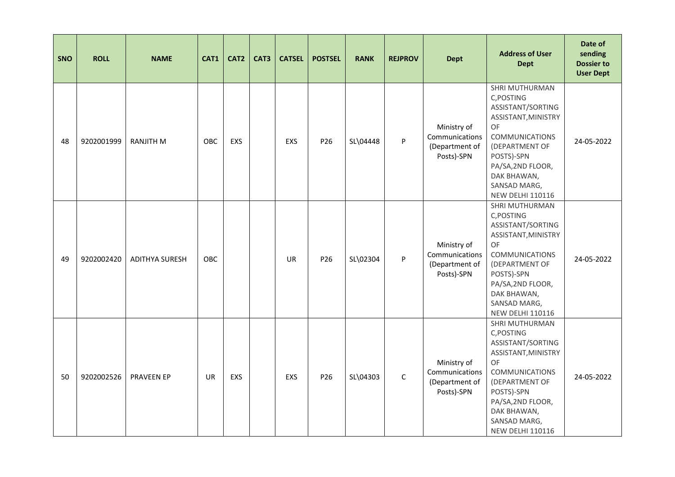| SNO | <b>ROLL</b> | <b>NAME</b>           | CAT1      | CAT <sub>2</sub> | CAT3 | <b>CATSEL</b> | <b>POSTSEL</b> | <b>RANK</b> | <b>REJPROV</b> | <b>Dept</b>                                                   | <b>Address of User</b><br><b>Dept</b>                                                                                                                                                                                  | Date of<br>sending<br><b>Dossier to</b><br><b>User Dept</b> |
|-----|-------------|-----------------------|-----------|------------------|------|---------------|----------------|-------------|----------------|---------------------------------------------------------------|------------------------------------------------------------------------------------------------------------------------------------------------------------------------------------------------------------------------|-------------------------------------------------------------|
| 48  | 9202001999  | <b>RANJITH M</b>      | OBC       | EXS              |      | <b>EXS</b>    | P26            | SL\04448    | P              | Ministry of<br>Communications<br>(Department of<br>Posts)-SPN | SHRI MUTHURMAN<br>C, POSTING<br>ASSISTANT/SORTING<br>ASSISTANT, MINISTRY<br>OF<br><b>COMMUNICATIONS</b><br>(DEPARTMENT OF<br>POSTS)-SPN<br>PA/SA, 2ND FLOOR,<br>DAK BHAWAN,<br>SANSAD MARG,<br><b>NEW DELHI 110116</b> | 24-05-2022                                                  |
| 49  | 9202002420  | <b>ADITHYA SURESH</b> | OBC       |                  |      | <b>UR</b>     | P26            | SL\02304    | P              | Ministry of<br>Communications<br>(Department of<br>Posts)-SPN | SHRI MUTHURMAN<br>C, POSTING<br>ASSISTANT/SORTING<br>ASSISTANT, MINISTRY<br>OF<br><b>COMMUNICATIONS</b><br>(DEPARTMENT OF<br>POSTS)-SPN<br>PA/SA, 2ND FLOOR,<br>DAK BHAWAN,<br>SANSAD MARG,<br><b>NEW DELHI 110116</b> | 24-05-2022                                                  |
| 50  | 9202002526  | <b>PRAVEEN EP</b>     | <b>UR</b> | EXS              |      | EXS           | P26            | SL\04303    | $\mathsf{C}$   | Ministry of<br>Communications<br>(Department of<br>Posts)-SPN | SHRI MUTHURMAN<br>C, POSTING<br>ASSISTANT/SORTING<br>ASSISTANT, MINISTRY<br>OF<br><b>COMMUNICATIONS</b><br>(DEPARTMENT OF<br>POSTS)-SPN<br>PA/SA, 2ND FLOOR,<br>DAK BHAWAN,<br>SANSAD MARG,<br><b>NEW DELHI 110116</b> | 24-05-2022                                                  |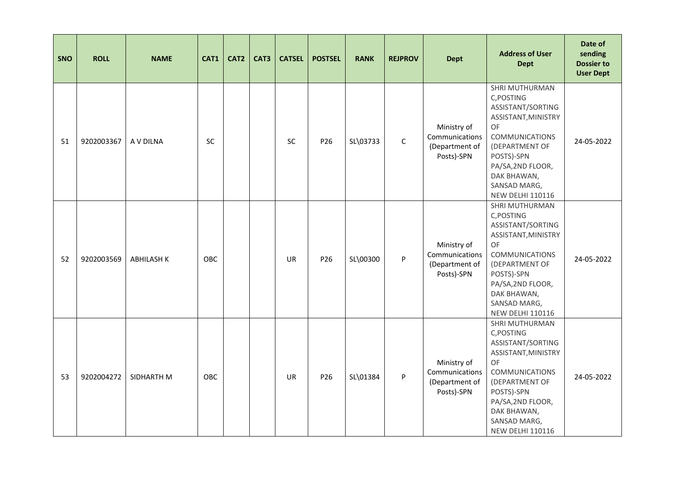| <b>SNO</b> | <b>ROLL</b> | <b>NAME</b>       | CAT1       | CAT <sub>2</sub> | CAT3 | <b>CATSEL</b> | <b>POSTSEL</b>  | <b>RANK</b> | <b>REJPROV</b> | <b>Dept</b>                                                   | <b>Address of User</b><br><b>Dept</b>                                                                                                                                                                                  | Date of<br>sending<br><b>Dossier to</b><br><b>User Dept</b> |
|------------|-------------|-------------------|------------|------------------|------|---------------|-----------------|-------------|----------------|---------------------------------------------------------------|------------------------------------------------------------------------------------------------------------------------------------------------------------------------------------------------------------------------|-------------------------------------------------------------|
| 51         | 9202003367  | A V DILNA         | <b>SC</b>  |                  |      | <b>SC</b>     | P26             | SL\03733    | $\mathsf C$    | Ministry of<br>Communications<br>(Department of<br>Posts)-SPN | SHRI MUTHURMAN<br>C, POSTING<br>ASSISTANT/SORTING<br>ASSISTANT, MINISTRY<br>OF<br><b>COMMUNICATIONS</b><br>(DEPARTMENT OF<br>POSTS)-SPN<br>PA/SA, 2ND FLOOR,<br>DAK BHAWAN,<br>SANSAD MARG,<br><b>NEW DELHI 110116</b> | 24-05-2022                                                  |
| 52         | 9202003569  | <b>ABHILASH K</b> | <b>OBC</b> |                  |      | <b>UR</b>     | P <sub>26</sub> | SL\00300    | P              | Ministry of<br>Communications<br>(Department of<br>Posts)-SPN | SHRI MUTHURMAN<br>C, POSTING<br>ASSISTANT/SORTING<br>ASSISTANT, MINISTRY<br>OF<br><b>COMMUNICATIONS</b><br>(DEPARTMENT OF<br>POSTS)-SPN<br>PA/SA, 2ND FLOOR,<br>DAK BHAWAN,<br>SANSAD MARG,<br><b>NEW DELHI 110116</b> | 24-05-2022                                                  |
| 53         | 9202004272  | SIDHARTH M        | OBC        |                  |      | <b>UR</b>     | P26             | SL\01384    | P              | Ministry of<br>Communications<br>(Department of<br>Posts)-SPN | SHRI MUTHURMAN<br>C, POSTING<br>ASSISTANT/SORTING<br>ASSISTANT, MINISTRY<br>OF<br><b>COMMUNICATIONS</b><br>(DEPARTMENT OF<br>POSTS)-SPN<br>PA/SA, 2ND FLOOR,<br>DAK BHAWAN,<br>SANSAD MARG,<br><b>NEW DELHI 110116</b> | 24-05-2022                                                  |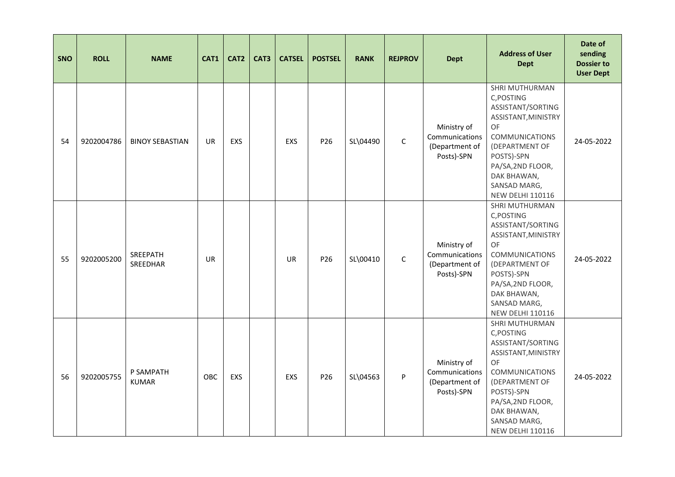| <b>SNO</b> | <b>ROLL</b> | <b>NAME</b>               | CAT1       | CAT <sub>2</sub> | CAT3 | <b>CATSEL</b> | <b>POSTSEL</b>  | <b>RANK</b> | <b>REJPROV</b> | <b>Dept</b>                                                   | <b>Address of User</b><br><b>Dept</b>                                                                                                                                                                                         | Date of<br>sending<br><b>Dossier to</b><br><b>User Dept</b> |
|------------|-------------|---------------------------|------------|------------------|------|---------------|-----------------|-------------|----------------|---------------------------------------------------------------|-------------------------------------------------------------------------------------------------------------------------------------------------------------------------------------------------------------------------------|-------------------------------------------------------------|
| 54         | 9202004786  | <b>BINOY SEBASTIAN</b>    | <b>UR</b>  | EXS              |      | EXS           | P26             | SL\04490    | $\mathsf C$    | Ministry of<br>Communications<br>(Department of<br>Posts)-SPN | SHRI MUTHURMAN<br>C, POSTING<br>ASSISTANT/SORTING<br>ASSISTANT, MINISTRY<br>OF<br><b>COMMUNICATIONS</b><br>(DEPARTMENT OF<br>POSTS)-SPN<br>PA/SA, 2ND FLOOR,<br>DAK BHAWAN,<br>SANSAD MARG,<br><b>NEW DELHI 110116</b>        | 24-05-2022                                                  |
| 55         | 9202005200  | SREEPATH<br>SREEDHAR      | UR         |                  |      | <b>UR</b>     | P <sub>26</sub> | SL\00410    | $\mathsf C$    | Ministry of<br>Communications<br>(Department of<br>Posts)-SPN | SHRI MUTHURMAN<br>C, POSTING<br>ASSISTANT/SORTING<br>ASSISTANT, MINISTRY<br><b>OF</b><br><b>COMMUNICATIONS</b><br>(DEPARTMENT OF<br>POSTS)-SPN<br>PA/SA, 2ND FLOOR,<br>DAK BHAWAN,<br>SANSAD MARG,<br><b>NEW DELHI 110116</b> | 24-05-2022                                                  |
| 56         | 9202005755  | P SAMPATH<br><b>KUMAR</b> | <b>OBC</b> | EXS              |      | EXS           | P26             | SL\04563    | P              | Ministry of<br>Communications<br>(Department of<br>Posts)-SPN | SHRI MUTHURMAN<br>C, POSTING<br>ASSISTANT/SORTING<br>ASSISTANT, MINISTRY<br>OF<br><b>COMMUNICATIONS</b><br>(DEPARTMENT OF<br>POSTS)-SPN<br>PA/SA, 2ND FLOOR,<br>DAK BHAWAN,<br>SANSAD MARG,<br><b>NEW DELHI 110116</b>        | 24-05-2022                                                  |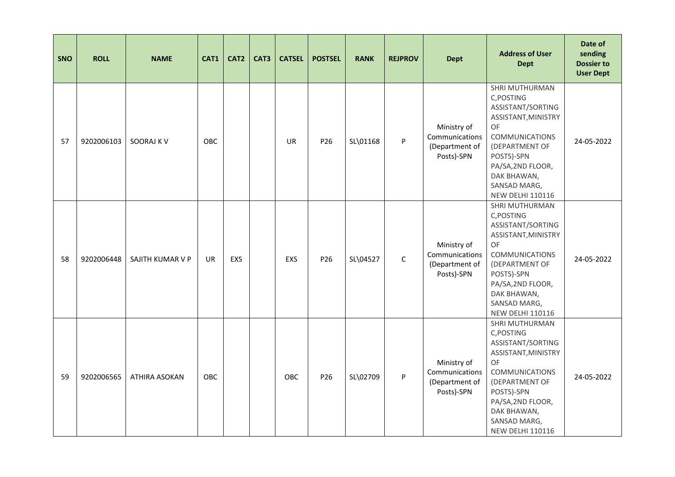| <b>SNO</b> | <b>ROLL</b> | <b>NAME</b>      | CAT1 | CAT <sub>2</sub> | CAT3 | <b>CATSEL</b> | <b>POSTSEL</b>  | <b>RANK</b> | <b>REJPROV</b> | <b>Dept</b>                                                   | <b>Address of User</b><br><b>Dept</b>                                                                                                                                                                                         | Date of<br>sending<br><b>Dossier to</b><br><b>User Dept</b> |
|------------|-------------|------------------|------|------------------|------|---------------|-----------------|-------------|----------------|---------------------------------------------------------------|-------------------------------------------------------------------------------------------------------------------------------------------------------------------------------------------------------------------------------|-------------------------------------------------------------|
| 57         | 9202006103  | SOORAJ K V       | OBC  |                  |      | UR            | P26             | SL\01168    | P              | Ministry of<br>Communications<br>(Department of<br>Posts)-SPN | SHRI MUTHURMAN<br>C, POSTING<br>ASSISTANT/SORTING<br>ASSISTANT, MINISTRY<br>OF<br><b>COMMUNICATIONS</b><br>(DEPARTMENT OF<br>POSTS)-SPN<br>PA/SA, 2ND FLOOR,<br>DAK BHAWAN,<br>SANSAD MARG,<br><b>NEW DELHI 110116</b>        | 24-05-2022                                                  |
| 58         | 9202006448  | SAJITH KUMAR V P | UR   | <b>EXS</b>       |      | EXS           | P <sub>26</sub> | SL\04527    | $\mathsf C$    | Ministry of<br>Communications<br>(Department of<br>Posts)-SPN | SHRI MUTHURMAN<br>C, POSTING<br>ASSISTANT/SORTING<br>ASSISTANT, MINISTRY<br><b>OF</b><br><b>COMMUNICATIONS</b><br>(DEPARTMENT OF<br>POSTS)-SPN<br>PA/SA, 2ND FLOOR,<br>DAK BHAWAN,<br>SANSAD MARG,<br><b>NEW DELHI 110116</b> | 24-05-2022                                                  |
| 59         | 9202006565  | ATHIRA ASOKAN    | OBC  |                  |      | OBC           | P <sub>26</sub> | SL\02709    | P              | Ministry of<br>Communications<br>(Department of<br>Posts)-SPN | SHRI MUTHURMAN<br>C, POSTING<br>ASSISTANT/SORTING<br>ASSISTANT, MINISTRY<br>OF<br><b>COMMUNICATIONS</b><br>(DEPARTMENT OF<br>POSTS)-SPN<br>PA/SA, 2ND FLOOR,<br>DAK BHAWAN,<br>SANSAD MARG,<br><b>NEW DELHI 110116</b>        | 24-05-2022                                                  |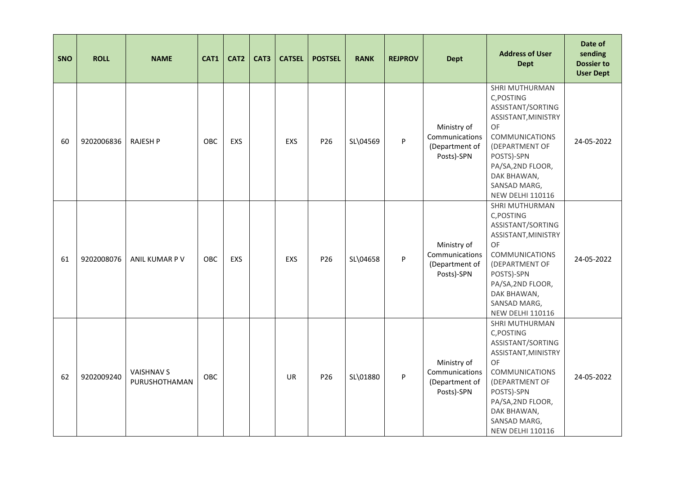| <b>SNO</b> | <b>ROLL</b> | <b>NAME</b>                        | CAT1       | CAT2       | CAT3 | <b>CATSEL</b> | <b>POSTSEL</b>  | <b>RANK</b> | <b>REJPROV</b> | <b>Dept</b>                                                   | <b>Address of User</b><br><b>Dept</b>                                                                                                                                                                                         | Date of<br>sending<br><b>Dossier to</b><br><b>User Dept</b> |
|------------|-------------|------------------------------------|------------|------------|------|---------------|-----------------|-------------|----------------|---------------------------------------------------------------|-------------------------------------------------------------------------------------------------------------------------------------------------------------------------------------------------------------------------------|-------------------------------------------------------------|
| 60         | 9202006836  | <b>RAJESH P</b>                    | <b>OBC</b> | EXS        |      | EXS           | P26             | SL\04569    | P              | Ministry of<br>Communications<br>(Department of<br>Posts)-SPN | SHRI MUTHURMAN<br>C, POSTING<br>ASSISTANT/SORTING<br>ASSISTANT, MINISTRY<br>OF<br><b>COMMUNICATIONS</b><br>(DEPARTMENT OF<br>POSTS)-SPN<br>PA/SA, 2ND FLOOR,<br>DAK BHAWAN,<br>SANSAD MARG,<br><b>NEW DELHI 110116</b>        | 24-05-2022                                                  |
| 61         | 9202008076  | ANIL KUMAR P V                     | <b>OBC</b> | <b>EXS</b> |      | EXS           | P <sub>26</sub> | SL\04658    | P              | Ministry of<br>Communications<br>(Department of<br>Posts)-SPN | SHRI MUTHURMAN<br>C, POSTING<br>ASSISTANT/SORTING<br>ASSISTANT, MINISTRY<br><b>OF</b><br><b>COMMUNICATIONS</b><br>(DEPARTMENT OF<br>POSTS)-SPN<br>PA/SA, 2ND FLOOR,<br>DAK BHAWAN,<br>SANSAD MARG,<br><b>NEW DELHI 110116</b> | 24-05-2022                                                  |
| 62         | 9202009240  | <b>VAISHNAV S</b><br>PURUSHOTHAMAN | OBC        |            |      | <b>UR</b>     | P26             | SL\01880    | P              | Ministry of<br>Communications<br>(Department of<br>Posts)-SPN | SHRI MUTHURMAN<br>C, POSTING<br>ASSISTANT/SORTING<br>ASSISTANT, MINISTRY<br>OF<br><b>COMMUNICATIONS</b><br>(DEPARTMENT OF<br>POSTS)-SPN<br>PA/SA, 2ND FLOOR,<br>DAK BHAWAN,<br>SANSAD MARG,<br><b>NEW DELHI 110116</b>        | 24-05-2022                                                  |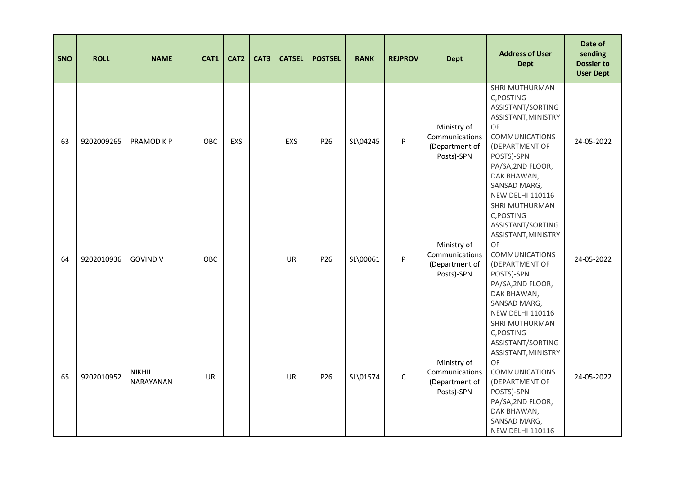| <b>SNO</b> | <b>ROLL</b> | <b>NAME</b>                | CAT1       | CAT2 | CAT3 | <b>CATSEL</b> | <b>POSTSEL</b>  | <b>RANK</b> | <b>REJPROV</b> | <b>Dept</b>                                                   | <b>Address of User</b><br><b>Dept</b>                                                                                                                                                                                  | Date of<br>sending<br><b>Dossier to</b><br><b>User Dept</b> |
|------------|-------------|----------------------------|------------|------|------|---------------|-----------------|-------------|----------------|---------------------------------------------------------------|------------------------------------------------------------------------------------------------------------------------------------------------------------------------------------------------------------------------|-------------------------------------------------------------|
| 63         | 9202009265  | PRAMOD K P                 | <b>OBC</b> | EXS  |      | EXS           | P26             | SL\04245    | P              | Ministry of<br>Communications<br>(Department of<br>Posts)-SPN | SHRI MUTHURMAN<br>C, POSTING<br>ASSISTANT/SORTING<br>ASSISTANT, MINISTRY<br>OF<br><b>COMMUNICATIONS</b><br>(DEPARTMENT OF<br>POSTS)-SPN<br>PA/SA, 2ND FLOOR,<br>DAK BHAWAN,<br>SANSAD MARG,<br><b>NEW DELHI 110116</b> | 24-05-2022                                                  |
| 64         | 9202010936  | <b>GOVIND V</b>            | <b>OBC</b> |      |      | <b>UR</b>     | P <sub>26</sub> | SL\00061    | P              | Ministry of<br>Communications<br>(Department of<br>Posts)-SPN | SHRI MUTHURMAN<br>C, POSTING<br>ASSISTANT/SORTING<br>ASSISTANT, MINISTRY<br>OF<br><b>COMMUNICATIONS</b><br>(DEPARTMENT OF<br>POSTS)-SPN<br>PA/SA, 2ND FLOOR,<br>DAK BHAWAN,<br>SANSAD MARG,<br><b>NEW DELHI 110116</b> | 24-05-2022                                                  |
| 65         | 9202010952  | <b>NIKHIL</b><br>NARAYANAN | UR         |      |      | <b>UR</b>     | P26             | SL\01574    | $\mathsf{C}$   | Ministry of<br>Communications<br>(Department of<br>Posts)-SPN | SHRI MUTHURMAN<br>C, POSTING<br>ASSISTANT/SORTING<br>ASSISTANT, MINISTRY<br>OF<br><b>COMMUNICATIONS</b><br>(DEPARTMENT OF<br>POSTS)-SPN<br>PA/SA, 2ND FLOOR,<br>DAK BHAWAN,<br>SANSAD MARG,<br><b>NEW DELHI 110116</b> | 24-05-2022                                                  |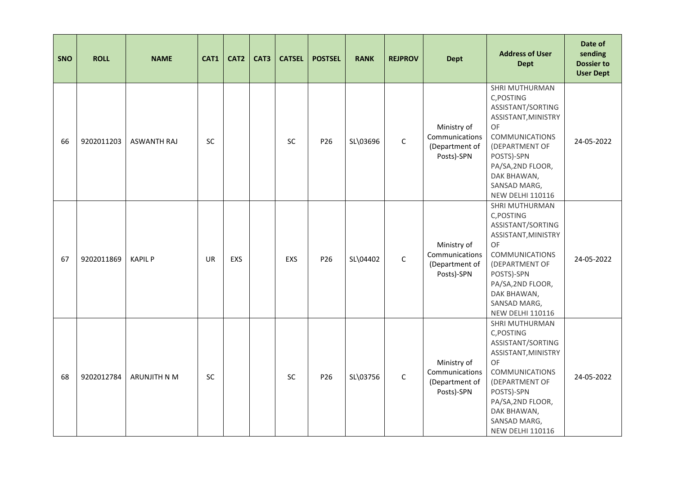| <b>SNO</b> | <b>ROLL</b> | <b>NAME</b>         | CAT1      | CAT <sub>2</sub> | CAT3 | <b>CATSEL</b> | <b>POSTSEL</b>  | <b>RANK</b> | <b>REJPROV</b> | <b>Dept</b>                                                   | <b>Address of User</b><br><b>Dept</b>                                                                                                                                                                                  | Date of<br>sending<br><b>Dossier to</b><br><b>User Dept</b> |
|------------|-------------|---------------------|-----------|------------------|------|---------------|-----------------|-------------|----------------|---------------------------------------------------------------|------------------------------------------------------------------------------------------------------------------------------------------------------------------------------------------------------------------------|-------------------------------------------------------------|
| 66         | 9202011203  | <b>ASWANTH RAJ</b>  | <b>SC</b> |                  |      | <b>SC</b>     | P26             | SL\03696    | $\mathsf C$    | Ministry of<br>Communications<br>(Department of<br>Posts)-SPN | SHRI MUTHURMAN<br>C, POSTING<br>ASSISTANT/SORTING<br>ASSISTANT, MINISTRY<br>OF<br><b>COMMUNICATIONS</b><br>(DEPARTMENT OF<br>POSTS)-SPN<br>PA/SA, 2ND FLOOR,<br>DAK BHAWAN,<br>SANSAD MARG,<br><b>NEW DELHI 110116</b> | 24-05-2022                                                  |
| 67         | 9202011869  | <b>KAPIL P</b>      | UR        | <b>EXS</b>       |      | EXS           | P <sub>26</sub> | SL\04402    | $\mathsf C$    | Ministry of<br>Communications<br>(Department of<br>Posts)-SPN | SHRI MUTHURMAN<br>C, POSTING<br>ASSISTANT/SORTING<br>ASSISTANT, MINISTRY<br>OF<br><b>COMMUNICATIONS</b><br>(DEPARTMENT OF<br>POSTS)-SPN<br>PA/SA, 2ND FLOOR,<br>DAK BHAWAN,<br>SANSAD MARG,<br><b>NEW DELHI 110116</b> | 24-05-2022                                                  |
| 68         | 9202012784  | <b>ARUNJITH N M</b> | SC        |                  |      | <b>SC</b>     | P26             | SL\03756    | $\mathsf{C}$   | Ministry of<br>Communications<br>(Department of<br>Posts)-SPN | SHRI MUTHURMAN<br>C, POSTING<br>ASSISTANT/SORTING<br>ASSISTANT, MINISTRY<br>OF<br><b>COMMUNICATIONS</b><br>(DEPARTMENT OF<br>POSTS)-SPN<br>PA/SA, 2ND FLOOR,<br>DAK BHAWAN,<br>SANSAD MARG,<br><b>NEW DELHI 110116</b> | 24-05-2022                                                  |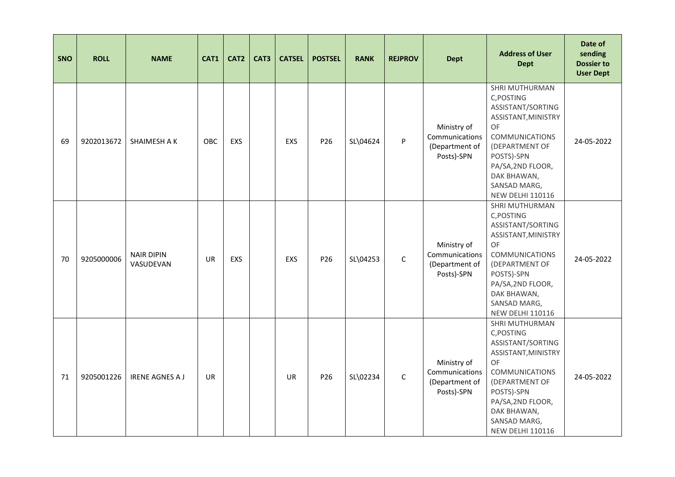| <b>SNO</b> | <b>ROLL</b> | <b>NAME</b>                    | CAT1       | CAT2       | CAT3 | <b>CATSEL</b> | <b>POSTSEL</b>  | <b>RANK</b> | <b>REJPROV</b> | <b>Dept</b>                                                   | <b>Address of User</b><br><b>Dept</b>                                                                                                                                                                                         | Date of<br>sending<br><b>Dossier to</b><br><b>User Dept</b> |
|------------|-------------|--------------------------------|------------|------------|------|---------------|-----------------|-------------|----------------|---------------------------------------------------------------|-------------------------------------------------------------------------------------------------------------------------------------------------------------------------------------------------------------------------------|-------------------------------------------------------------|
| 69         | 9202013672  | SHAIMESH A K                   | <b>OBC</b> | EXS        |      | EXS           | P26             | SL\04624    | P              | Ministry of<br>Communications<br>(Department of<br>Posts)-SPN | SHRI MUTHURMAN<br>C, POSTING<br>ASSISTANT/SORTING<br>ASSISTANT, MINISTRY<br>OF<br><b>COMMUNICATIONS</b><br>(DEPARTMENT OF<br>POSTS)-SPN<br>PA/SA, 2ND FLOOR,<br>DAK BHAWAN,<br>SANSAD MARG,<br><b>NEW DELHI 110116</b>        | 24-05-2022                                                  |
| 70         | 9205000006  | <b>NAIR DIPIN</b><br>VASUDEVAN | UR         | <b>EXS</b> |      | EXS           | P <sub>26</sub> | SL\04253    | $\mathsf C$    | Ministry of<br>Communications<br>(Department of<br>Posts)-SPN | SHRI MUTHURMAN<br>C, POSTING<br>ASSISTANT/SORTING<br>ASSISTANT, MINISTRY<br><b>OF</b><br><b>COMMUNICATIONS</b><br>(DEPARTMENT OF<br>POSTS)-SPN<br>PA/SA, 2ND FLOOR,<br>DAK BHAWAN,<br>SANSAD MARG,<br><b>NEW DELHI 110116</b> | 24-05-2022                                                  |
| 71         | 9205001226  | <b>IRENE AGNES A J</b>         | UR         |            |      | UR            | P26             | SL\02234    | $\mathsf{C}$   | Ministry of<br>Communications<br>(Department of<br>Posts)-SPN | SHRI MUTHURMAN<br>C, POSTING<br>ASSISTANT/SORTING<br>ASSISTANT, MINISTRY<br>OF<br><b>COMMUNICATIONS</b><br>(DEPARTMENT OF<br>POSTS)-SPN<br>PA/SA, 2ND FLOOR,<br>DAK BHAWAN,<br>SANSAD MARG,<br><b>NEW DELHI 110116</b>        | 24-05-2022                                                  |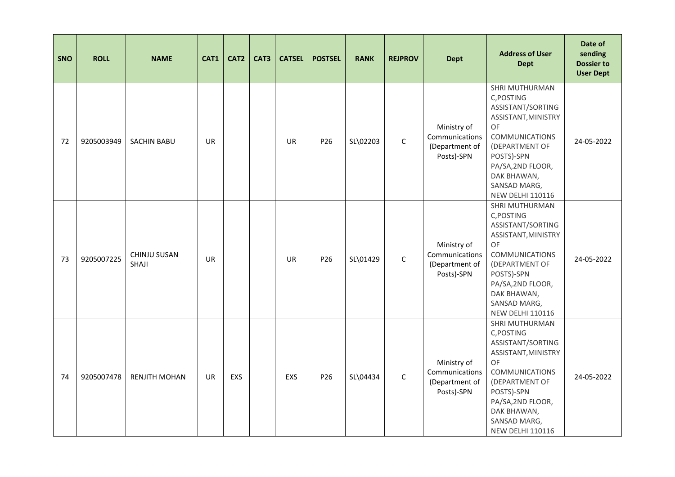| <b>SNO</b> | <b>ROLL</b> | <b>NAME</b>           | CAT1      | CAT <sub>2</sub> | CAT3 | <b>CATSEL</b> | <b>POSTSEL</b>  | <b>RANK</b> | <b>REJPROV</b> | <b>Dept</b>                                                   | <b>Address of User</b><br><b>Dept</b>                                                                                                                                                                                         | Date of<br>sending<br><b>Dossier to</b><br><b>User Dept</b> |
|------------|-------------|-----------------------|-----------|------------------|------|---------------|-----------------|-------------|----------------|---------------------------------------------------------------|-------------------------------------------------------------------------------------------------------------------------------------------------------------------------------------------------------------------------------|-------------------------------------------------------------|
| 72         | 9205003949  | <b>SACHIN BABU</b>    | <b>UR</b> |                  |      | UR            | P26             | SL\02203    | $\mathsf C$    | Ministry of<br>Communications<br>(Department of<br>Posts)-SPN | SHRI MUTHURMAN<br>C, POSTING<br>ASSISTANT/SORTING<br>ASSISTANT, MINISTRY<br>OF<br><b>COMMUNICATIONS</b><br>(DEPARTMENT OF<br>POSTS)-SPN<br>PA/SA, 2ND FLOOR,<br>DAK BHAWAN,<br>SANSAD MARG,<br><b>NEW DELHI 110116</b>        | 24-05-2022                                                  |
| 73         | 9205007225  | CHINJU SUSAN<br>SHAJI | <b>UR</b> |                  |      | <b>UR</b>     | P <sub>26</sub> | SL\01429    | $\mathsf C$    | Ministry of<br>Communications<br>(Department of<br>Posts)-SPN | SHRI MUTHURMAN<br>C, POSTING<br>ASSISTANT/SORTING<br>ASSISTANT, MINISTRY<br><b>OF</b><br><b>COMMUNICATIONS</b><br>(DEPARTMENT OF<br>POSTS)-SPN<br>PA/SA, 2ND FLOOR,<br>DAK BHAWAN,<br>SANSAD MARG,<br><b>NEW DELHI 110116</b> | 24-05-2022                                                  |
| 74         | 9205007478  | <b>RENJITH MOHAN</b>  | <b>UR</b> | EXS              |      | EXS           | P26             | SL\04434    | $\mathsf{C}$   | Ministry of<br>Communications<br>(Department of<br>Posts)-SPN | SHRI MUTHURMAN<br>C, POSTING<br>ASSISTANT/SORTING<br>ASSISTANT, MINISTRY<br>OF<br><b>COMMUNICATIONS</b><br>(DEPARTMENT OF<br>POSTS)-SPN<br>PA/SA, 2ND FLOOR,<br>DAK BHAWAN,<br>SANSAD MARG,<br><b>NEW DELHI 110116</b>        | 24-05-2022                                                  |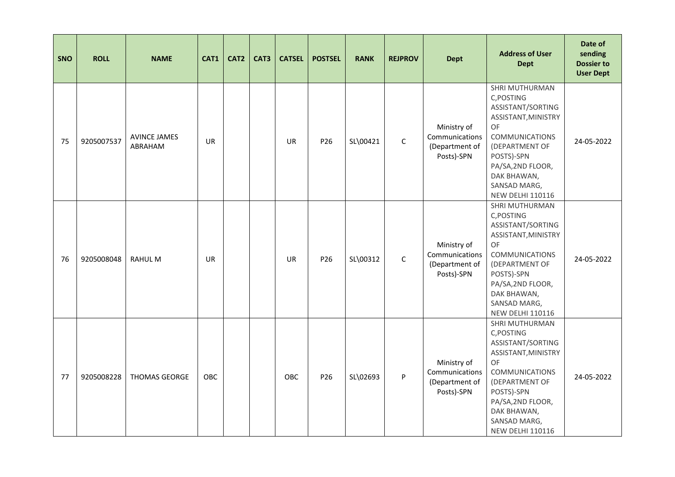| <b>SNO</b> | <b>ROLL</b> | <b>NAME</b>                    | CAT1      | CAT <sub>2</sub> | CAT3 | <b>CATSEL</b> | <b>POSTSEL</b>  | <b>RANK</b> | <b>REJPROV</b> | <b>Dept</b>                                                   | <b>Address of User</b><br><b>Dept</b>                                                                                                                                                                                  | Date of<br>sending<br><b>Dossier to</b><br><b>User Dept</b> |
|------------|-------------|--------------------------------|-----------|------------------|------|---------------|-----------------|-------------|----------------|---------------------------------------------------------------|------------------------------------------------------------------------------------------------------------------------------------------------------------------------------------------------------------------------|-------------------------------------------------------------|
| 75         | 9205007537  | <b>AVINCE JAMES</b><br>ABRAHAM | <b>UR</b> |                  |      | UR            | P26             | SL\00421    | $\mathsf C$    | Ministry of<br>Communications<br>(Department of<br>Posts)-SPN | SHRI MUTHURMAN<br>C, POSTING<br>ASSISTANT/SORTING<br>ASSISTANT, MINISTRY<br>OF<br><b>COMMUNICATIONS</b><br>(DEPARTMENT OF<br>POSTS)-SPN<br>PA/SA, 2ND FLOOR,<br>DAK BHAWAN,<br>SANSAD MARG,<br><b>NEW DELHI 110116</b> | 24-05-2022                                                  |
| 76         | 9205008048  | <b>RAHULM</b>                  | UR        |                  |      | <b>UR</b>     | P <sub>26</sub> | SL\00312    | $\mathsf C$    | Ministry of<br>Communications<br>(Department of<br>Posts)-SPN | SHRI MUTHURMAN<br>C, POSTING<br>ASSISTANT/SORTING<br>ASSISTANT, MINISTRY<br>OF<br><b>COMMUNICATIONS</b><br>(DEPARTMENT OF<br>POSTS)-SPN<br>PA/SA, 2ND FLOOR,<br>DAK BHAWAN,<br>SANSAD MARG,<br><b>NEW DELHI 110116</b> | 24-05-2022                                                  |
| 77         | 9205008228  | <b>THOMAS GEORGE</b>           | OBC       |                  |      | OBC           | P26             | SL\02693    | P              | Ministry of<br>Communications<br>(Department of<br>Posts)-SPN | SHRI MUTHURMAN<br>C, POSTING<br>ASSISTANT/SORTING<br>ASSISTANT, MINISTRY<br>OF<br><b>COMMUNICATIONS</b><br>(DEPARTMENT OF<br>POSTS)-SPN<br>PA/SA, 2ND FLOOR,<br>DAK BHAWAN,<br>SANSAD MARG,<br><b>NEW DELHI 110116</b> | 24-05-2022                                                  |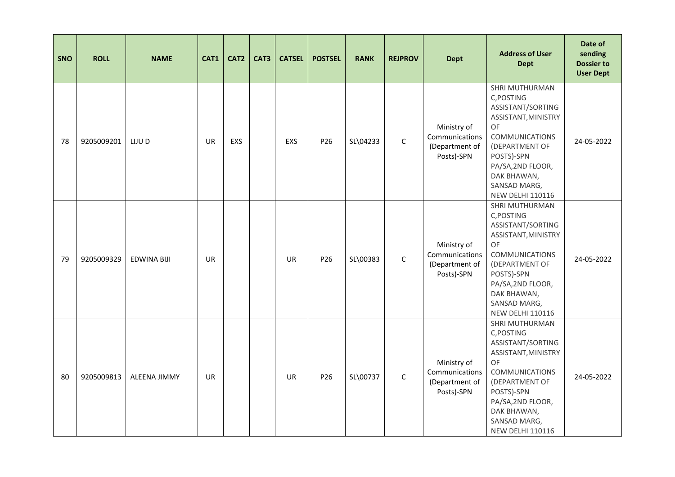| <b>SNO</b> | <b>ROLL</b> | <b>NAME</b>         | CAT1      | CAT <sub>2</sub> | CAT3 | <b>CATSEL</b> | <b>POSTSEL</b>  | <b>RANK</b> | <b>REJPROV</b> | <b>Dept</b>                                                   | <b>Address of User</b><br><b>Dept</b>                                                                                                                                                                                  | Date of<br>sending<br><b>Dossier to</b><br><b>User Dept</b> |
|------------|-------------|---------------------|-----------|------------------|------|---------------|-----------------|-------------|----------------|---------------------------------------------------------------|------------------------------------------------------------------------------------------------------------------------------------------------------------------------------------------------------------------------|-------------------------------------------------------------|
| 78         | 9205009201  | LIJU D              | <b>UR</b> | <b>EXS</b>       |      | EXS           | P26             | SL\04233    | $\mathsf C$    | Ministry of<br>Communications<br>(Department of<br>Posts)-SPN | SHRI MUTHURMAN<br>C, POSTING<br>ASSISTANT/SORTING<br>ASSISTANT, MINISTRY<br>OF<br><b>COMMUNICATIONS</b><br>(DEPARTMENT OF<br>POSTS)-SPN<br>PA/SA, 2ND FLOOR,<br>DAK BHAWAN,<br>SANSAD MARG,<br><b>NEW DELHI 110116</b> | 24-05-2022                                                  |
| 79         | 9205009329  | <b>EDWINA BIJI</b>  | <b>UR</b> |                  |      | <b>UR</b>     | P <sub>26</sub> | SL\00383    | $\mathsf C$    | Ministry of<br>Communications<br>(Department of<br>Posts)-SPN | SHRI MUTHURMAN<br>C, POSTING<br>ASSISTANT/SORTING<br>ASSISTANT, MINISTRY<br>OF<br><b>COMMUNICATIONS</b><br>(DEPARTMENT OF<br>POSTS)-SPN<br>PA/SA, 2ND FLOOR,<br>DAK BHAWAN,<br>SANSAD MARG,<br><b>NEW DELHI 110116</b> | 24-05-2022                                                  |
| 80         | 9205009813  | <b>ALEENA JIMMY</b> | <b>UR</b> |                  |      | <b>UR</b>     | P26             | SL\00737    | $\mathsf{C}$   | Ministry of<br>Communications<br>(Department of<br>Posts)-SPN | SHRI MUTHURMAN<br>C, POSTING<br>ASSISTANT/SORTING<br>ASSISTANT, MINISTRY<br>OF<br><b>COMMUNICATIONS</b><br>(DEPARTMENT OF<br>POSTS)-SPN<br>PA/SA, 2ND FLOOR,<br>DAK BHAWAN,<br>SANSAD MARG,<br><b>NEW DELHI 110116</b> | 24-05-2022                                                  |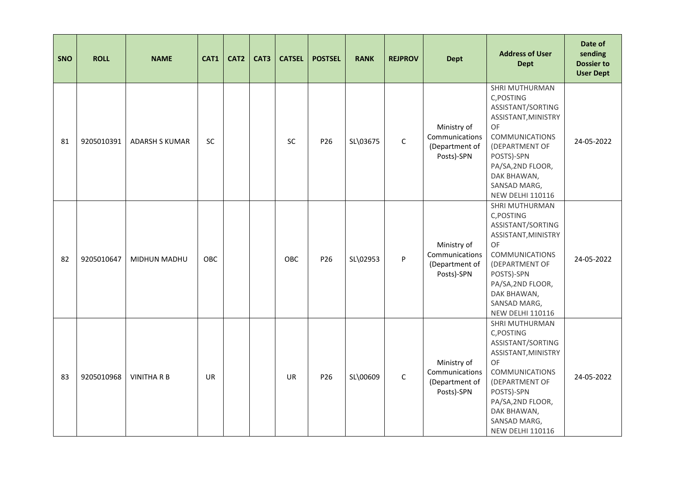| <b>SNO</b> | <b>ROLL</b> | <b>NAME</b>           | CAT1       | CAT <sub>2</sub> | CAT3 | <b>CATSEL</b> | <b>POSTSEL</b>  | <b>RANK</b> | <b>REJPROV</b> | <b>Dept</b>                                                   | <b>Address of User</b><br><b>Dept</b>                                                                                                                                                                                  | Date of<br>sending<br><b>Dossier to</b><br><b>User Dept</b> |
|------------|-------------|-----------------------|------------|------------------|------|---------------|-----------------|-------------|----------------|---------------------------------------------------------------|------------------------------------------------------------------------------------------------------------------------------------------------------------------------------------------------------------------------|-------------------------------------------------------------|
| 81         | 9205010391  | <b>ADARSH S KUMAR</b> | SC         |                  |      | <b>SC</b>     | P26             | SL\03675    | $\mathsf C$    | Ministry of<br>Communications<br>(Department of<br>Posts)-SPN | SHRI MUTHURMAN<br>C, POSTING<br>ASSISTANT/SORTING<br>ASSISTANT, MINISTRY<br>OF<br><b>COMMUNICATIONS</b><br>(DEPARTMENT OF<br>POSTS)-SPN<br>PA/SA, 2ND FLOOR,<br>DAK BHAWAN,<br>SANSAD MARG,<br><b>NEW DELHI 110116</b> | 24-05-2022                                                  |
| 82         | 9205010647  | MIDHUN MADHU          | <b>OBC</b> |                  |      | <b>OBC</b>    | P <sub>26</sub> | SL\02953    | P              | Ministry of<br>Communications<br>(Department of<br>Posts)-SPN | SHRI MUTHURMAN<br>C, POSTING<br>ASSISTANT/SORTING<br>ASSISTANT, MINISTRY<br>OF<br><b>COMMUNICATIONS</b><br>(DEPARTMENT OF<br>POSTS)-SPN<br>PA/SA, 2ND FLOOR,<br>DAK BHAWAN,<br>SANSAD MARG,<br><b>NEW DELHI 110116</b> | 24-05-2022                                                  |
| 83         | 9205010968  | <b>VINITHA R B</b>    | UR         |                  |      | UR            | P26             | SL\00609    | $\mathsf{C}$   | Ministry of<br>Communications<br>(Department of<br>Posts)-SPN | SHRI MUTHURMAN<br>C, POSTING<br>ASSISTANT/SORTING<br>ASSISTANT, MINISTRY<br>OF<br><b>COMMUNICATIONS</b><br>(DEPARTMENT OF<br>POSTS)-SPN<br>PA/SA, 2ND FLOOR,<br>DAK BHAWAN,<br>SANSAD MARG,<br><b>NEW DELHI 110116</b> | 24-05-2022                                                  |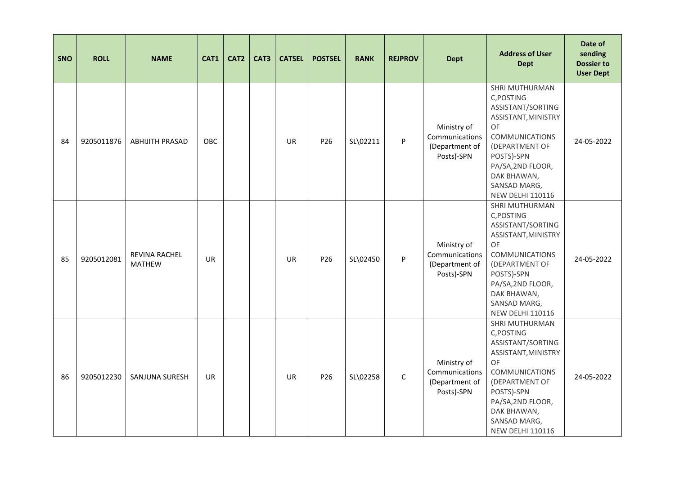| <b>SNO</b> | <b>ROLL</b> | <b>NAME</b>                    | CAT1      | CAT <sub>2</sub> | CAT3 | <b>CATSEL</b> | <b>POSTSEL</b>  | <b>RANK</b> | <b>REJPROV</b> | <b>Dept</b>                                                   | <b>Address of User</b><br><b>Dept</b>                                                                                                                                                                                  | Date of<br>sending<br><b>Dossier to</b><br><b>User Dept</b> |
|------------|-------------|--------------------------------|-----------|------------------|------|---------------|-----------------|-------------|----------------|---------------------------------------------------------------|------------------------------------------------------------------------------------------------------------------------------------------------------------------------------------------------------------------------|-------------------------------------------------------------|
| 84         | 9205011876  | <b>ABHIJITH PRASAD</b>         | OBC       |                  |      | <b>UR</b>     | P26             | SL\02211    | P              | Ministry of<br>Communications<br>(Department of<br>Posts)-SPN | SHRI MUTHURMAN<br>C, POSTING<br>ASSISTANT/SORTING<br>ASSISTANT, MINISTRY<br>OF<br><b>COMMUNICATIONS</b><br>(DEPARTMENT OF<br>POSTS)-SPN<br>PA/SA, 2ND FLOOR,<br>DAK BHAWAN,<br>SANSAD MARG,<br><b>NEW DELHI 110116</b> | 24-05-2022                                                  |
| 85         | 9205012081  | REVINA RACHEL<br><b>MATHEW</b> | <b>UR</b> |                  |      | <b>UR</b>     | P <sub>26</sub> | SL\02450    | P              | Ministry of<br>Communications<br>(Department of<br>Posts)-SPN | SHRI MUTHURMAN<br>C, POSTING<br>ASSISTANT/SORTING<br>ASSISTANT, MINISTRY<br>OF<br><b>COMMUNICATIONS</b><br>(DEPARTMENT OF<br>POSTS)-SPN<br>PA/SA, 2ND FLOOR,<br>DAK BHAWAN,<br>SANSAD MARG,<br><b>NEW DELHI 110116</b> | 24-05-2022                                                  |
| 86         | 9205012230  | SANJUNA SURESH                 | <b>UR</b> |                  |      | <b>UR</b>     | P26             | SL\02258    | $\mathsf{C}$   | Ministry of<br>Communications<br>(Department of<br>Posts)-SPN | SHRI MUTHURMAN<br>C, POSTING<br>ASSISTANT/SORTING<br>ASSISTANT, MINISTRY<br>OF<br><b>COMMUNICATIONS</b><br>(DEPARTMENT OF<br>POSTS)-SPN<br>PA/SA, 2ND FLOOR,<br>DAK BHAWAN,<br>SANSAD MARG,<br><b>NEW DELHI 110116</b> | 24-05-2022                                                  |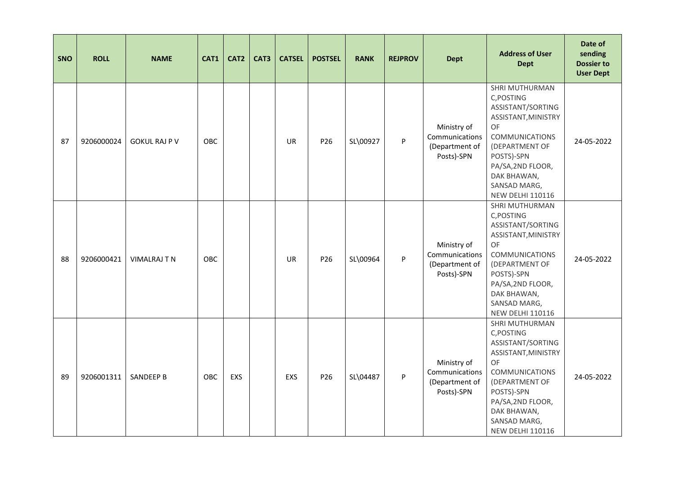| SNO | <b>ROLL</b> | <b>NAME</b>          | CAT1 | CAT2 | CAT3 | <b>CATSEL</b> | <b>POSTSEL</b> | <b>RANK</b> | <b>REJPROV</b> | <b>Dept</b>                                                   | <b>Address of User</b><br><b>Dept</b>                                                                                                                                                                                  | Date of<br>sending<br><b>Dossier to</b><br><b>User Dept</b> |
|-----|-------------|----------------------|------|------|------|---------------|----------------|-------------|----------------|---------------------------------------------------------------|------------------------------------------------------------------------------------------------------------------------------------------------------------------------------------------------------------------------|-------------------------------------------------------------|
| 87  | 9206000024  | <b>GOKUL RAJ P V</b> | OBC  |      |      | <b>UR</b>     | P26            | SL\00927    | P              | Ministry of<br>Communications<br>(Department of<br>Posts)-SPN | SHRI MUTHURMAN<br>C, POSTING<br>ASSISTANT/SORTING<br>ASSISTANT, MINISTRY<br>OF<br><b>COMMUNICATIONS</b><br>(DEPARTMENT OF<br>POSTS)-SPN<br>PA/SA, 2ND FLOOR,<br>DAK BHAWAN,<br>SANSAD MARG,<br><b>NEW DELHI 110116</b> | 24-05-2022                                                  |
| 88  | 9206000421  | <b>VIMALRAJ T N</b>  | OBC  |      |      | <b>UR</b>     | P26            | SL\00964    | P              | Ministry of<br>Communications<br>(Department of<br>Posts)-SPN | SHRI MUTHURMAN<br>C, POSTING<br>ASSISTANT/SORTING<br>ASSISTANT, MINISTRY<br>OF<br><b>COMMUNICATIONS</b><br>(DEPARTMENT OF<br>POSTS)-SPN<br>PA/SA, 2ND FLOOR,<br>DAK BHAWAN,<br>SANSAD MARG,<br><b>NEW DELHI 110116</b> | 24-05-2022                                                  |
| 89  | 9206001311  | <b>SANDEEP B</b>     | OBC  | EXS  |      | EXS           | P26            | SL\04487    | P              | Ministry of<br>Communications<br>(Department of<br>Posts)-SPN | SHRI MUTHURMAN<br>C, POSTING<br>ASSISTANT/SORTING<br>ASSISTANT, MINISTRY<br>OF<br><b>COMMUNICATIONS</b><br>(DEPARTMENT OF<br>POSTS)-SPN<br>PA/SA, 2ND FLOOR,<br>DAK BHAWAN,<br>SANSAD MARG,<br><b>NEW DELHI 110116</b> | 24-05-2022                                                  |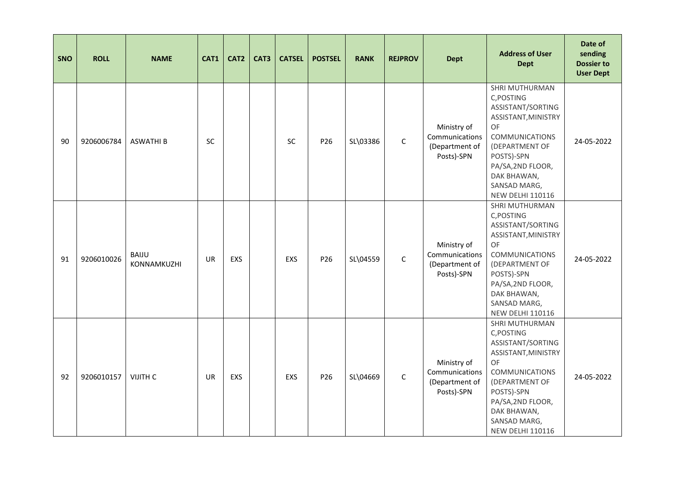| SNO | <b>ROLL</b> | <b>NAME</b>                 | CAT1      | CAT2 | CAT3 | <b>CATSEL</b> | <b>POSTSEL</b> | <b>RANK</b> | <b>REJPROV</b> | <b>Dept</b>                                                   | <b>Address of User</b><br><b>Dept</b>                                                                                                                                                                                  | Date of<br>sending<br><b>Dossier to</b><br><b>User Dept</b> |
|-----|-------------|-----------------------------|-----------|------|------|---------------|----------------|-------------|----------------|---------------------------------------------------------------|------------------------------------------------------------------------------------------------------------------------------------------------------------------------------------------------------------------------|-------------------------------------------------------------|
| 90  | 9206006784  | <b>ASWATHI B</b>            | SC        |      |      | <b>SC</b>     | P26            | SL\03386    | $\mathsf C$    | Ministry of<br>Communications<br>(Department of<br>Posts)-SPN | SHRI MUTHURMAN<br>C, POSTING<br>ASSISTANT/SORTING<br>ASSISTANT, MINISTRY<br>OF<br><b>COMMUNICATIONS</b><br>(DEPARTMENT OF<br>POSTS)-SPN<br>PA/SA, 2ND FLOOR,<br>DAK BHAWAN,<br>SANSAD MARG,<br><b>NEW DELHI 110116</b> | 24-05-2022                                                  |
| 91  | 9206010026  | <b>BAIJU</b><br>KONNAMKUZHI | UR        | EXS  |      | EXS           | P26            | SL\04559    | $\mathsf{C}$   | Ministry of<br>Communications<br>(Department of<br>Posts)-SPN | SHRI MUTHURMAN<br>C, POSTING<br>ASSISTANT/SORTING<br>ASSISTANT, MINISTRY<br>OF<br><b>COMMUNICATIONS</b><br>(DEPARTMENT OF<br>POSTS)-SPN<br>PA/SA, 2ND FLOOR,<br>DAK BHAWAN,<br>SANSAD MARG,<br><b>NEW DELHI 110116</b> | 24-05-2022                                                  |
| 92  | 9206010157  | VIJITH C                    | <b>UR</b> | EXS  |      | EXS           | P26            | SL\04669    | $\mathsf{C}$   | Ministry of<br>Communications<br>(Department of<br>Posts)-SPN | SHRI MUTHURMAN<br>C, POSTING<br>ASSISTANT/SORTING<br>ASSISTANT, MINISTRY<br>OF<br><b>COMMUNICATIONS</b><br>(DEPARTMENT OF<br>POSTS)-SPN<br>PA/SA, 2ND FLOOR,<br>DAK BHAWAN,<br>SANSAD MARG,<br><b>NEW DELHI 110116</b> | 24-05-2022                                                  |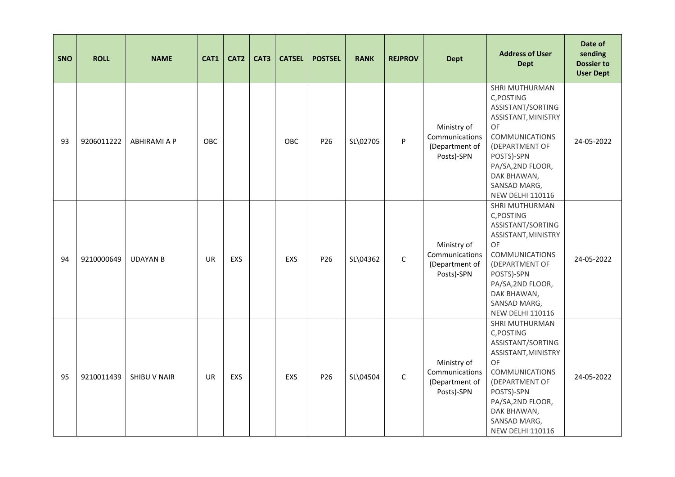| <b>SNO</b> | <b>ROLL</b> | <b>NAME</b>         | CAT1      | CAT <sub>2</sub> | CAT3 | <b>CATSEL</b> | <b>POSTSEL</b>  | <b>RANK</b> | <b>REJPROV</b> | <b>Dept</b>                                                   | <b>Address of User</b><br><b>Dept</b>                                                                                                                                                                                  | Date of<br>sending<br><b>Dossier to</b><br><b>User Dept</b> |
|------------|-------------|---------------------|-----------|------------------|------|---------------|-----------------|-------------|----------------|---------------------------------------------------------------|------------------------------------------------------------------------------------------------------------------------------------------------------------------------------------------------------------------------|-------------------------------------------------------------|
| 93         | 9206011222  | <b>ABHIRAMI A P</b> | OBC       |                  |      | OBC           | P <sub>26</sub> | SL\02705    | P              | Ministry of<br>Communications<br>(Department of<br>Posts)-SPN | SHRI MUTHURMAN<br>C, POSTING<br>ASSISTANT/SORTING<br>ASSISTANT, MINISTRY<br>OF<br><b>COMMUNICATIONS</b><br>(DEPARTMENT OF<br>POSTS)-SPN<br>PA/SA, 2ND FLOOR,<br>DAK BHAWAN,<br>SANSAD MARG,<br><b>NEW DELHI 110116</b> | 24-05-2022                                                  |
| 94         | 9210000649  | <b>UDAYAN B</b>     | <b>UR</b> | <b>EXS</b>       |      | EXS           | P <sub>26</sub> | SL\04362    | $\mathsf C$    | Ministry of<br>Communications<br>(Department of<br>Posts)-SPN | SHRI MUTHURMAN<br>C, POSTING<br>ASSISTANT/SORTING<br>ASSISTANT, MINISTRY<br>OF<br><b>COMMUNICATIONS</b><br>(DEPARTMENT OF<br>POSTS)-SPN<br>PA/SA, 2ND FLOOR,<br>DAK BHAWAN,<br>SANSAD MARG,<br><b>NEW DELHI 110116</b> | 24-05-2022                                                  |
| 95         | 9210011439  | <b>SHIBU V NAIR</b> | <b>UR</b> | <b>EXS</b>       |      | EXS           | P26             | SL\04504    | $\mathsf{C}$   | Ministry of<br>Communications<br>(Department of<br>Posts)-SPN | SHRI MUTHURMAN<br>C, POSTING<br>ASSISTANT/SORTING<br>ASSISTANT, MINISTRY<br>OF<br><b>COMMUNICATIONS</b><br>(DEPARTMENT OF<br>POSTS)-SPN<br>PA/SA, 2ND FLOOR,<br>DAK BHAWAN,<br>SANSAD MARG,<br><b>NEW DELHI 110116</b> | 24-05-2022                                                  |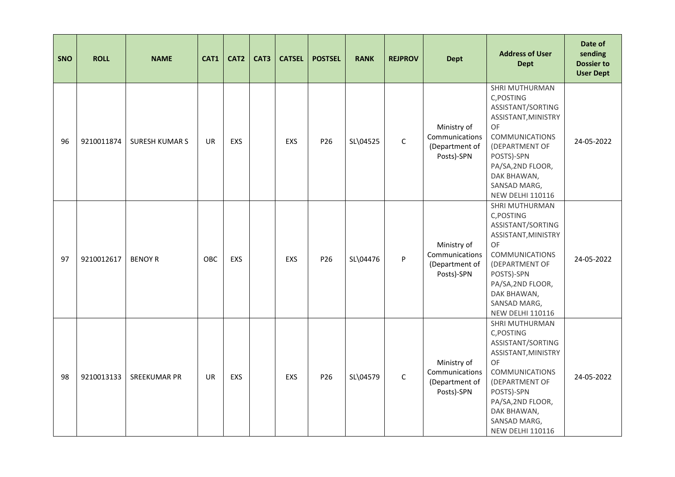| <b>SNO</b> | <b>ROLL</b> | <b>NAME</b>          | CAT1      | CAT <sub>2</sub> | CAT3 | <b>CATSEL</b> | <b>POSTSEL</b>  | <b>RANK</b> | <b>REJPROV</b> | <b>Dept</b>                                                   | <b>Address of User</b><br><b>Dept</b>                                                                                                                                                                                  | Date of<br>sending<br><b>Dossier to</b><br><b>User Dept</b> |
|------------|-------------|----------------------|-----------|------------------|------|---------------|-----------------|-------------|----------------|---------------------------------------------------------------|------------------------------------------------------------------------------------------------------------------------------------------------------------------------------------------------------------------------|-------------------------------------------------------------|
| 96         | 9210011874  | <b>SURESH KUMARS</b> | <b>UR</b> | <b>EXS</b>       |      | <b>EXS</b>    | P <sub>26</sub> | SL\04525    | $\mathsf{C}$   | Ministry of<br>Communications<br>(Department of<br>Posts)-SPN | SHRI MUTHURMAN<br>C, POSTING<br>ASSISTANT/SORTING<br>ASSISTANT, MINISTRY<br>OF<br><b>COMMUNICATIONS</b><br>(DEPARTMENT OF<br>POSTS)-SPN<br>PA/SA, 2ND FLOOR,<br>DAK BHAWAN,<br>SANSAD MARG,<br><b>NEW DELHI 110116</b> | 24-05-2022                                                  |
| 97         | 9210012617  | <b>BENOY R</b>       | OBC       | <b>EXS</b>       |      | EXS           | P <sub>26</sub> | SL\04476    | P              | Ministry of<br>Communications<br>(Department of<br>Posts)-SPN | SHRI MUTHURMAN<br>C, POSTING<br>ASSISTANT/SORTING<br>ASSISTANT, MINISTRY<br>OF<br><b>COMMUNICATIONS</b><br>(DEPARTMENT OF<br>POSTS)-SPN<br>PA/SA, 2ND FLOOR,<br>DAK BHAWAN,<br>SANSAD MARG,<br><b>NEW DELHI 110116</b> | 24-05-2022                                                  |
| 98         | 9210013133  | <b>SREEKUMAR PR</b>  | <b>UR</b> | <b>EXS</b>       |      | EXS           | P26             | SL\04579    | $\mathsf{C}$   | Ministry of<br>Communications<br>(Department of<br>Posts)-SPN | SHRI MUTHURMAN<br>C, POSTING<br>ASSISTANT/SORTING<br>ASSISTANT, MINISTRY<br>OF<br><b>COMMUNICATIONS</b><br>(DEPARTMENT OF<br>POSTS)-SPN<br>PA/SA, 2ND FLOOR,<br>DAK BHAWAN,<br>SANSAD MARG,<br><b>NEW DELHI 110116</b> | 24-05-2022                                                  |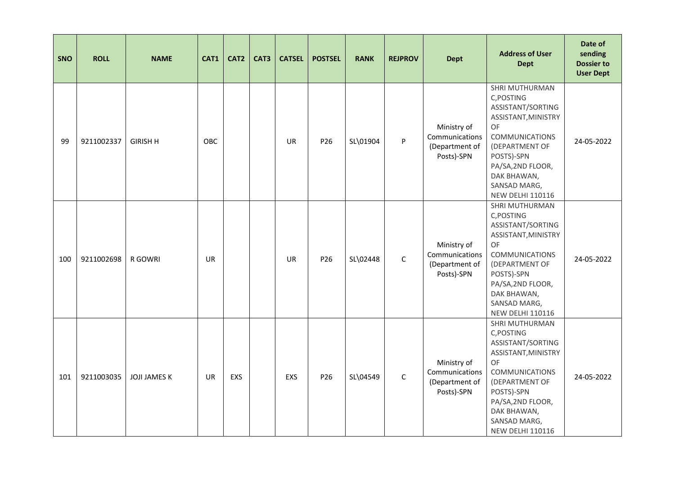| <b>SNO</b> | <b>ROLL</b> | <b>NAME</b>         | CAT1      | CAT <sub>2</sub> | CAT3 | <b>CATSEL</b> | <b>POSTSEL</b>  | <b>RANK</b> | <b>REJPROV</b> | <b>Dept</b>                                                   | <b>Address of User</b><br><b>Dept</b>                                                                                                                                                                                  | Date of<br>sending<br><b>Dossier to</b><br><b>User Dept</b> |
|------------|-------------|---------------------|-----------|------------------|------|---------------|-----------------|-------------|----------------|---------------------------------------------------------------|------------------------------------------------------------------------------------------------------------------------------------------------------------------------------------------------------------------------|-------------------------------------------------------------|
| 99         | 9211002337  | <b>GIRISH H</b>     | OBC       |                  |      | <b>UR</b>     | P <sub>26</sub> | SL\01904    | P              | Ministry of<br>Communications<br>(Department of<br>Posts)-SPN | SHRI MUTHURMAN<br>C, POSTING<br>ASSISTANT/SORTING<br>ASSISTANT, MINISTRY<br>OF<br><b>COMMUNICATIONS</b><br>(DEPARTMENT OF<br>POSTS)-SPN<br>PA/SA, 2ND FLOOR,<br>DAK BHAWAN,<br>SANSAD MARG,<br><b>NEW DELHI 110116</b> | 24-05-2022                                                  |
| 100        | 9211002698  | R GOWRI             | <b>UR</b> |                  |      | <b>UR</b>     | P26             | SL\02448    | $\mathsf{C}$   | Ministry of<br>Communications<br>(Department of<br>Posts)-SPN | SHRI MUTHURMAN<br>C, POSTING<br>ASSISTANT/SORTING<br>ASSISTANT, MINISTRY<br>OF<br><b>COMMUNICATIONS</b><br>(DEPARTMENT OF<br>POSTS)-SPN<br>PA/SA, 2ND FLOOR,<br>DAK BHAWAN,<br>SANSAD MARG,<br><b>NEW DELHI 110116</b> | 24-05-2022                                                  |
| 101        | 9211003035  | <b>JOJI JAMES K</b> | <b>UR</b> | <b>EXS</b>       |      | EXS           | P26             | SL\04549    | $\mathsf{C}$   | Ministry of<br>Communications<br>(Department of<br>Posts)-SPN | SHRI MUTHURMAN<br>C, POSTING<br>ASSISTANT/SORTING<br>ASSISTANT, MINISTRY<br>OF<br><b>COMMUNICATIONS</b><br>(DEPARTMENT OF<br>POSTS)-SPN<br>PA/SA, 2ND FLOOR,<br>DAK BHAWAN,<br>SANSAD MARG,<br><b>NEW DELHI 110116</b> | 24-05-2022                                                  |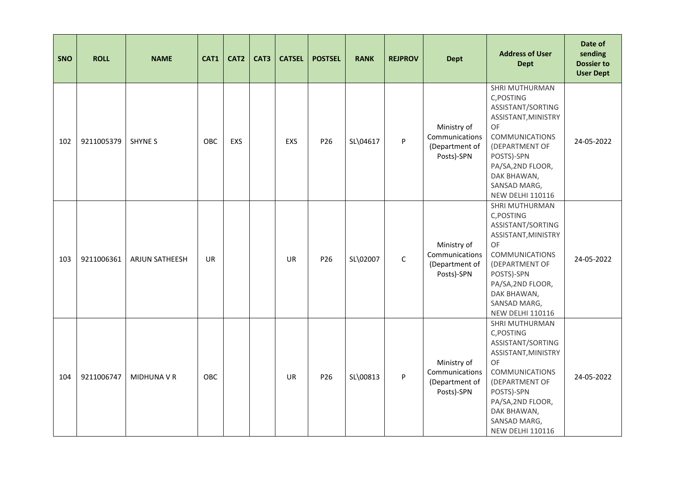| <b>SNO</b> | <b>ROLL</b> | <b>NAME</b>        | CAT1       | CAT <sub>2</sub> | CAT3 | <b>CATSEL</b> | <b>POSTSEL</b>  | <b>RANK</b> | <b>REJPROV</b> | <b>Dept</b>                                                   | <b>Address of User</b><br><b>Dept</b>                                                                                                                                                                                         | Date of<br>sending<br><b>Dossier to</b><br><b>User Dept</b> |
|------------|-------------|--------------------|------------|------------------|------|---------------|-----------------|-------------|----------------|---------------------------------------------------------------|-------------------------------------------------------------------------------------------------------------------------------------------------------------------------------------------------------------------------------|-------------------------------------------------------------|
| 102        | 9211005379  | <b>SHYNE S</b>     | OBC        | <b>EXS</b>       |      | <b>EXS</b>    | P26             | SL\04617    | P              | Ministry of<br>Communications<br>(Department of<br>Posts)-SPN | SHRI MUTHURMAN<br>C, POSTING<br>ASSISTANT/SORTING<br>ASSISTANT, MINISTRY<br><b>OF</b><br><b>COMMUNICATIONS</b><br>(DEPARTMENT OF<br>POSTS)-SPN<br>PA/SA, 2ND FLOOR,<br>DAK BHAWAN,<br>SANSAD MARG,<br><b>NEW DELHI 110116</b> | 24-05-2022                                                  |
| 103        | 9211006361  | ARJUN SATHEESH     | <b>UR</b>  |                  |      | <b>UR</b>     | P <sub>26</sub> | SL\02007    | $\mathsf C$    | Ministry of<br>Communications<br>(Department of<br>Posts)-SPN | SHRI MUTHURMAN<br>C, POSTING<br>ASSISTANT/SORTING<br>ASSISTANT, MINISTRY<br>OF<br><b>COMMUNICATIONS</b><br>(DEPARTMENT OF<br>POSTS)-SPN<br>PA/SA, 2ND FLOOR,<br>DAK BHAWAN,<br>SANSAD MARG,<br><b>NEW DELHI 110116</b>        | 24-05-2022                                                  |
| 104        | 9211006747  | <b>MIDHUNA V R</b> | <b>OBC</b> |                  |      | <b>UR</b>     | P26             | SL\00813    | P              | Ministry of<br>Communications<br>(Department of<br>Posts)-SPN | SHRI MUTHURMAN<br>C, POSTING<br>ASSISTANT/SORTING<br>ASSISTANT, MINISTRY<br><b>OF</b><br><b>COMMUNICATIONS</b><br>(DEPARTMENT OF<br>POSTS)-SPN<br>PA/SA, 2ND FLOOR,<br>DAK BHAWAN,<br>SANSAD MARG,<br><b>NEW DELHI 110116</b> | 24-05-2022                                                  |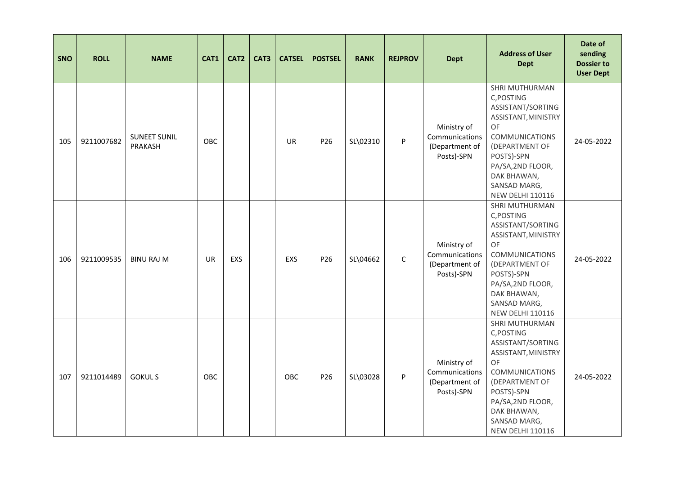| <b>SNO</b> | <b>ROLL</b> | <b>NAME</b>                    | CAT1      | CAT2       | CAT3 | <b>CATSEL</b> | <b>POSTSEL</b>  | <b>RANK</b> | <b>REJPROV</b> | <b>Dept</b>                                                   | <b>Address of User</b><br><b>Dept</b>                                                                                                                                                                                  | Date of<br>sending<br><b>Dossier to</b><br><b>User Dept</b> |
|------------|-------------|--------------------------------|-----------|------------|------|---------------|-----------------|-------------|----------------|---------------------------------------------------------------|------------------------------------------------------------------------------------------------------------------------------------------------------------------------------------------------------------------------|-------------------------------------------------------------|
| 105        | 9211007682  | <b>SUNEET SUNIL</b><br>PRAKASH | OBC       |            |      | <b>UR</b>     | P26             | SL\02310    | P              | Ministry of<br>Communications<br>(Department of<br>Posts)-SPN | SHRI MUTHURMAN<br>C, POSTING<br>ASSISTANT/SORTING<br>ASSISTANT, MINISTRY<br>OF<br><b>COMMUNICATIONS</b><br>(DEPARTMENT OF<br>POSTS)-SPN<br>PA/SA, 2ND FLOOR,<br>DAK BHAWAN,<br>SANSAD MARG,<br><b>NEW DELHI 110116</b> | 24-05-2022                                                  |
| 106        | 9211009535  | <b>BINU RAJ M</b>              | <b>UR</b> | <b>EXS</b> |      | EXS           | P <sub>26</sub> | SL\04662    | $\mathsf C$    | Ministry of<br>Communications<br>(Department of<br>Posts)-SPN | SHRI MUTHURMAN<br>C, POSTING<br>ASSISTANT/SORTING<br>ASSISTANT, MINISTRY<br>OF<br><b>COMMUNICATIONS</b><br>(DEPARTMENT OF<br>POSTS)-SPN<br>PA/SA, 2ND FLOOR,<br>DAK BHAWAN,<br>SANSAD MARG,<br><b>NEW DELHI 110116</b> | 24-05-2022                                                  |
| 107        | 9211014489  | <b>GOKULS</b>                  | OBC       |            |      | OBC           | P26             | SL\03028    | P              | Ministry of<br>Communications<br>(Department of<br>Posts)-SPN | SHRI MUTHURMAN<br>C, POSTING<br>ASSISTANT/SORTING<br>ASSISTANT, MINISTRY<br>OF<br><b>COMMUNICATIONS</b><br>(DEPARTMENT OF<br>POSTS)-SPN<br>PA/SA, 2ND FLOOR,<br>DAK BHAWAN,<br>SANSAD MARG,<br><b>NEW DELHI 110116</b> | 24-05-2022                                                  |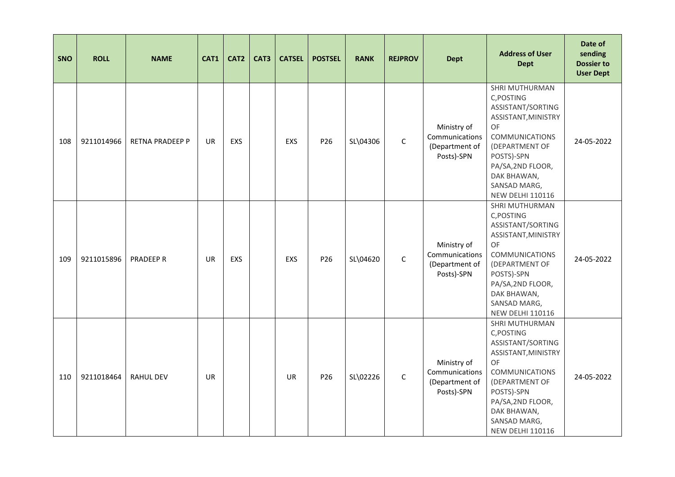| <b>SNO</b> | <b>ROLL</b> | <b>NAME</b>            | CAT1      | CAT2       | CAT3 | <b>CATSEL</b> | <b>POSTSEL</b>  | <b>RANK</b> | <b>REJPROV</b> | <b>Dept</b>                                                   | <b>Address of User</b><br><b>Dept</b>                                                                                                                                                                                  | Date of<br>sending<br><b>Dossier to</b><br><b>User Dept</b> |
|------------|-------------|------------------------|-----------|------------|------|---------------|-----------------|-------------|----------------|---------------------------------------------------------------|------------------------------------------------------------------------------------------------------------------------------------------------------------------------------------------------------------------------|-------------------------------------------------------------|
| 108        | 9211014966  | <b>RETNA PRADEEP P</b> | <b>UR</b> | <b>EXS</b> |      | EXS           | P26             | SL\04306    | $\mathsf C$    | Ministry of<br>Communications<br>(Department of<br>Posts)-SPN | SHRI MUTHURMAN<br>C, POSTING<br>ASSISTANT/SORTING<br>ASSISTANT, MINISTRY<br>OF<br><b>COMMUNICATIONS</b><br>(DEPARTMENT OF<br>POSTS)-SPN<br>PA/SA, 2ND FLOOR,<br>DAK BHAWAN,<br>SANSAD MARG,<br><b>NEW DELHI 110116</b> | 24-05-2022                                                  |
| 109        | 9211015896  | PRADEEP R              | <b>UR</b> | <b>EXS</b> |      | EXS           | P <sub>26</sub> | SL\04620    | $\mathsf C$    | Ministry of<br>Communications<br>(Department of<br>Posts)-SPN | SHRI MUTHURMAN<br>C, POSTING<br>ASSISTANT/SORTING<br>ASSISTANT, MINISTRY<br>OF<br><b>COMMUNICATIONS</b><br>(DEPARTMENT OF<br>POSTS)-SPN<br>PA/SA, 2ND FLOOR,<br>DAK BHAWAN,<br>SANSAD MARG,<br><b>NEW DELHI 110116</b> | 24-05-2022                                                  |
| 110        | 9211018464  | <b>RAHUL DEV</b>       | <b>UR</b> |            |      | <b>UR</b>     | P26             | SL\02226    | $\mathsf{C}$   | Ministry of<br>Communications<br>(Department of<br>Posts)-SPN | SHRI MUTHURMAN<br>C, POSTING<br>ASSISTANT/SORTING<br>ASSISTANT, MINISTRY<br>OF<br><b>COMMUNICATIONS</b><br>(DEPARTMENT OF<br>POSTS)-SPN<br>PA/SA, 2ND FLOOR,<br>DAK BHAWAN,<br>SANSAD MARG,<br><b>NEW DELHI 110116</b> | 24-05-2022                                                  |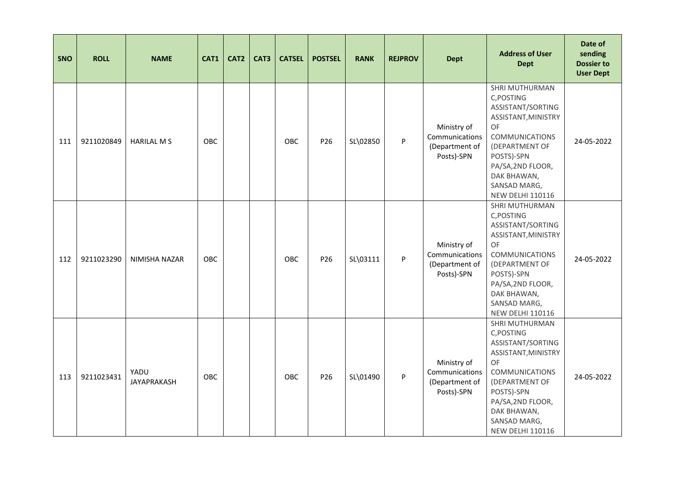| <b>SNO</b> | <b>ROLL</b> | <b>NAME</b>                | CAT1       | CAT <sub>2</sub> | CAT3 | <b>CATSEL</b> | <b>POSTSEL</b>  | <b>RANK</b> | <b>REJPROV</b> | <b>Dept</b>                                                   | <b>Address of User</b><br><b>Dept</b>                                                                                                                                                                                  | Date of<br>sending<br><b>Dossier to</b><br><b>User Dept</b> |
|------------|-------------|----------------------------|------------|------------------|------|---------------|-----------------|-------------|----------------|---------------------------------------------------------------|------------------------------------------------------------------------------------------------------------------------------------------------------------------------------------------------------------------------|-------------------------------------------------------------|
| 111        | 9211020849  | <b>HARILAL M S</b>         | OBC        |                  |      | OBC           | P26             | SL\02850    | P              | Ministry of<br>Communications<br>(Department of<br>Posts)-SPN | SHRI MUTHURMAN<br>C, POSTING<br>ASSISTANT/SORTING<br>ASSISTANT, MINISTRY<br>OF<br><b>COMMUNICATIONS</b><br>(DEPARTMENT OF<br>POSTS)-SPN<br>PA/SA, 2ND FLOOR,<br>DAK BHAWAN,<br>SANSAD MARG,<br><b>NEW DELHI 110116</b> | 24-05-2022                                                  |
| 112        | 9211023290  | NIMISHA NAZAR              | <b>OBC</b> |                  |      | <b>OBC</b>    | P <sub>26</sub> | SL\03111    | P              | Ministry of<br>Communications<br>(Department of<br>Posts)-SPN | SHRI MUTHURMAN<br>C, POSTING<br>ASSISTANT/SORTING<br>ASSISTANT, MINISTRY<br>OF<br><b>COMMUNICATIONS</b><br>(DEPARTMENT OF<br>POSTS)-SPN<br>PA/SA, 2ND FLOOR,<br>DAK BHAWAN,<br>SANSAD MARG,<br><b>NEW DELHI 110116</b> | 24-05-2022                                                  |
| 113        | 9211023431  | YADU<br><b>JAYAPRAKASH</b> | OBC        |                  |      | OBC           | P <sub>26</sub> | SL\01490    | P              | Ministry of<br>Communications<br>(Department of<br>Posts)-SPN | SHRI MUTHURMAN<br>C, POSTING<br>ASSISTANT/SORTING<br>ASSISTANT, MINISTRY<br>OF<br><b>COMMUNICATIONS</b><br>(DEPARTMENT OF<br>POSTS)-SPN<br>PA/SA, 2ND FLOOR,<br>DAK BHAWAN,<br>SANSAD MARG,<br><b>NEW DELHI 110116</b> | 24-05-2022                                                  |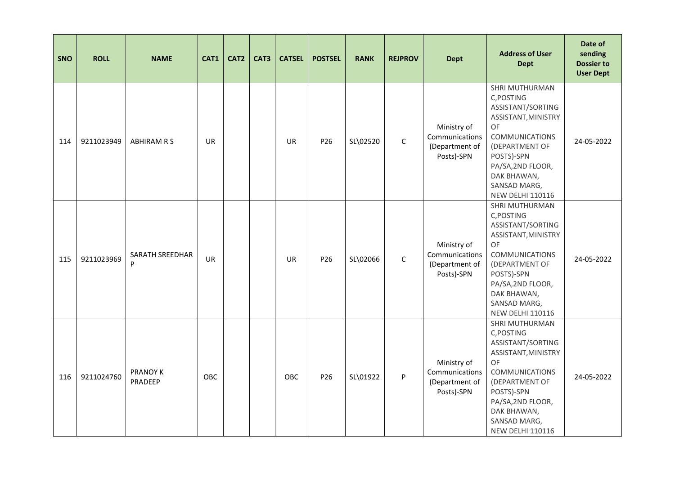| <b>SNO</b> | <b>ROLL</b> | <b>NAME</b>                 | CAT1      | CAT <sub>2</sub> | CAT3 | <b>CATSEL</b> | <b>POSTSEL</b>  | <b>RANK</b> | <b>REJPROV</b> | <b>Dept</b>                                                   | <b>Address of User</b><br><b>Dept</b>                                                                                                                                                                                  | Date of<br>sending<br><b>Dossier to</b><br><b>User Dept</b> |
|------------|-------------|-----------------------------|-----------|------------------|------|---------------|-----------------|-------------|----------------|---------------------------------------------------------------|------------------------------------------------------------------------------------------------------------------------------------------------------------------------------------------------------------------------|-------------------------------------------------------------|
| 114        | 9211023949  | <b>ABHIRAM R S</b>          | <b>UR</b> |                  |      | <b>UR</b>     | P26             | SL\02520    | $\mathsf{C}$   | Ministry of<br>Communications<br>(Department of<br>Posts)-SPN | SHRI MUTHURMAN<br>C, POSTING<br>ASSISTANT/SORTING<br>ASSISTANT, MINISTRY<br>OF<br><b>COMMUNICATIONS</b><br>(DEPARTMENT OF<br>POSTS)-SPN<br>PA/SA, 2ND FLOOR,<br>DAK BHAWAN,<br>SANSAD MARG,<br><b>NEW DELHI 110116</b> | 24-05-2022                                                  |
| 115        | 9211023969  | <b>SARATH SREEDHAR</b><br>P | <b>UR</b> |                  |      | <b>UR</b>     | P <sub>26</sub> | SL\02066    | $\mathsf{C}$   | Ministry of<br>Communications<br>(Department of<br>Posts)-SPN | SHRI MUTHURMAN<br>C, POSTING<br>ASSISTANT/SORTING<br>ASSISTANT, MINISTRY<br>OF<br><b>COMMUNICATIONS</b><br>(DEPARTMENT OF<br>POSTS)-SPN<br>PA/SA, 2ND FLOOR,<br>DAK BHAWAN,<br>SANSAD MARG,<br><b>NEW DELHI 110116</b> | 24-05-2022                                                  |
| 116        | 9211024760  | PRANOY K<br>PRADEEP         | OBC       |                  |      | OBC           | P26             | SL\01922    | P              | Ministry of<br>Communications<br>(Department of<br>Posts)-SPN | SHRI MUTHURMAN<br>C, POSTING<br>ASSISTANT/SORTING<br>ASSISTANT, MINISTRY<br>OF<br><b>COMMUNICATIONS</b><br>(DEPARTMENT OF<br>POSTS)-SPN<br>PA/SA, 2ND FLOOR,<br>DAK BHAWAN,<br>SANSAD MARG,<br><b>NEW DELHI 110116</b> | 24-05-2022                                                  |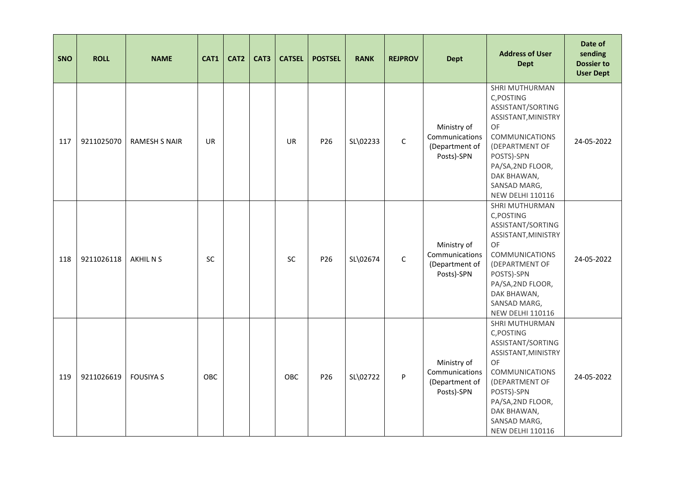| <b>SNO</b> | <b>ROLL</b> | <b>NAME</b>          | CAT1      | CAT <sub>2</sub> | CAT3 | <b>CATSEL</b> | <b>POSTSEL</b>  | <b>RANK</b> | <b>REJPROV</b> | <b>Dept</b>                                                   | <b>Address of User</b><br><b>Dept</b>                                                                                                                                                                                         | Date of<br>sending<br><b>Dossier to</b><br><b>User Dept</b> |
|------------|-------------|----------------------|-----------|------------------|------|---------------|-----------------|-------------|----------------|---------------------------------------------------------------|-------------------------------------------------------------------------------------------------------------------------------------------------------------------------------------------------------------------------------|-------------------------------------------------------------|
| 117        | 9211025070  | <b>RAMESH S NAIR</b> | <b>UR</b> |                  |      | <b>UR</b>     | P26             | SL\02233    | $\mathsf C$    | Ministry of<br>Communications<br>(Department of<br>Posts)-SPN | SHRI MUTHURMAN<br>C, POSTING<br>ASSISTANT/SORTING<br>ASSISTANT, MINISTRY<br><b>OF</b><br><b>COMMUNICATIONS</b><br>(DEPARTMENT OF<br>POSTS)-SPN<br>PA/SA, 2ND FLOOR,<br>DAK BHAWAN,<br>SANSAD MARG,<br><b>NEW DELHI 110116</b> | 24-05-2022                                                  |
| 118        | 9211026118  | AKHIL N S            | <b>SC</b> |                  |      | <b>SC</b>     | P <sub>26</sub> | SL\02674    | $\mathsf C$    | Ministry of<br>Communications<br>(Department of<br>Posts)-SPN | SHRI MUTHURMAN<br>C, POSTING<br>ASSISTANT/SORTING<br>ASSISTANT, MINISTRY<br>OF<br><b>COMMUNICATIONS</b><br>(DEPARTMENT OF<br>POSTS)-SPN<br>PA/SA, 2ND FLOOR,<br>DAK BHAWAN,<br>SANSAD MARG,<br><b>NEW DELHI 110116</b>        | 24-05-2022                                                  |
| 119        | 9211026619  | <b>FOUSIYA S</b>     | OBC       |                  |      | OBC           | P26             | SL\02722    | P              | Ministry of<br>Communications<br>(Department of<br>Posts)-SPN | SHRI MUTHURMAN<br>C, POSTING<br>ASSISTANT/SORTING<br>ASSISTANT, MINISTRY<br>OF<br><b>COMMUNICATIONS</b><br>(DEPARTMENT OF<br>POSTS)-SPN<br>PA/SA, 2ND FLOOR,<br>DAK BHAWAN,<br>SANSAD MARG,<br><b>NEW DELHI 110116</b>        | 24-05-2022                                                  |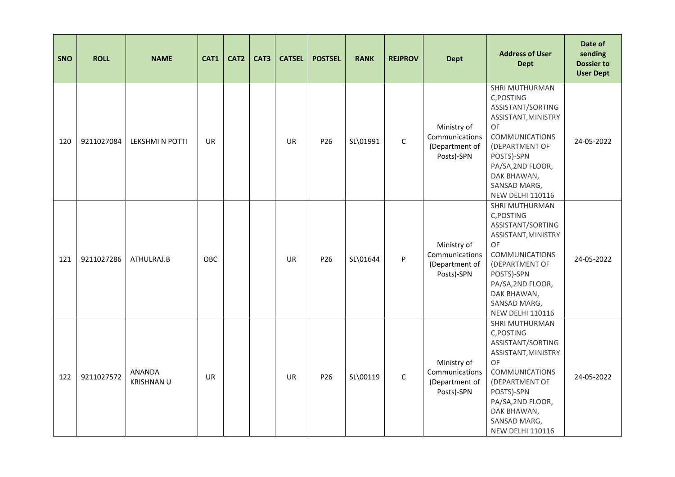| <b>SNO</b> | <b>ROLL</b> | <b>NAME</b>                 | CAT1       | CAT <sub>2</sub> | CAT3 | <b>CATSEL</b> | <b>POSTSEL</b>  | <b>RANK</b> | <b>REJPROV</b> | <b>Dept</b>                                                   | <b>Address of User</b><br><b>Dept</b>                                                                                                                                                                                         | Date of<br>sending<br><b>Dossier to</b><br><b>User Dept</b> |
|------------|-------------|-----------------------------|------------|------------------|------|---------------|-----------------|-------------|----------------|---------------------------------------------------------------|-------------------------------------------------------------------------------------------------------------------------------------------------------------------------------------------------------------------------------|-------------------------------------------------------------|
| 120        | 9211027084  | <b>LEKSHMI N POTTI</b>      | <b>UR</b>  |                  |      | <b>UR</b>     | P26             | SL\01991    | $\mathsf C$    | Ministry of<br>Communications<br>(Department of<br>Posts)-SPN | SHRI MUTHURMAN<br>C, POSTING<br>ASSISTANT/SORTING<br>ASSISTANT, MINISTRY<br><b>OF</b><br><b>COMMUNICATIONS</b><br>(DEPARTMENT OF<br>POSTS)-SPN<br>PA/SA, 2ND FLOOR,<br>DAK BHAWAN,<br>SANSAD MARG,<br><b>NEW DELHI 110116</b> | 24-05-2022                                                  |
| 121        | 9211027286  | ATHULRAJ.B                  | <b>OBC</b> |                  |      | <b>UR</b>     | P <sub>26</sub> | SL\01644    | P              | Ministry of<br>Communications<br>(Department of<br>Posts)-SPN | SHRI MUTHURMAN<br>C, POSTING<br>ASSISTANT/SORTING<br>ASSISTANT, MINISTRY<br>OF<br><b>COMMUNICATIONS</b><br>(DEPARTMENT OF<br>POSTS)-SPN<br>PA/SA, 2ND FLOOR,<br>DAK BHAWAN,<br>SANSAD MARG,<br><b>NEW DELHI 110116</b>        | 24-05-2022                                                  |
| 122        | 9211027572  | ANANDA<br><b>KRISHNAN U</b> | <b>UR</b>  |                  |      | <b>UR</b>     | P26             | SL\00119    | $\mathsf{C}$   | Ministry of<br>Communications<br>(Department of<br>Posts)-SPN | SHRI MUTHURMAN<br>C, POSTING<br>ASSISTANT/SORTING<br>ASSISTANT, MINISTRY<br>OF<br><b>COMMUNICATIONS</b><br>(DEPARTMENT OF<br>POSTS)-SPN<br>PA/SA, 2ND FLOOR,<br>DAK BHAWAN,<br>SANSAD MARG,<br><b>NEW DELHI 110116</b>        | 24-05-2022                                                  |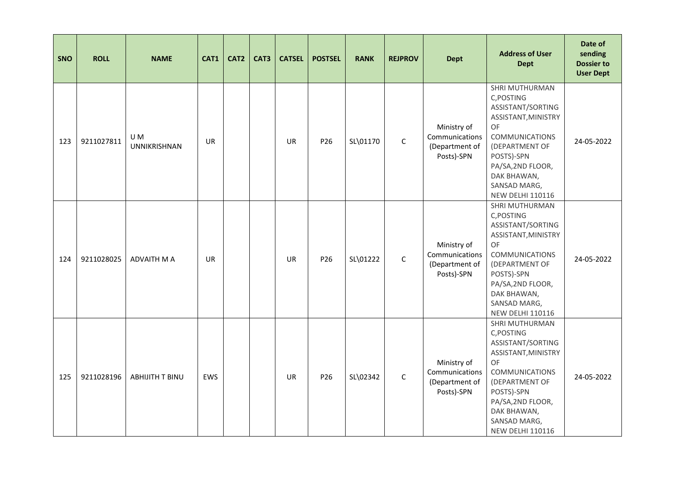| <b>SNO</b> | <b>ROLL</b> | <b>NAME</b>                | CAT1       | CAT <sub>2</sub> | CAT3 | <b>CATSEL</b> | <b>POSTSEL</b>  | <b>RANK</b> | <b>REJPROV</b> | <b>Dept</b>                                                   | <b>Address of User</b><br><b>Dept</b>                                                                                                                                                                                         | Date of<br>sending<br><b>Dossier to</b><br><b>User Dept</b> |
|------------|-------------|----------------------------|------------|------------------|------|---------------|-----------------|-------------|----------------|---------------------------------------------------------------|-------------------------------------------------------------------------------------------------------------------------------------------------------------------------------------------------------------------------------|-------------------------------------------------------------|
| 123        | 9211027811  | U M<br><b>UNNIKRISHNAN</b> | <b>UR</b>  |                  |      | <b>UR</b>     | P26             | SL\01170    | $\mathsf C$    | Ministry of<br>Communications<br>(Department of<br>Posts)-SPN | SHRI MUTHURMAN<br>C, POSTING<br>ASSISTANT/SORTING<br>ASSISTANT, MINISTRY<br><b>OF</b><br><b>COMMUNICATIONS</b><br>(DEPARTMENT OF<br>POSTS)-SPN<br>PA/SA, 2ND FLOOR,<br>DAK BHAWAN,<br>SANSAD MARG,<br><b>NEW DELHI 110116</b> | 24-05-2022                                                  |
| 124        | 9211028025  | <b>ADVAITH M A</b>         | <b>UR</b>  |                  |      | <b>UR</b>     | P <sub>26</sub> | SL\01222    | $\mathsf{C}$   | Ministry of<br>Communications<br>(Department of<br>Posts)-SPN | SHRI MUTHURMAN<br>C, POSTING<br>ASSISTANT/SORTING<br>ASSISTANT, MINISTRY<br>OF<br><b>COMMUNICATIONS</b><br>(DEPARTMENT OF<br>POSTS)-SPN<br>PA/SA, 2ND FLOOR,<br>DAK BHAWAN,<br>SANSAD MARG,<br><b>NEW DELHI 110116</b>        | 24-05-2022                                                  |
| 125        | 9211028196  | <b>ABHIJITH T BINU</b>     | <b>EWS</b> |                  |      | <b>UR</b>     | P26             | SL\02342    | $\mathsf{C}$   | Ministry of<br>Communications<br>(Department of<br>Posts)-SPN | SHRI MUTHURMAN<br>C, POSTING<br>ASSISTANT/SORTING<br>ASSISTANT, MINISTRY<br>OF<br><b>COMMUNICATIONS</b><br>(DEPARTMENT OF<br>POSTS)-SPN<br>PA/SA, 2ND FLOOR,<br>DAK BHAWAN,<br>SANSAD MARG,<br><b>NEW DELHI 110116</b>        | 24-05-2022                                                  |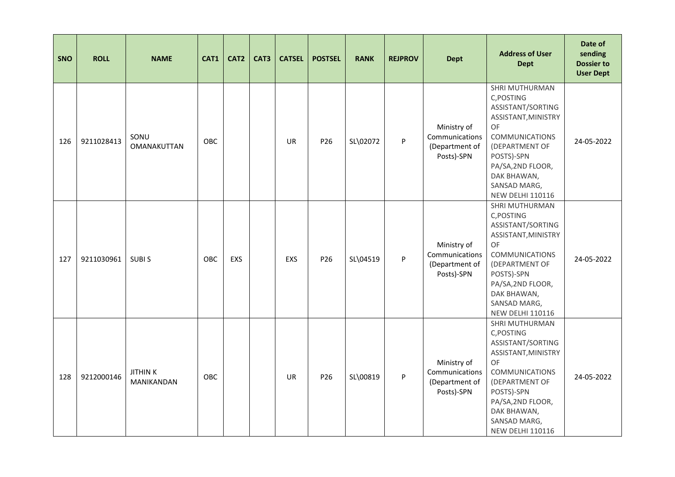| <b>SNO</b> | <b>ROLL</b> | <b>NAME</b>                         | CAT1       | CAT <sub>2</sub> | CAT3 | <b>CATSEL</b> | <b>POSTSEL</b>  | <b>RANK</b> | <b>REJPROV</b> | <b>Dept</b>                                                   | <b>Address of User</b><br><b>Dept</b>                                                                                                                                                                                  | Date of<br>sending<br><b>Dossier to</b><br><b>User Dept</b> |
|------------|-------------|-------------------------------------|------------|------------------|------|---------------|-----------------|-------------|----------------|---------------------------------------------------------------|------------------------------------------------------------------------------------------------------------------------------------------------------------------------------------------------------------------------|-------------------------------------------------------------|
| 126        | 9211028413  | SONU<br><b>OMANAKUTTAN</b>          | OBC        |                  |      | <b>UR</b>     | P26             | SL\02072    | P              | Ministry of<br>Communications<br>(Department of<br>Posts)-SPN | SHRI MUTHURMAN<br>C, POSTING<br>ASSISTANT/SORTING<br>ASSISTANT, MINISTRY<br>OF<br><b>COMMUNICATIONS</b><br>(DEPARTMENT OF<br>POSTS)-SPN<br>PA/SA, 2ND FLOOR,<br>DAK BHAWAN,<br>SANSAD MARG,<br><b>NEW DELHI 110116</b> | 24-05-2022                                                  |
| 127        | 9211030961  | <b>SUBIS</b>                        | <b>OBC</b> | <b>EXS</b>       |      | <b>EXS</b>    | P <sub>26</sub> | SL\04519    | P              | Ministry of<br>Communications<br>(Department of<br>Posts)-SPN | SHRI MUTHURMAN<br>C, POSTING<br>ASSISTANT/SORTING<br>ASSISTANT, MINISTRY<br>OF<br><b>COMMUNICATIONS</b><br>(DEPARTMENT OF<br>POSTS)-SPN<br>PA/SA, 2ND FLOOR,<br>DAK BHAWAN,<br>SANSAD MARG,<br><b>NEW DELHI 110116</b> | 24-05-2022                                                  |
| 128        | 9212000146  | <b>JITHINK</b><br><b>MANIKANDAN</b> | OBC        |                  |      | <b>UR</b>     | P26             | SL\00819    | P              | Ministry of<br>Communications<br>(Department of<br>Posts)-SPN | SHRI MUTHURMAN<br>C, POSTING<br>ASSISTANT/SORTING<br>ASSISTANT, MINISTRY<br>OF<br><b>COMMUNICATIONS</b><br>(DEPARTMENT OF<br>POSTS)-SPN<br>PA/SA, 2ND FLOOR,<br>DAK BHAWAN,<br>SANSAD MARG,<br><b>NEW DELHI 110116</b> | 24-05-2022                                                  |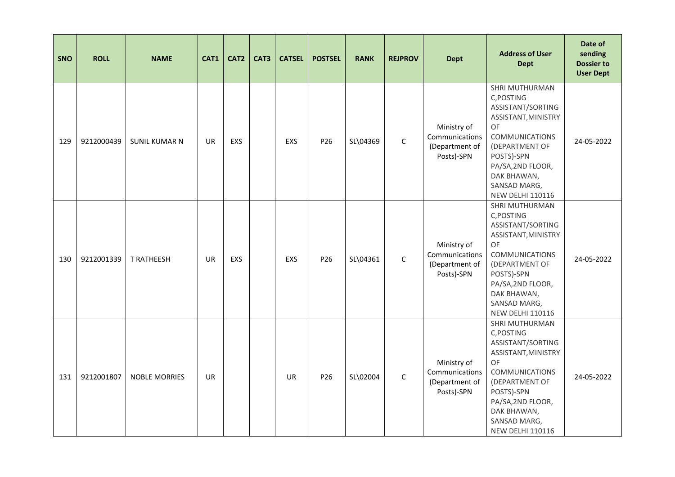| <b>SNO</b> | <b>ROLL</b> | <b>NAME</b>          | CAT1      | CAT <sub>2</sub> | CAT3 | <b>CATSEL</b> | <b>POSTSEL</b>  | <b>RANK</b> | <b>REJPROV</b> | <b>Dept</b>                                                   | <b>Address of User</b><br><b>Dept</b>                                                                                                                                                                                  | Date of<br>sending<br><b>Dossier to</b><br><b>User Dept</b> |
|------------|-------------|----------------------|-----------|------------------|------|---------------|-----------------|-------------|----------------|---------------------------------------------------------------|------------------------------------------------------------------------------------------------------------------------------------------------------------------------------------------------------------------------|-------------------------------------------------------------|
| 129        | 9212000439  | <b>SUNIL KUMAR N</b> | <b>UR</b> | <b>EXS</b>       |      | EXS           | P26             | SL\04369    | $\mathsf C$    | Ministry of<br>Communications<br>(Department of<br>Posts)-SPN | SHRI MUTHURMAN<br>C, POSTING<br>ASSISTANT/SORTING<br>ASSISTANT, MINISTRY<br>OF<br><b>COMMUNICATIONS</b><br>(DEPARTMENT OF<br>POSTS)-SPN<br>PA/SA, 2ND FLOOR,<br>DAK BHAWAN,<br>SANSAD MARG,<br><b>NEW DELHI 110116</b> | 24-05-2022                                                  |
| 130        | 9212001339  | <b>T RATHEESH</b>    | <b>UR</b> | <b>EXS</b>       |      | EXS           | P <sub>26</sub> | SL\04361    | $\mathsf C$    | Ministry of<br>Communications<br>(Department of<br>Posts)-SPN | SHRI MUTHURMAN<br>C, POSTING<br>ASSISTANT/SORTING<br>ASSISTANT, MINISTRY<br>OF<br><b>COMMUNICATIONS</b><br>(DEPARTMENT OF<br>POSTS)-SPN<br>PA/SA, 2ND FLOOR,<br>DAK BHAWAN,<br>SANSAD MARG,<br><b>NEW DELHI 110116</b> | 24-05-2022                                                  |
| 131        | 9212001807  | <b>NOBLE MORRIES</b> | <b>UR</b> |                  |      | <b>UR</b>     | P26             | SL\02004    | $\mathsf{C}$   | Ministry of<br>Communications<br>(Department of<br>Posts)-SPN | SHRI MUTHURMAN<br>C, POSTING<br>ASSISTANT/SORTING<br>ASSISTANT, MINISTRY<br>OF<br><b>COMMUNICATIONS</b><br>(DEPARTMENT OF<br>POSTS)-SPN<br>PA/SA, 2ND FLOOR,<br>DAK BHAWAN,<br>SANSAD MARG,<br><b>NEW DELHI 110116</b> | 24-05-2022                                                  |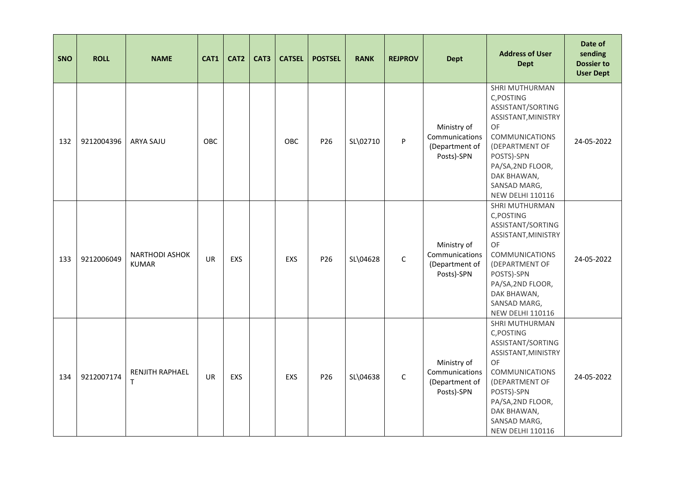| <b>SNO</b> | <b>ROLL</b> | <b>NAME</b>                           | CAT1      | CAT <sub>2</sub> | CAT3 | <b>CATSEL</b> | <b>POSTSEL</b>  | <b>RANK</b> | <b>REJPROV</b> | <b>Dept</b>                                                   | <b>Address of User</b><br><b>Dept</b>                                                                                                                                                                                  | Date of<br>sending<br><b>Dossier to</b><br><b>User Dept</b> |
|------------|-------------|---------------------------------------|-----------|------------------|------|---------------|-----------------|-------------|----------------|---------------------------------------------------------------|------------------------------------------------------------------------------------------------------------------------------------------------------------------------------------------------------------------------|-------------------------------------------------------------|
| 132        | 9212004396  | <b>ARYA SAJU</b>                      | OBC       |                  |      | OBC           | P26             | SL\02710    | P              | Ministry of<br>Communications<br>(Department of<br>Posts)-SPN | SHRI MUTHURMAN<br>C, POSTING<br>ASSISTANT/SORTING<br>ASSISTANT, MINISTRY<br>OF<br><b>COMMUNICATIONS</b><br>(DEPARTMENT OF<br>POSTS)-SPN<br>PA/SA, 2ND FLOOR,<br>DAK BHAWAN,<br>SANSAD MARG,<br><b>NEW DELHI 110116</b> | 24-05-2022                                                  |
| 133        | 9212006049  | <b>NARTHODI ASHOK</b><br><b>KUMAR</b> | <b>UR</b> | <b>EXS</b>       |      | EXS           | P <sub>26</sub> | SL\04628    | $\mathsf C$    | Ministry of<br>Communications<br>(Department of<br>Posts)-SPN | SHRI MUTHURMAN<br>C, POSTING<br>ASSISTANT/SORTING<br>ASSISTANT, MINISTRY<br>OF<br><b>COMMUNICATIONS</b><br>(DEPARTMENT OF<br>POSTS)-SPN<br>PA/SA, 2ND FLOOR,<br>DAK BHAWAN,<br>SANSAD MARG,<br><b>NEW DELHI 110116</b> | 24-05-2022                                                  |
| 134        | 9212007174  | RENJITH RAPHAEL<br>T                  | <b>UR</b> | <b>EXS</b>       |      | EXS           | P <sub>26</sub> | SL\04638    | $\mathsf{C}$   | Ministry of<br>Communications<br>(Department of<br>Posts)-SPN | SHRI MUTHURMAN<br>C, POSTING<br>ASSISTANT/SORTING<br>ASSISTANT, MINISTRY<br>OF<br><b>COMMUNICATIONS</b><br>(DEPARTMENT OF<br>POSTS)-SPN<br>PA/SA, 2ND FLOOR,<br>DAK BHAWAN,<br>SANSAD MARG,<br><b>NEW DELHI 110116</b> | 24-05-2022                                                  |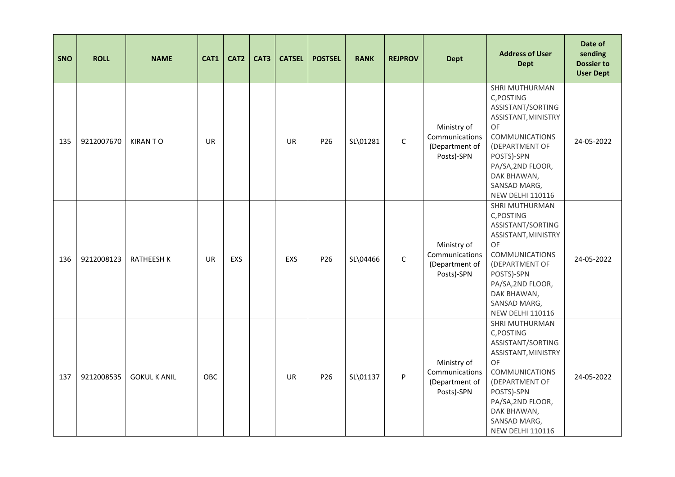| <b>SNO</b> | <b>ROLL</b> | <b>NAME</b>         | CAT1      | CAT <sub>2</sub> | CAT3 | <b>CATSEL</b> | <b>POSTSEL</b>  | <b>RANK</b> | <b>REJPROV</b> | <b>Dept</b>                                                   | <b>Address of User</b><br><b>Dept</b>                                                                                                                                                                                  | Date of<br>sending<br><b>Dossier to</b><br><b>User Dept</b> |
|------------|-------------|---------------------|-----------|------------------|------|---------------|-----------------|-------------|----------------|---------------------------------------------------------------|------------------------------------------------------------------------------------------------------------------------------------------------------------------------------------------------------------------------|-------------------------------------------------------------|
| 135        | 9212007670  | <b>KIRANTO</b>      | <b>UR</b> |                  |      | <b>UR</b>     | P26             | SL\01281    | $\mathsf C$    | Ministry of<br>Communications<br>(Department of<br>Posts)-SPN | SHRI MUTHURMAN<br>C, POSTING<br>ASSISTANT/SORTING<br>ASSISTANT, MINISTRY<br>OF<br><b>COMMUNICATIONS</b><br>(DEPARTMENT OF<br>POSTS)-SPN<br>PA/SA, 2ND FLOOR,<br>DAK BHAWAN,<br>SANSAD MARG,<br><b>NEW DELHI 110116</b> | 24-05-2022                                                  |
| 136        | 9212008123  | <b>RATHEESH K</b>   | <b>UR</b> | <b>EXS</b>       |      | EXS           | P <sub>26</sub> | SL\04466    | $\mathsf C$    | Ministry of<br>Communications<br>(Department of<br>Posts)-SPN | SHRI MUTHURMAN<br>C, POSTING<br>ASSISTANT/SORTING<br>ASSISTANT, MINISTRY<br>OF<br><b>COMMUNICATIONS</b><br>(DEPARTMENT OF<br>POSTS)-SPN<br>PA/SA, 2ND FLOOR,<br>DAK BHAWAN,<br>SANSAD MARG,<br><b>NEW DELHI 110116</b> | 24-05-2022                                                  |
| 137        | 9212008535  | <b>GOKUL K ANIL</b> | OBC       |                  |      | <b>UR</b>     | P26             | SL\01137    | P              | Ministry of<br>Communications<br>(Department of<br>Posts)-SPN | SHRI MUTHURMAN<br>C, POSTING<br>ASSISTANT/SORTING<br>ASSISTANT, MINISTRY<br>OF<br><b>COMMUNICATIONS</b><br>(DEPARTMENT OF<br>POSTS)-SPN<br>PA/SA, 2ND FLOOR,<br>DAK BHAWAN,<br>SANSAD MARG,<br><b>NEW DELHI 110116</b> | 24-05-2022                                                  |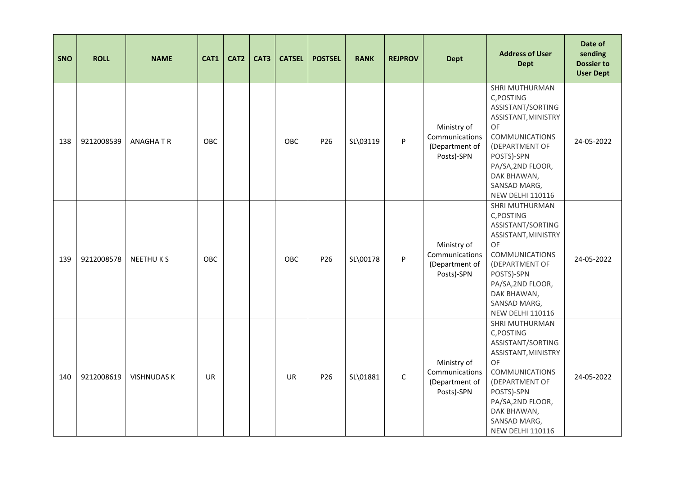| <b>SNO</b> | <b>ROLL</b> | <b>NAME</b>        | CAT1       | CAT <sub>2</sub> | CAT3 | <b>CATSEL</b> | <b>POSTSEL</b>  | <b>RANK</b> | <b>REJPROV</b> | <b>Dept</b>                                                   | <b>Address of User</b><br><b>Dept</b>                                                                                                                                                                                         | Date of<br>sending<br><b>Dossier to</b><br><b>User Dept</b> |
|------------|-------------|--------------------|------------|------------------|------|---------------|-----------------|-------------|----------------|---------------------------------------------------------------|-------------------------------------------------------------------------------------------------------------------------------------------------------------------------------------------------------------------------------|-------------------------------------------------------------|
| 138        | 9212008539  | <b>ANAGHATR</b>    | OBC        |                  |      | OBC           | P26             | SL\03119    | P              | Ministry of<br>Communications<br>(Department of<br>Posts)-SPN | SHRI MUTHURMAN<br>C, POSTING<br>ASSISTANT/SORTING<br>ASSISTANT, MINISTRY<br><b>OF</b><br><b>COMMUNICATIONS</b><br>(DEPARTMENT OF<br>POSTS)-SPN<br>PA/SA, 2ND FLOOR,<br>DAK BHAWAN,<br>SANSAD MARG,<br><b>NEW DELHI 110116</b> | 24-05-2022                                                  |
| 139        | 9212008578  | <b>NEETHUKS</b>    | <b>OBC</b> |                  |      | <b>OBC</b>    | P <sub>26</sub> | SL\00178    | P              | Ministry of<br>Communications<br>(Department of<br>Posts)-SPN | SHRI MUTHURMAN<br>C, POSTING<br>ASSISTANT/SORTING<br>ASSISTANT, MINISTRY<br>OF<br><b>COMMUNICATIONS</b><br>(DEPARTMENT OF<br>POSTS)-SPN<br>PA/SA, 2ND FLOOR,<br>DAK BHAWAN,<br>SANSAD MARG,<br><b>NEW DELHI 110116</b>        | 24-05-2022                                                  |
| 140        | 9212008619  | <b>VISHNUDAS K</b> | <b>UR</b>  |                  |      | <b>UR</b>     | P26             | SL\01881    | $\mathsf{C}$   | Ministry of<br>Communications<br>(Department of<br>Posts)-SPN | SHRI MUTHURMAN<br>C, POSTING<br>ASSISTANT/SORTING<br>ASSISTANT, MINISTRY<br>OF<br><b>COMMUNICATIONS</b><br>(DEPARTMENT OF<br>POSTS)-SPN<br>PA/SA, 2ND FLOOR,<br>DAK BHAWAN,<br>SANSAD MARG,<br><b>NEW DELHI 110116</b>        | 24-05-2022                                                  |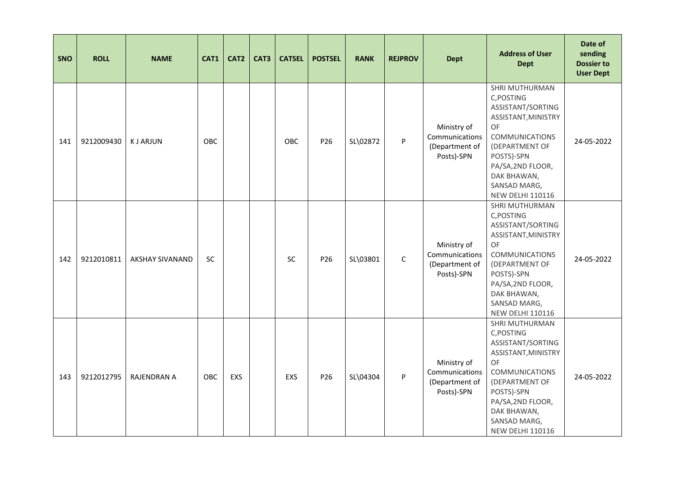| <b>SNO</b> | <b>ROLL</b> | <b>NAME</b>            | CAT1      | CAT <sub>2</sub> | CAT3 | <b>CATSEL</b> | <b>POSTSEL</b> | <b>RANK</b> | <b>REJPROV</b> | <b>Dept</b>                                                   | <b>Address of User</b><br><b>Dept</b>                                                                                                                                                                                         | Date of<br>sending<br><b>Dossier to</b><br><b>User Dept</b> |
|------------|-------------|------------------------|-----------|------------------|------|---------------|----------------|-------------|----------------|---------------------------------------------------------------|-------------------------------------------------------------------------------------------------------------------------------------------------------------------------------------------------------------------------------|-------------------------------------------------------------|
| 141        | 9212009430  | <b>KJ ARJUN</b>        | OBC       |                  |      | <b>OBC</b>    | P26            | SL\02872    | P              | Ministry of<br>Communications<br>(Department of<br>Posts)-SPN | SHRI MUTHURMAN<br>C, POSTING<br>ASSISTANT/SORTING<br>ASSISTANT, MINISTRY<br><b>OF</b><br><b>COMMUNICATIONS</b><br>(DEPARTMENT OF<br>POSTS)-SPN<br>PA/SA, 2ND FLOOR,<br>DAK BHAWAN,<br>SANSAD MARG,<br><b>NEW DELHI 110116</b> | 24-05-2022                                                  |
| 142        | 9212010811  | <b>AKSHAY SIVANAND</b> | <b>SC</b> |                  |      | <b>SC</b>     | P26            | SL\03801    | $\mathsf{C}$   | Ministry of<br>Communications<br>(Department of<br>Posts)-SPN | SHRI MUTHURMAN<br>C, POSTING<br>ASSISTANT/SORTING<br>ASSISTANT, MINISTRY<br>OF<br><b>COMMUNICATIONS</b><br>(DEPARTMENT OF<br>POSTS)-SPN<br>PA/SA, 2ND FLOOR,<br>DAK BHAWAN,<br>SANSAD MARG,<br><b>NEW DELHI 110116</b>        | 24-05-2022                                                  |
| 143        | 9212012795  | <b>RAJENDRAN A</b>     | OBC       | <b>EXS</b>       |      | EXS           | P26            | SL\04304    | P              | Ministry of<br>Communications<br>(Department of<br>Posts)-SPN | SHRI MUTHURMAN<br>C, POSTING<br>ASSISTANT/SORTING<br>ASSISTANT, MINISTRY<br><b>OF</b><br><b>COMMUNICATIONS</b><br>(DEPARTMENT OF<br>POSTS)-SPN<br>PA/SA, 2ND FLOOR,<br>DAK BHAWAN,<br>SANSAD MARG,<br><b>NEW DELHI 110116</b> | 24-05-2022                                                  |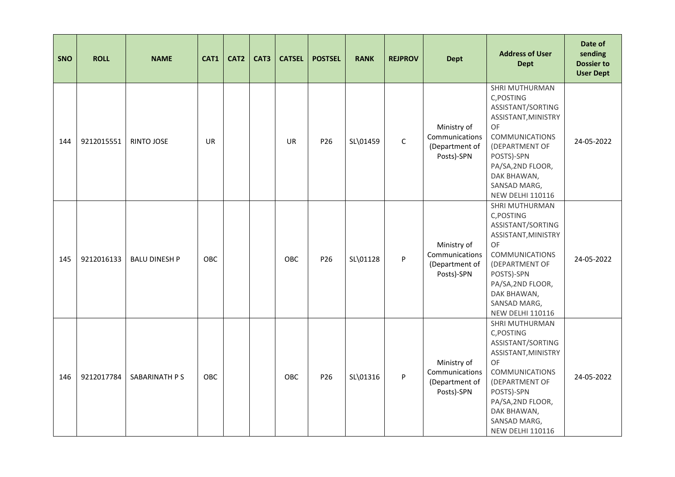| <b>SNO</b> | <b>ROLL</b> | <b>NAME</b>          | CAT1       | CAT <sub>2</sub> | CAT3 | <b>CATSEL</b> | <b>POSTSEL</b>  | <b>RANK</b> | <b>REJPROV</b> | <b>Dept</b>                                                   | <b>Address of User</b><br><b>Dept</b>                                                                                                                                                                                         | Date of<br>sending<br><b>Dossier to</b><br><b>User Dept</b> |
|------------|-------------|----------------------|------------|------------------|------|---------------|-----------------|-------------|----------------|---------------------------------------------------------------|-------------------------------------------------------------------------------------------------------------------------------------------------------------------------------------------------------------------------------|-------------------------------------------------------------|
| 144        | 9212015551  | <b>RINTO JOSE</b>    | <b>UR</b>  |                  |      | <b>UR</b>     | P26             | SL\01459    | $\mathsf C$    | Ministry of<br>Communications<br>(Department of<br>Posts)-SPN | SHRI MUTHURMAN<br>C, POSTING<br>ASSISTANT/SORTING<br>ASSISTANT, MINISTRY<br><b>OF</b><br><b>COMMUNICATIONS</b><br>(DEPARTMENT OF<br>POSTS)-SPN<br>PA/SA, 2ND FLOOR,<br>DAK BHAWAN,<br>SANSAD MARG,<br><b>NEW DELHI 110116</b> | 24-05-2022                                                  |
| 145        | 9212016133  | <b>BALU DINESH P</b> | <b>OBC</b> |                  |      | <b>OBC</b>    | P <sub>26</sub> | SL\01128    | P              | Ministry of<br>Communications<br>(Department of<br>Posts)-SPN | SHRI MUTHURMAN<br>C, POSTING<br>ASSISTANT/SORTING<br>ASSISTANT, MINISTRY<br>OF<br><b>COMMUNICATIONS</b><br>(DEPARTMENT OF<br>POSTS)-SPN<br>PA/SA, 2ND FLOOR,<br>DAK BHAWAN,<br>SANSAD MARG,<br><b>NEW DELHI 110116</b>        | 24-05-2022                                                  |
| 146        | 9212017784  | SABARINATH P S       | OBC        |                  |      | OBC           | P26             | SL\01316    | P              | Ministry of<br>Communications<br>(Department of<br>Posts)-SPN | SHRI MUTHURMAN<br>C, POSTING<br>ASSISTANT/SORTING<br>ASSISTANT, MINISTRY<br>OF<br><b>COMMUNICATIONS</b><br>(DEPARTMENT OF<br>POSTS)-SPN<br>PA/SA, 2ND FLOOR,<br>DAK BHAWAN,<br>SANSAD MARG,<br><b>NEW DELHI 110116</b>        | 24-05-2022                                                  |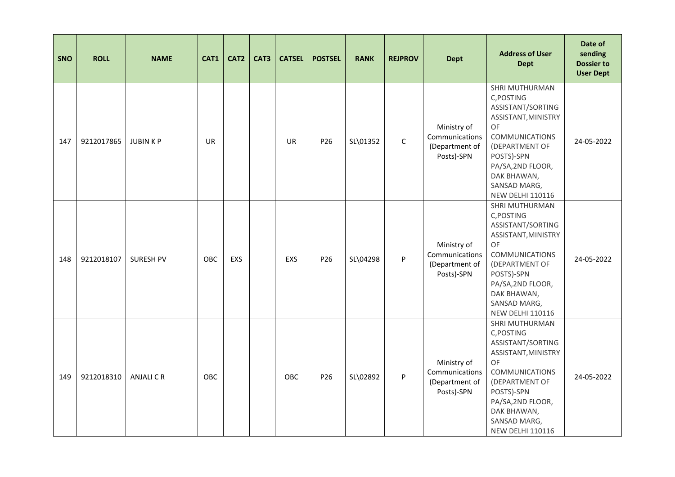| <b>SNO</b> | <b>ROLL</b> | <b>NAME</b>      | CAT1       | CAT <sub>2</sub> | CAT3 | <b>CATSEL</b> | <b>POSTSEL</b>  | <b>RANK</b> | <b>REJPROV</b> | <b>Dept</b>                                                   | <b>Address of User</b><br><b>Dept</b>                                                                                                                                                                                         | Date of<br>sending<br><b>Dossier to</b><br><b>User Dept</b> |
|------------|-------------|------------------|------------|------------------|------|---------------|-----------------|-------------|----------------|---------------------------------------------------------------|-------------------------------------------------------------------------------------------------------------------------------------------------------------------------------------------------------------------------------|-------------------------------------------------------------|
| 147        | 9212017865  | <b>JUBINKP</b>   | <b>UR</b>  |                  |      | <b>UR</b>     | P26             | SL\01352    | $\mathsf C$    | Ministry of<br>Communications<br>(Department of<br>Posts)-SPN | SHRI MUTHURMAN<br>C, POSTING<br>ASSISTANT/SORTING<br>ASSISTANT, MINISTRY<br><b>OF</b><br><b>COMMUNICATIONS</b><br>(DEPARTMENT OF<br>POSTS)-SPN<br>PA/SA, 2ND FLOOR,<br>DAK BHAWAN,<br>SANSAD MARG,<br><b>NEW DELHI 110116</b> | 24-05-2022                                                  |
| 148        | 9212018107  | <b>SURESH PV</b> | <b>OBC</b> | EXS              |      | <b>EXS</b>    | P <sub>26</sub> | SL\04298    | P              | Ministry of<br>Communications<br>(Department of<br>Posts)-SPN | SHRI MUTHURMAN<br>C, POSTING<br>ASSISTANT/SORTING<br>ASSISTANT, MINISTRY<br>OF<br><b>COMMUNICATIONS</b><br>(DEPARTMENT OF<br>POSTS)-SPN<br>PA/SA, 2ND FLOOR,<br>DAK BHAWAN,<br>SANSAD MARG,<br><b>NEW DELHI 110116</b>        | 24-05-2022                                                  |
| 149        | 9212018310  | <b>ANJALICR</b>  | <b>OBC</b> |                  |      | OBC           | P26             | SL\02892    | P              | Ministry of<br>Communications<br>(Department of<br>Posts)-SPN | SHRI MUTHURMAN<br>C, POSTING<br>ASSISTANT/SORTING<br>ASSISTANT, MINISTRY<br><b>OF</b><br><b>COMMUNICATIONS</b><br>(DEPARTMENT OF<br>POSTS)-SPN<br>PA/SA, 2ND FLOOR,<br>DAK BHAWAN,<br>SANSAD MARG,<br><b>NEW DELHI 110116</b> | 24-05-2022                                                  |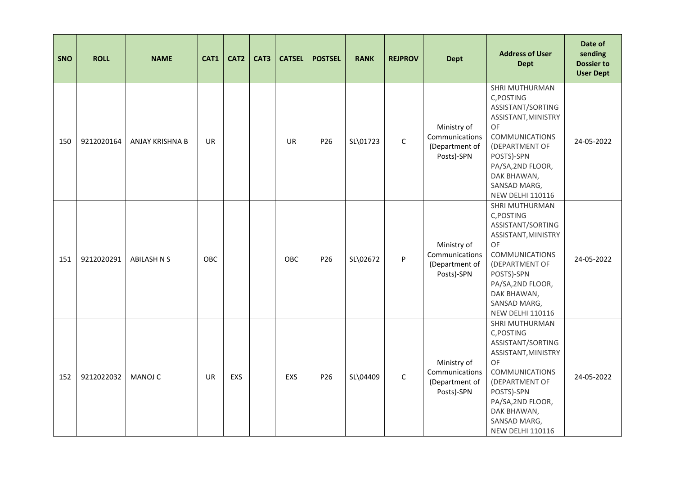| <b>SNO</b> | <b>ROLL</b> | <b>NAME</b>            | CAT1      | CAT <sub>2</sub> | CAT3 | <b>CATSEL</b> | <b>POSTSEL</b> | <b>RANK</b> | <b>REJPROV</b> | <b>Dept</b>                                                   | <b>Address of User</b><br><b>Dept</b>                                                                                                                                                                                         | Date of<br>sending<br><b>Dossier to</b><br><b>User Dept</b> |
|------------|-------------|------------------------|-----------|------------------|------|---------------|----------------|-------------|----------------|---------------------------------------------------------------|-------------------------------------------------------------------------------------------------------------------------------------------------------------------------------------------------------------------------------|-------------------------------------------------------------|
| 150        | 9212020164  | <b>ANJAY KRISHNA B</b> | <b>UR</b> |                  |      | <b>UR</b>     | P26            | SL\01723    | $\mathsf{C}$   | Ministry of<br>Communications<br>(Department of<br>Posts)-SPN | SHRI MUTHURMAN<br>C, POSTING<br>ASSISTANT/SORTING<br>ASSISTANT, MINISTRY<br><b>OF</b><br><b>COMMUNICATIONS</b><br>(DEPARTMENT OF<br>POSTS)-SPN<br>PA/SA, 2ND FLOOR,<br>DAK BHAWAN,<br>SANSAD MARG,<br><b>NEW DELHI 110116</b> | 24-05-2022                                                  |
| 151        | 9212020291  | <b>ABILASH N S</b>     | OBC       |                  |      | OBC           | P26            | SL\02672    | P              | Ministry of<br>Communications<br>(Department of<br>Posts)-SPN | SHRI MUTHURMAN<br>C, POSTING<br>ASSISTANT/SORTING<br>ASSISTANT, MINISTRY<br>OF<br><b>COMMUNICATIONS</b><br>(DEPARTMENT OF<br>POSTS)-SPN<br>PA/SA, 2ND FLOOR,<br>DAK BHAWAN,<br>SANSAD MARG,<br><b>NEW DELHI 110116</b>        | 24-05-2022                                                  |
| 152        | 9212022032  | <b>MANOJ C</b>         | <b>UR</b> | <b>EXS</b>       |      | EXS           | P26            | SL\04409    | $\mathsf{C}$   | Ministry of<br>Communications<br>(Department of<br>Posts)-SPN | SHRI MUTHURMAN<br>C, POSTING<br>ASSISTANT/SORTING<br>ASSISTANT, MINISTRY<br>OF<br><b>COMMUNICATIONS</b><br>(DEPARTMENT OF<br>POSTS)-SPN<br>PA/SA, 2ND FLOOR,<br>DAK BHAWAN,<br>SANSAD MARG,<br><b>NEW DELHI 110116</b>        | 24-05-2022                                                  |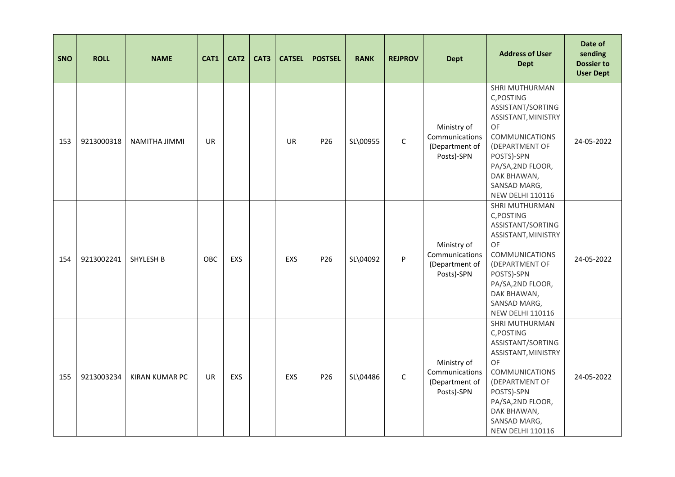| <b>SNO</b> | <b>ROLL</b> | <b>NAME</b>           | CAT1      | CAT <sub>2</sub> | CAT3 | <b>CATSEL</b> | <b>POSTSEL</b>  | <b>RANK</b> | <b>REJPROV</b> | <b>Dept</b>                                                   | <b>Address of User</b><br><b>Dept</b>                                                                                                                                                                                  | Date of<br>sending<br><b>Dossier to</b><br><b>User Dept</b> |
|------------|-------------|-----------------------|-----------|------------------|------|---------------|-----------------|-------------|----------------|---------------------------------------------------------------|------------------------------------------------------------------------------------------------------------------------------------------------------------------------------------------------------------------------|-------------------------------------------------------------|
| 153        | 9213000318  | <b>NAMITHA JIMMI</b>  | <b>UR</b> |                  |      | <b>UR</b>     | P26             | SL\00955    | $\mathsf{C}$   | Ministry of<br>Communications<br>(Department of<br>Posts)-SPN | SHRI MUTHURMAN<br>C, POSTING<br>ASSISTANT/SORTING<br>ASSISTANT, MINISTRY<br>OF<br><b>COMMUNICATIONS</b><br>(DEPARTMENT OF<br>POSTS)-SPN<br>PA/SA, 2ND FLOOR,<br>DAK BHAWAN,<br>SANSAD MARG,<br><b>NEW DELHI 110116</b> | 24-05-2022                                                  |
| 154        | 9213002241  | SHYLESH B             | OBC       | <b>EXS</b>       |      | EXS           | P <sub>26</sub> | SL\04092    | P              | Ministry of<br>Communications<br>(Department of<br>Posts)-SPN | SHRI MUTHURMAN<br>C, POSTING<br>ASSISTANT/SORTING<br>ASSISTANT, MINISTRY<br>OF<br><b>COMMUNICATIONS</b><br>(DEPARTMENT OF<br>POSTS)-SPN<br>PA/SA, 2ND FLOOR,<br>DAK BHAWAN,<br>SANSAD MARG,<br><b>NEW DELHI 110116</b> | 24-05-2022                                                  |
| 155        | 9213003234  | <b>KIRAN KUMAR PC</b> | <b>UR</b> | EXS              |      | EXS           | P26             | SL\04486    | $\mathsf{C}$   | Ministry of<br>Communications<br>(Department of<br>Posts)-SPN | SHRI MUTHURMAN<br>C, POSTING<br>ASSISTANT/SORTING<br>ASSISTANT, MINISTRY<br>OF<br><b>COMMUNICATIONS</b><br>(DEPARTMENT OF<br>POSTS)-SPN<br>PA/SA, 2ND FLOOR,<br>DAK BHAWAN,<br>SANSAD MARG,<br><b>NEW DELHI 110116</b> | 24-05-2022                                                  |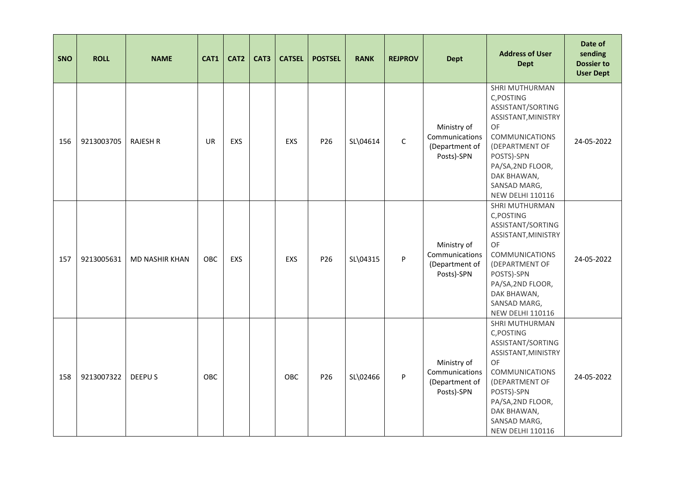| SNO | <b>ROLL</b> | <b>NAME</b>     | CAT1      | CAT <sub>2</sub> | CAT3 | <b>CATSEL</b> | <b>POSTSEL</b>  | <b>RANK</b> | <b>REJPROV</b> | <b>Dept</b>                                                   | <b>Address of User</b><br><b>Dept</b>                                                                                                                                                                                  | Date of<br>sending<br><b>Dossier to</b><br><b>User Dept</b> |
|-----|-------------|-----------------|-----------|------------------|------|---------------|-----------------|-------------|----------------|---------------------------------------------------------------|------------------------------------------------------------------------------------------------------------------------------------------------------------------------------------------------------------------------|-------------------------------------------------------------|
| 156 | 9213003705  | <b>RAJESH R</b> | <b>UR</b> | <b>EXS</b>       |      | <b>EXS</b>    | P26             | SL\04614    | $\mathsf C$    | Ministry of<br>Communications<br>(Department of<br>Posts)-SPN | SHRI MUTHURMAN<br>C, POSTING<br>ASSISTANT/SORTING<br>ASSISTANT, MINISTRY<br>OF<br><b>COMMUNICATIONS</b><br>(DEPARTMENT OF<br>POSTS)-SPN<br>PA/SA, 2ND FLOOR,<br>DAK BHAWAN,<br>SANSAD MARG,<br><b>NEW DELHI 110116</b> | 24-05-2022                                                  |
| 157 | 9213005631  | MD NASHIR KHAN  | OBC       | <b>EXS</b>       |      | <b>EXS</b>    | P <sub>26</sub> | SL\04315    | P              | Ministry of<br>Communications<br>(Department of<br>Posts)-SPN | SHRI MUTHURMAN<br>C, POSTING<br>ASSISTANT/SORTING<br>ASSISTANT, MINISTRY<br>OF<br><b>COMMUNICATIONS</b><br>(DEPARTMENT OF<br>POSTS)-SPN<br>PA/SA, 2ND FLOOR,<br>DAK BHAWAN,<br>SANSAD MARG,<br><b>NEW DELHI 110116</b> | 24-05-2022                                                  |
| 158 | 9213007322  | DEEPU S         | OBC       |                  |      | OBC           | P26             | SL\02466    | P              | Ministry of<br>Communications<br>(Department of<br>Posts)-SPN | SHRI MUTHURMAN<br>C, POSTING<br>ASSISTANT/SORTING<br>ASSISTANT, MINISTRY<br>OF<br><b>COMMUNICATIONS</b><br>(DEPARTMENT OF<br>POSTS)-SPN<br>PA/SA, 2ND FLOOR,<br>DAK BHAWAN,<br>SANSAD MARG,<br><b>NEW DELHI 110116</b> | 24-05-2022                                                  |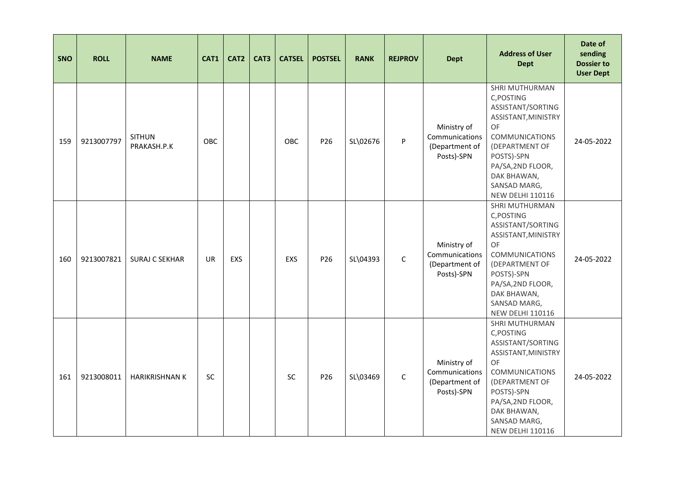| <b>SNO</b> | <b>ROLL</b> | <b>NAME</b>                  | CAT1      | CAT <sub>2</sub> | CAT3 | <b>CATSEL</b> | <b>POSTSEL</b>  | <b>RANK</b> | <b>REJPROV</b> | <b>Dept</b>                                                   | <b>Address of User</b><br><b>Dept</b>                                                                                                                                                                                         | Date of<br>sending<br><b>Dossier to</b><br><b>User Dept</b> |
|------------|-------------|------------------------------|-----------|------------------|------|---------------|-----------------|-------------|----------------|---------------------------------------------------------------|-------------------------------------------------------------------------------------------------------------------------------------------------------------------------------------------------------------------------------|-------------------------------------------------------------|
| 159        | 9213007797  | <b>SITHUN</b><br>PRAKASH.P.K | OBC       |                  |      | OBC           | P26             | SL\02676    | P              | Ministry of<br>Communications<br>(Department of<br>Posts)-SPN | SHRI MUTHURMAN<br>C, POSTING<br>ASSISTANT/SORTING<br>ASSISTANT, MINISTRY<br><b>OF</b><br><b>COMMUNICATIONS</b><br>(DEPARTMENT OF<br>POSTS)-SPN<br>PA/SA, 2ND FLOOR,<br>DAK BHAWAN,<br>SANSAD MARG,<br><b>NEW DELHI 110116</b> | 24-05-2022                                                  |
| 160        | 9213007821  | <b>SURAJ C SEKHAR</b>        | <b>UR</b> | <b>EXS</b>       |      | <b>EXS</b>    | P <sub>26</sub> | SL\04393    | $\mathsf{C}$   | Ministry of<br>Communications<br>(Department of<br>Posts)-SPN | SHRI MUTHURMAN<br>C, POSTING<br>ASSISTANT/SORTING<br>ASSISTANT, MINISTRY<br>OF<br><b>COMMUNICATIONS</b><br>(DEPARTMENT OF<br>POSTS)-SPN<br>PA/SA, 2ND FLOOR,<br>DAK BHAWAN,<br>SANSAD MARG,<br><b>NEW DELHI 110116</b>        | 24-05-2022                                                  |
| 161        | 9213008011  | <b>HARIKRISHNAN K</b>        | SC        |                  |      | SC            | P26             | SL\03469    | $\mathsf{C}$   | Ministry of<br>Communications<br>(Department of<br>Posts)-SPN | SHRI MUTHURMAN<br>C, POSTING<br>ASSISTANT/SORTING<br>ASSISTANT, MINISTRY<br>OF<br><b>COMMUNICATIONS</b><br>(DEPARTMENT OF<br>POSTS)-SPN<br>PA/SA, 2ND FLOOR,<br>DAK BHAWAN,<br>SANSAD MARG,<br><b>NEW DELHI 110116</b>        | 24-05-2022                                                  |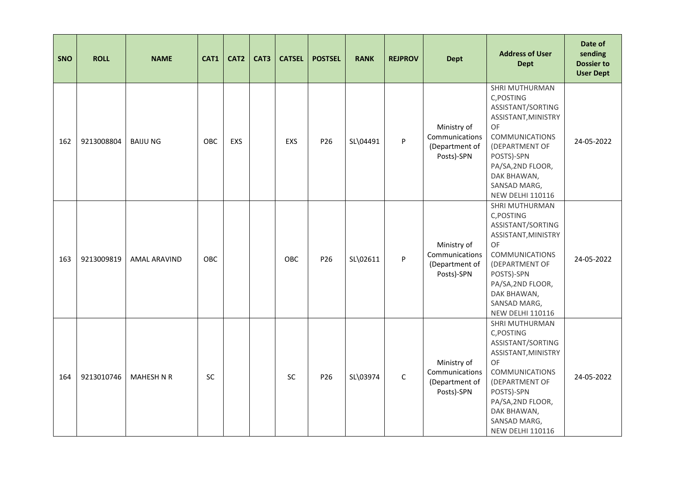| <b>SNO</b> | <b>ROLL</b> | <b>NAME</b>       | CAT1       | CAT <sub>2</sub> | CAT3 | <b>CATSEL</b> | <b>POSTSEL</b>  | <b>RANK</b> | <b>REJPROV</b> | <b>Dept</b>                                                   | <b>Address of User</b><br><b>Dept</b>                                                                                                                                                                                  | Date of<br>sending<br><b>Dossier to</b><br><b>User Dept</b> |
|------------|-------------|-------------------|------------|------------------|------|---------------|-----------------|-------------|----------------|---------------------------------------------------------------|------------------------------------------------------------------------------------------------------------------------------------------------------------------------------------------------------------------------|-------------------------------------------------------------|
| 162        | 9213008804  | <b>BAIJUNG</b>    | OBC        | <b>EXS</b>       |      | EXS           | P26             | SL\04491    | P              | Ministry of<br>Communications<br>(Department of<br>Posts)-SPN | SHRI MUTHURMAN<br>C, POSTING<br>ASSISTANT/SORTING<br>ASSISTANT, MINISTRY<br>OF<br><b>COMMUNICATIONS</b><br>(DEPARTMENT OF<br>POSTS)-SPN<br>PA/SA, 2ND FLOOR,<br>DAK BHAWAN,<br>SANSAD MARG,<br><b>NEW DELHI 110116</b> | 24-05-2022                                                  |
| 163        | 9213009819  | AMAL ARAVIND      | <b>OBC</b> |                  |      | <b>OBC</b>    | P <sub>26</sub> | SL\02611    | P              | Ministry of<br>Communications<br>(Department of<br>Posts)-SPN | SHRI MUTHURMAN<br>C, POSTING<br>ASSISTANT/SORTING<br>ASSISTANT, MINISTRY<br>OF<br><b>COMMUNICATIONS</b><br>(DEPARTMENT OF<br>POSTS)-SPN<br>PA/SA, 2ND FLOOR,<br>DAK BHAWAN,<br>SANSAD MARG,<br><b>NEW DELHI 110116</b> | 24-05-2022                                                  |
| 164        | 9213010746  | <b>MAHESH N R</b> | SC         |                  |      | SC            | P26             | SL\03974    | $\mathsf{C}$   | Ministry of<br>Communications<br>(Department of<br>Posts)-SPN | SHRI MUTHURMAN<br>C, POSTING<br>ASSISTANT/SORTING<br>ASSISTANT, MINISTRY<br>OF<br><b>COMMUNICATIONS</b><br>(DEPARTMENT OF<br>POSTS)-SPN<br>PA/SA, 2ND FLOOR,<br>DAK BHAWAN,<br>SANSAD MARG,<br><b>NEW DELHI 110116</b> | 24-05-2022                                                  |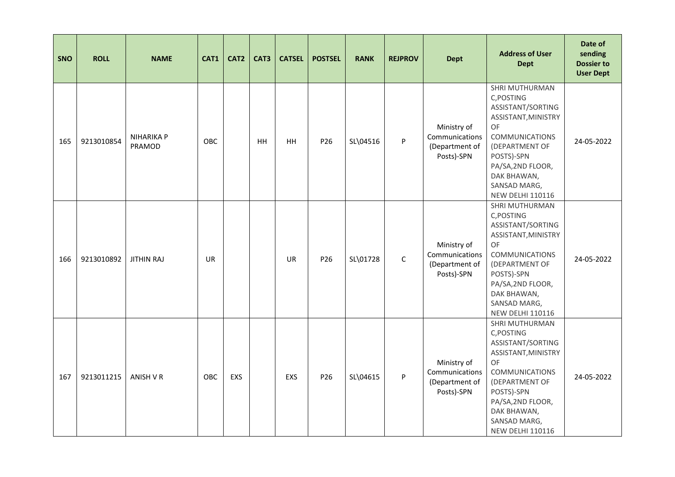| <b>SNO</b> | <b>ROLL</b> | <b>NAME</b>                 | CAT1      | CAT <sub>2</sub> | CAT3 | <b>CATSEL</b> | <b>POSTSEL</b> | <b>RANK</b> | <b>REJPROV</b> | <b>Dept</b>                                                   | <b>Address of User</b><br><b>Dept</b>                                                                                                                                                                                  | Date of<br>sending<br><b>Dossier to</b><br><b>User Dept</b> |
|------------|-------------|-----------------------------|-----------|------------------|------|---------------|----------------|-------------|----------------|---------------------------------------------------------------|------------------------------------------------------------------------------------------------------------------------------------------------------------------------------------------------------------------------|-------------------------------------------------------------|
| 165        | 9213010854  | <b>NIHARIKA P</b><br>PRAMOD | OBC       |                  | HH   | <b>HH</b>     | P26            | SL\04516    | P              | Ministry of<br>Communications<br>(Department of<br>Posts)-SPN | SHRI MUTHURMAN<br>C, POSTING<br>ASSISTANT/SORTING<br>ASSISTANT, MINISTRY<br><b>OF</b><br>COMMUNICATIONS<br>(DEPARTMENT OF<br>POSTS)-SPN<br>PA/SA, 2ND FLOOR,<br>DAK BHAWAN,<br>SANSAD MARG,<br><b>NEW DELHI 110116</b> | 24-05-2022                                                  |
| 166        | 9213010892  | <b>JITHIN RAJ</b>           | <b>UR</b> |                  |      | <b>UR</b>     | P26            | SL\01728    | $\mathsf{C}$   | Ministry of<br>Communications<br>(Department of<br>Posts)-SPN | SHRI MUTHURMAN<br>C, POSTING<br>ASSISTANT/SORTING<br>ASSISTANT, MINISTRY<br>OF<br><b>COMMUNICATIONS</b><br>(DEPARTMENT OF<br>POSTS)-SPN<br>PA/SA, 2ND FLOOR,<br>DAK BHAWAN,<br>SANSAD MARG,<br><b>NEW DELHI 110116</b> | 24-05-2022                                                  |
| 167        | 9213011215  | ANISH V R                   | OBC       | <b>EXS</b>       |      | EXS           | P26            | SL\04615    | P              | Ministry of<br>Communications<br>(Department of<br>Posts)-SPN | SHRI MUTHURMAN<br>C, POSTING<br>ASSISTANT/SORTING<br>ASSISTANT, MINISTRY<br>OF<br><b>COMMUNICATIONS</b><br>(DEPARTMENT OF<br>POSTS)-SPN<br>PA/SA, 2ND FLOOR,<br>DAK BHAWAN,<br>SANSAD MARG,<br><b>NEW DELHI 110116</b> | 24-05-2022                                                  |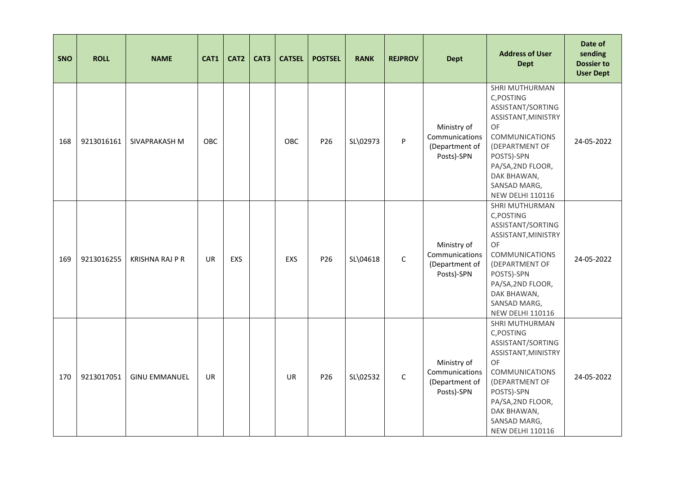| <b>SNO</b> | <b>ROLL</b> | <b>NAME</b>            | CAT1      | CAT <sub>2</sub> | CAT3 | <b>CATSEL</b> | <b>POSTSEL</b>  | <b>RANK</b> | <b>REJPROV</b> | <b>Dept</b>                                                   | <b>Address of User</b><br><b>Dept</b>                                                                                                                                                                                         | Date of<br>sending<br><b>Dossier to</b><br><b>User Dept</b> |
|------------|-------------|------------------------|-----------|------------------|------|---------------|-----------------|-------------|----------------|---------------------------------------------------------------|-------------------------------------------------------------------------------------------------------------------------------------------------------------------------------------------------------------------------------|-------------------------------------------------------------|
| 168        | 9213016161  | SIVAPRAKASH M          | OBC       |                  |      | OBC           | P26             | SL\02973    | P              | Ministry of<br>Communications<br>(Department of<br>Posts)-SPN | SHRI MUTHURMAN<br>C, POSTING<br>ASSISTANT/SORTING<br>ASSISTANT, MINISTRY<br><b>OF</b><br><b>COMMUNICATIONS</b><br>(DEPARTMENT OF<br>POSTS)-SPN<br>PA/SA, 2ND FLOOR,<br>DAK BHAWAN,<br>SANSAD MARG,<br><b>NEW DELHI 110116</b> | 24-05-2022                                                  |
| 169        | 9213016255  | <b>KRISHNA RAJ P R</b> | <b>UR</b> | <b>EXS</b>       |      | <b>EXS</b>    | P <sub>26</sub> | SL\04618    | $\mathsf{C}$   | Ministry of<br>Communications<br>(Department of<br>Posts)-SPN | SHRI MUTHURMAN<br>C, POSTING<br>ASSISTANT/SORTING<br>ASSISTANT, MINISTRY<br>OF<br><b>COMMUNICATIONS</b><br>(DEPARTMENT OF<br>POSTS)-SPN<br>PA/SA, 2ND FLOOR,<br>DAK BHAWAN,<br>SANSAD MARG,<br><b>NEW DELHI 110116</b>        | 24-05-2022                                                  |
| 170        | 9213017051  | <b>GINU EMMANUEL</b>   | <b>UR</b> |                  |      | <b>UR</b>     | P26             | SL\02532    | $\mathsf{C}$   | Ministry of<br>Communications<br>(Department of<br>Posts)-SPN | SHRI MUTHURMAN<br>C, POSTING<br>ASSISTANT/SORTING<br>ASSISTANT, MINISTRY<br>OF<br><b>COMMUNICATIONS</b><br>(DEPARTMENT OF<br>POSTS)-SPN<br>PA/SA, 2ND FLOOR,<br>DAK BHAWAN,<br>SANSAD MARG,<br><b>NEW DELHI 110116</b>        | 24-05-2022                                                  |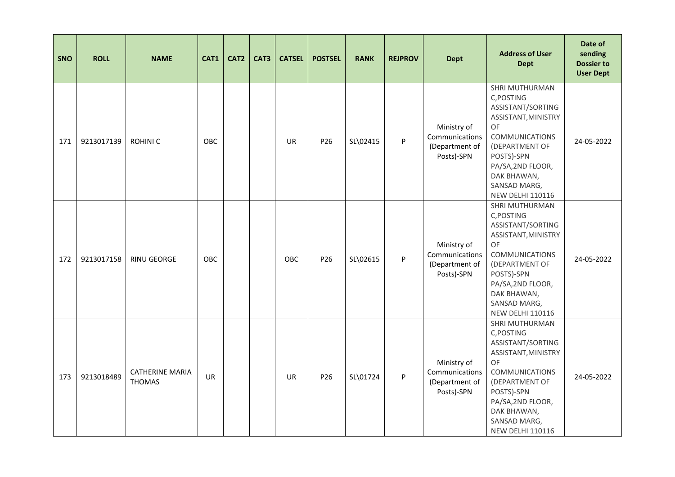| <b>SNO</b> | <b>ROLL</b> | <b>NAME</b>                             | CAT1       | CAT <sub>2</sub> | CAT3 | <b>CATSEL</b> | <b>POSTSEL</b>  | <b>RANK</b> | <b>REJPROV</b> | <b>Dept</b>                                                   | <b>Address of User</b><br><b>Dept</b>                                                                                                                                                                                         | Date of<br>sending<br><b>Dossier to</b><br><b>User Dept</b> |
|------------|-------------|-----------------------------------------|------------|------------------|------|---------------|-----------------|-------------|----------------|---------------------------------------------------------------|-------------------------------------------------------------------------------------------------------------------------------------------------------------------------------------------------------------------------------|-------------------------------------------------------------|
| 171        | 9213017139  | <b>ROHINIC</b>                          | OBC        |                  |      | <b>UR</b>     | P26             | SL\02415    | P              | Ministry of<br>Communications<br>(Department of<br>Posts)-SPN | SHRI MUTHURMAN<br>C, POSTING<br>ASSISTANT/SORTING<br>ASSISTANT, MINISTRY<br><b>OF</b><br><b>COMMUNICATIONS</b><br>(DEPARTMENT OF<br>POSTS)-SPN<br>PA/SA, 2ND FLOOR,<br>DAK BHAWAN,<br>SANSAD MARG,<br><b>NEW DELHI 110116</b> | 24-05-2022                                                  |
| 172        | 9213017158  | <b>RINU GEORGE</b>                      | <b>OBC</b> |                  |      | <b>OBC</b>    | P <sub>26</sub> | SL\02615    | P              | Ministry of<br>Communications<br>(Department of<br>Posts)-SPN | SHRI MUTHURMAN<br>C, POSTING<br>ASSISTANT/SORTING<br>ASSISTANT, MINISTRY<br>OF<br><b>COMMUNICATIONS</b><br>(DEPARTMENT OF<br>POSTS)-SPN<br>PA/SA, 2ND FLOOR,<br>DAK BHAWAN,<br>SANSAD MARG,<br><b>NEW DELHI 110116</b>        | 24-05-2022                                                  |
| 173        | 9213018489  | <b>CATHERINE MARIA</b><br><b>THOMAS</b> | <b>UR</b>  |                  |      | <b>UR</b>     | P26             | SL\01724    | P              | Ministry of<br>Communications<br>(Department of<br>Posts)-SPN | SHRI MUTHURMAN<br>C, POSTING<br>ASSISTANT/SORTING<br>ASSISTANT, MINISTRY<br>OF<br><b>COMMUNICATIONS</b><br>(DEPARTMENT OF<br>POSTS)-SPN<br>PA/SA, 2ND FLOOR,<br>DAK BHAWAN,<br>SANSAD MARG,<br><b>NEW DELHI 110116</b>        | 24-05-2022                                                  |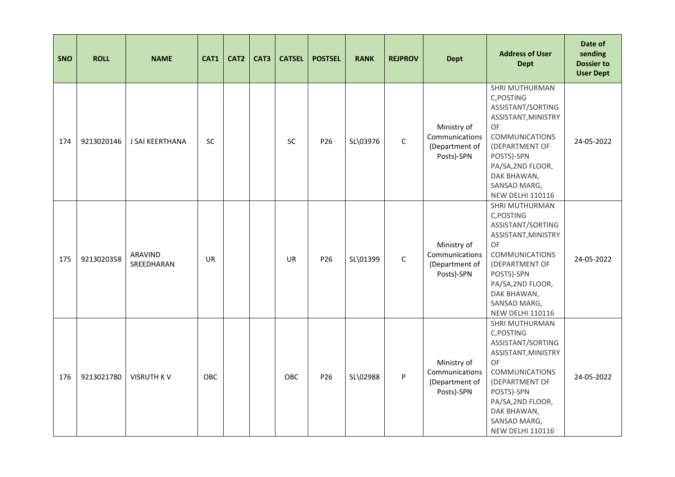| <b>SNO</b> | <b>ROLL</b> | <b>NAME</b>           | CAT1       | CAT <sub>2</sub> | CAT <sub>3</sub> | <b>CATSEL</b> | <b>POSTSEL</b>  | <b>RANK</b> | <b>REJPROV</b> | <b>Dept</b>                                                   | <b>Address of User</b><br><b>Dept</b>                                                                                                                                                                                  | Date of<br>sending<br><b>Dossier to</b><br><b>User Dept</b> |
|------------|-------------|-----------------------|------------|------------------|------------------|---------------|-----------------|-------------|----------------|---------------------------------------------------------------|------------------------------------------------------------------------------------------------------------------------------------------------------------------------------------------------------------------------|-------------------------------------------------------------|
| 174        | 9213020146  | J SAI KEERTHANA       | <b>SC</b>  |                  |                  | SC            | P26             | SL\03976    | $\mathsf C$    | Ministry of<br>Communications<br>(Department of<br>Posts)-SPN | SHRI MUTHURMAN<br>C, POSTING<br>ASSISTANT/SORTING<br>ASSISTANT, MINISTRY<br>OF<br><b>COMMUNICATIONS</b><br>(DEPARTMENT OF<br>POSTS)-SPN<br>PA/SA, 2ND FLOOR,<br>DAK BHAWAN,<br>SANSAD MARG,<br><b>NEW DELHI 110116</b> | 24-05-2022                                                  |
| 175        | 9213020358  | ARAVIND<br>SREEDHARAN | UR         |                  |                  | <b>UR</b>     | P <sub>26</sub> | SL\01399    | $\mathsf C$    | Ministry of<br>Communications<br>(Department of<br>Posts)-SPN | SHRI MUTHURMAN<br>C,POSTING<br>ASSISTANT/SORTING<br>ASSISTANT, MINISTRY<br>OF<br><b>COMMUNICATIONS</b><br>(DEPARTMENT OF<br>POSTS)-SPN<br>PA/SA, 2ND FLOOR,<br>DAK BHAWAN,<br>SANSAD MARG,<br><b>NEW DELHI 110116</b>  | 24-05-2022                                                  |
| 176        | 9213021780  | <b>VISRUTH KV</b>     | <b>OBC</b> |                  |                  | OBC           | P26             | SL\02988    | P              | Ministry of<br>Communications<br>(Department of<br>Posts)-SPN | SHRI MUTHURMAN<br>C, POSTING<br>ASSISTANT/SORTING<br>ASSISTANT, MINISTRY<br>OF<br><b>COMMUNICATIONS</b><br>(DEPARTMENT OF<br>POSTS)-SPN<br>PA/SA, 2ND FLOOR,<br>DAK BHAWAN,<br>SANSAD MARG,<br><b>NEW DELHI 110116</b> | 24-05-2022                                                  |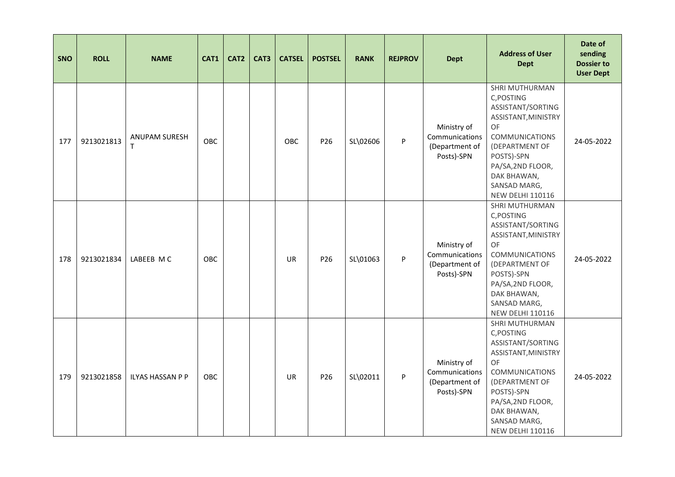| <b>SNO</b> | <b>ROLL</b> | <b>NAME</b>               | CAT1       | CAT <sub>2</sub> | CAT3 | <b>CATSEL</b> | <b>POSTSEL</b>  | <b>RANK</b> | <b>REJPROV</b> | <b>Dept</b>                                                   | <b>Address of User</b><br><b>Dept</b>                                                                                                                                                                                  | Date of<br>sending<br><b>Dossier to</b><br><b>User Dept</b> |
|------------|-------------|---------------------------|------------|------------------|------|---------------|-----------------|-------------|----------------|---------------------------------------------------------------|------------------------------------------------------------------------------------------------------------------------------------------------------------------------------------------------------------------------|-------------------------------------------------------------|
| 177        | 9213021813  | <b>ANUPAM SURESH</b><br>T | OBC        |                  |      | OBC           | P <sub>26</sub> | SL\02606    | P              | Ministry of<br>Communications<br>(Department of<br>Posts)-SPN | SHRI MUTHURMAN<br>C, POSTING<br>ASSISTANT/SORTING<br>ASSISTANT, MINISTRY<br>OF<br><b>COMMUNICATIONS</b><br>(DEPARTMENT OF<br>POSTS)-SPN<br>PA/SA, 2ND FLOOR,<br>DAK BHAWAN,<br>SANSAD MARG,<br><b>NEW DELHI 110116</b> | 24-05-2022                                                  |
| 178        | 9213021834  | LABEEB MC                 | <b>OBC</b> |                  |      | <b>UR</b>     | P <sub>26</sub> | SL\01063    | P              | Ministry of<br>Communications<br>(Department of<br>Posts)-SPN | SHRI MUTHURMAN<br>C, POSTING<br>ASSISTANT/SORTING<br>ASSISTANT, MINISTRY<br>OF<br><b>COMMUNICATIONS</b><br>(DEPARTMENT OF<br>POSTS)-SPN<br>PA/SA, 2ND FLOOR,<br>DAK BHAWAN,<br>SANSAD MARG,<br><b>NEW DELHI 110116</b> | 24-05-2022                                                  |
| 179        | 9213021858  | <b>ILYAS HASSAN P P</b>   | OBC        |                  |      | <b>UR</b>     | P26             | SL\02011    | P              | Ministry of<br>Communications<br>(Department of<br>Posts)-SPN | SHRI MUTHURMAN<br>C, POSTING<br>ASSISTANT/SORTING<br>ASSISTANT, MINISTRY<br>OF<br><b>COMMUNICATIONS</b><br>(DEPARTMENT OF<br>POSTS)-SPN<br>PA/SA, 2ND FLOOR,<br>DAK BHAWAN,<br>SANSAD MARG,<br><b>NEW DELHI 110116</b> | 24-05-2022                                                  |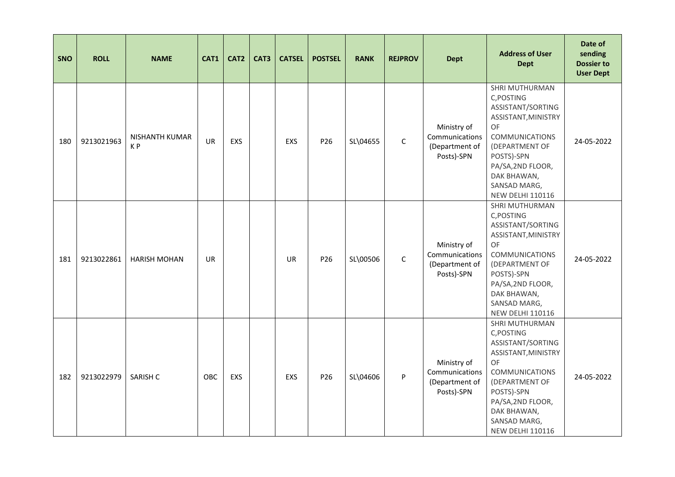| <b>SNO</b> | <b>ROLL</b> | <b>NAME</b>                      | CAT1      | CAT <sub>2</sub> | CAT3 | <b>CATSEL</b> | <b>POSTSEL</b>  | <b>RANK</b> | <b>REJPROV</b> | <b>Dept</b>                                                   | <b>Address of User</b><br><b>Dept</b>                                                                                                                                                                                         | Date of<br>sending<br><b>Dossier to</b><br><b>User Dept</b> |
|------------|-------------|----------------------------------|-----------|------------------|------|---------------|-----------------|-------------|----------------|---------------------------------------------------------------|-------------------------------------------------------------------------------------------------------------------------------------------------------------------------------------------------------------------------------|-------------------------------------------------------------|
| 180        | 9213021963  | NISHANTH KUMAR<br>K <sub>P</sub> | <b>UR</b> | <b>EXS</b>       |      | <b>EXS</b>    | P26             | SL\04655    | $\mathsf C$    | Ministry of<br>Communications<br>(Department of<br>Posts)-SPN | SHRI MUTHURMAN<br>C, POSTING<br>ASSISTANT/SORTING<br>ASSISTANT, MINISTRY<br><b>OF</b><br><b>COMMUNICATIONS</b><br>(DEPARTMENT OF<br>POSTS)-SPN<br>PA/SA, 2ND FLOOR,<br>DAK BHAWAN,<br>SANSAD MARG,<br><b>NEW DELHI 110116</b> | 24-05-2022                                                  |
| 181        | 9213022861  | <b>HARISH MOHAN</b>              | <b>UR</b> |                  |      | <b>UR</b>     | P <sub>26</sub> | SL\00506    | $\mathsf C$    | Ministry of<br>Communications<br>(Department of<br>Posts)-SPN | SHRI MUTHURMAN<br>C, POSTING<br>ASSISTANT/SORTING<br>ASSISTANT, MINISTRY<br>OF<br><b>COMMUNICATIONS</b><br>(DEPARTMENT OF<br>POSTS)-SPN<br>PA/SA, 2ND FLOOR,<br>DAK BHAWAN,<br>SANSAD MARG,<br><b>NEW DELHI 110116</b>        | 24-05-2022                                                  |
| 182        | 9213022979  | SARISH C                         | OBC       | <b>EXS</b>       |      | EXS           | P26             | SL\04606    | P              | Ministry of<br>Communications<br>(Department of<br>Posts)-SPN | SHRI MUTHURMAN<br>C, POSTING<br>ASSISTANT/SORTING<br>ASSISTANT, MINISTRY<br><b>OF</b><br><b>COMMUNICATIONS</b><br>(DEPARTMENT OF<br>POSTS)-SPN<br>PA/SA, 2ND FLOOR,<br>DAK BHAWAN,<br>SANSAD MARG,<br><b>NEW DELHI 110116</b> | 24-05-2022                                                  |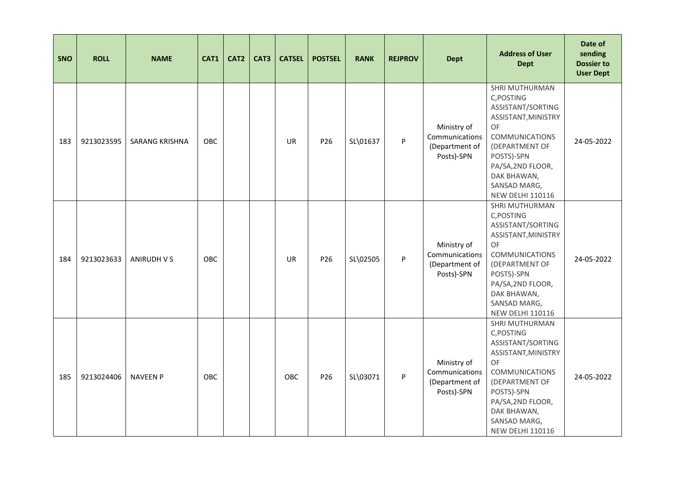| <b>SNO</b> | <b>ROLL</b> | <b>NAME</b>           | CAT1       | CAT <sub>2</sub> | CAT3 | <b>CATSEL</b> | <b>POSTSEL</b>  | <b>RANK</b> | <b>REJPROV</b> | <b>Dept</b>                                                   | <b>Address of User</b><br><b>Dept</b>                                                                                                                                                                                  | Date of<br>sending<br><b>Dossier to</b><br><b>User Dept</b> |
|------------|-------------|-----------------------|------------|------------------|------|---------------|-----------------|-------------|----------------|---------------------------------------------------------------|------------------------------------------------------------------------------------------------------------------------------------------------------------------------------------------------------------------------|-------------------------------------------------------------|
| 183        | 9213023595  | <b>SARANG KRISHNA</b> | OBC        |                  |      | <b>UR</b>     | P26             | SL\01637    | P              | Ministry of<br>Communications<br>(Department of<br>Posts)-SPN | SHRI MUTHURMAN<br>C, POSTING<br>ASSISTANT/SORTING<br>ASSISTANT, MINISTRY<br>OF<br><b>COMMUNICATIONS</b><br>(DEPARTMENT OF<br>POSTS)-SPN<br>PA/SA, 2ND FLOOR,<br>DAK BHAWAN,<br>SANSAD MARG,<br><b>NEW DELHI 110116</b> | 24-05-2022                                                  |
| 184        | 9213023633  | ANIRUDH V S           | <b>OBC</b> |                  |      | <b>UR</b>     | P <sub>26</sub> | SL\02505    | P              | Ministry of<br>Communications<br>(Department of<br>Posts)-SPN | SHRI MUTHURMAN<br>C, POSTING<br>ASSISTANT/SORTING<br>ASSISTANT, MINISTRY<br>OF<br><b>COMMUNICATIONS</b><br>(DEPARTMENT OF<br>POSTS)-SPN<br>PA/SA, 2ND FLOOR,<br>DAK BHAWAN,<br>SANSAD MARG,<br><b>NEW DELHI 110116</b> | 24-05-2022                                                  |
| 185        | 9213024406  | <b>NAVEEN P</b>       | OBC        |                  |      | OBC           | P26             | SL\03071    | P              | Ministry of<br>Communications<br>(Department of<br>Posts)-SPN | SHRI MUTHURMAN<br>C, POSTING<br>ASSISTANT/SORTING<br>ASSISTANT, MINISTRY<br>OF<br><b>COMMUNICATIONS</b><br>(DEPARTMENT OF<br>POSTS)-SPN<br>PA/SA, 2ND FLOOR,<br>DAK BHAWAN,<br>SANSAD MARG,<br><b>NEW DELHI 110116</b> | 24-05-2022                                                  |